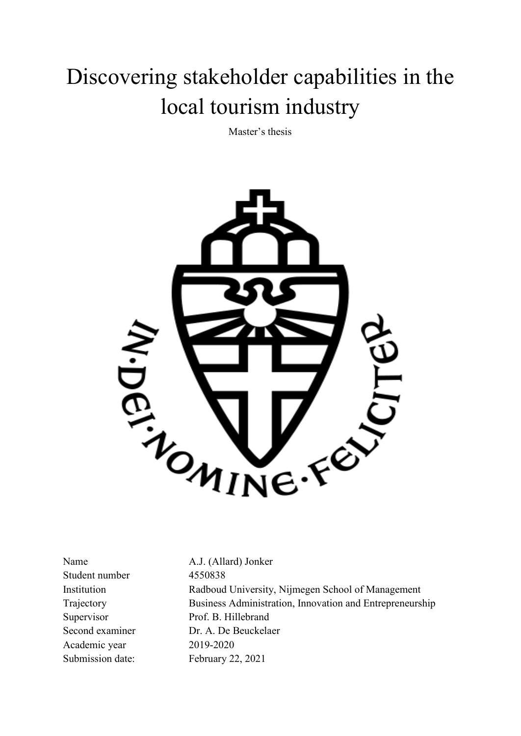# Discovering stakeholder capabilities in the local tourism industry

Master's thesis



Student number 4550838 Academic year 2019-2020 Submission date: February 22, 2021

Name A.J. (Allard) Jonker Institution Radboud University, Nijmegen School of Management Trajectory Business Administration, Innovation and Entrepreneurship Supervisor Prof. B. Hillebrand Second examiner Dr. A. De Beuckelaer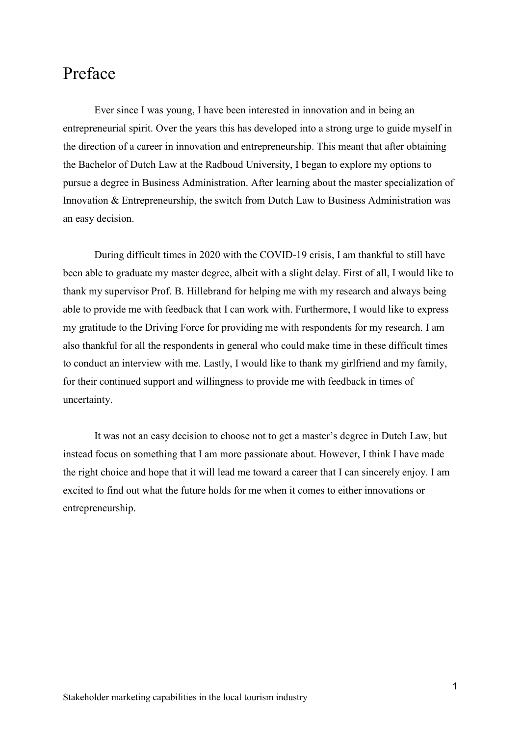# <span id="page-1-0"></span>Preface

Ever since I was young, I have been interested in innovation and in being an entrepreneurial spirit. Over the years this has developed into a strong urge to guide myself in the direction of a career in innovation and entrepreneurship. This meant that after obtaining the Bachelor of Dutch Law at the Radboud University, I began to explore my options to pursue a degree in Business Administration. After learning about the master specialization of Innovation & Entrepreneurship, the switch from Dutch Law to Business Administration was an easy decision.

During difficult times in 2020 with the COVID-19 crisis, I am thankful to still have been able to graduate my master degree, albeit with a slight delay. First of all, I would like to thank my supervisor Prof. B. Hillebrand for helping me with my research and always being able to provide me with feedback that I can work with. Furthermore, I would like to express my gratitude to the Driving Force for providing me with respondents for my research. I am also thankful for all the respondents in general who could make time in these difficult times to conduct an interview with me. Lastly, I would like to thank my girlfriend and my family, for their continued support and willingness to provide me with feedback in times of uncertainty.

It was not an easy decision to choose not to get a master's degree in Dutch Law, but instead focus on something that I am more passionate about. However, I think I have made the right choice and hope that it will lead me toward a career that I can sincerely enjoy. I am excited to find out what the future holds for me when it comes to either innovations or entrepreneurship.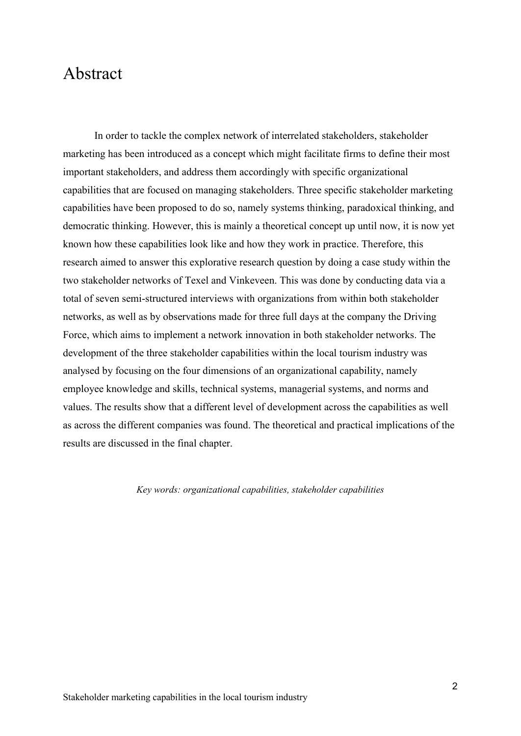## <span id="page-2-0"></span>Abstract

In order to tackle the complex network of interrelated stakeholders, stakeholder marketing has been introduced as a concept which might facilitate firms to define their most important stakeholders, and address them accordingly with specific organizational capabilities that are focused on managing stakeholders. Three specific stakeholder marketing capabilities have been proposed to do so, namely systems thinking, paradoxical thinking, and democratic thinking. However, this is mainly a theoretical concept up until now, it is now yet known how these capabilities look like and how they work in practice. Therefore, this research aimed to answer this explorative research question by doing a case study within the two stakeholder networks of Texel and Vinkeveen. This was done by conducting data via a total of seven semi-structured interviews with organizations from within both stakeholder networks, as well as by observations made for three full days at the company the Driving Force, which aims to implement a network innovation in both stakeholder networks. The development of the three stakeholder capabilities within the local tourism industry was analysed by focusing on the four dimensions of an organizational capability, namely employee knowledge and skills, technical systems, managerial systems, and norms and values. The results show that a different level of development across the capabilities as well as across the different companies was found. The theoretical and practical implications of the results are discussed in the final chapter.

*Key words: organizational capabilities, stakeholder capabilities*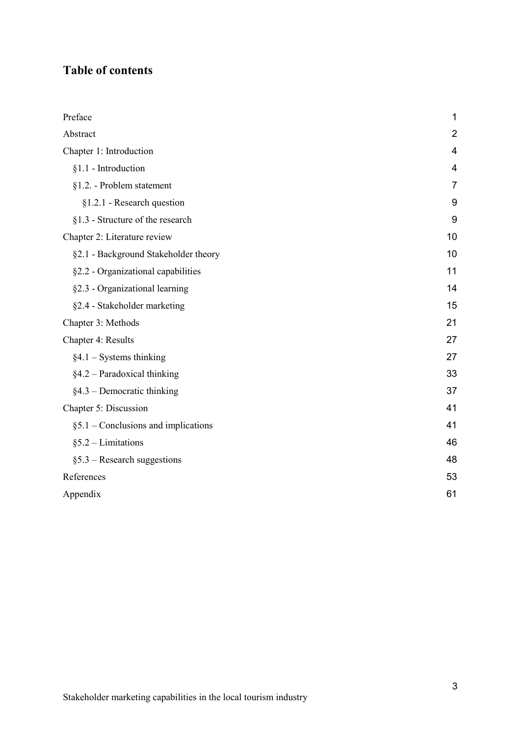### **Table of contents**

| Preface                                | 1              |
|----------------------------------------|----------------|
| Abstract                               | $\overline{2}$ |
| Chapter 1: Introduction                | $\overline{4}$ |
| $§1.1$ - Introduction                  | 4              |
| §1.2. - Problem statement              | 7              |
| §1.2.1 - Research question             | 9              |
| §1.3 - Structure of the research       | 9              |
| Chapter 2: Literature review           | 10             |
| §2.1 - Background Stakeholder theory   | 10             |
| §2.2 - Organizational capabilities     | 11             |
| §2.3 - Organizational learning         | 14             |
| §2.4 - Stakeholder marketing           | 15             |
| Chapter 3: Methods                     | 21             |
| Chapter 4: Results                     | 27             |
| $§4.1 - Systems thinking$              | 27             |
| $§4.2$ – Paradoxical thinking          | 33             |
| $§4.3$ – Democratic thinking           | 37             |
| Chapter 5: Discussion                  | 41             |
| $§ 5.1$ – Conclusions and implications | 41             |
| $§ 5.2 - Limitations$                  | 46             |
| $§$ 5.3 – Research suggestions         | 48             |
| References                             | 53             |
| Appendix                               | 61             |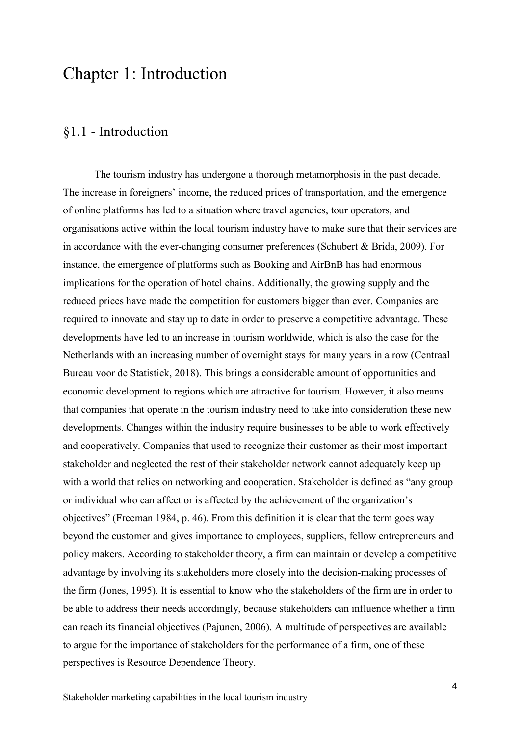# <span id="page-4-0"></span>Chapter 1: Introduction

### <span id="page-4-1"></span>§1.1 - Introduction

The tourism industry has undergone a thorough metamorphosis in the past decade. The increase in foreigners' income, the reduced prices of transportation, and the emergence of online platforms has led to a situation where travel agencies, tour operators, and organisations active within the local tourism industry have to make sure that their services are in accordance with the ever-changing consumer preferences (Schubert & Brida, 2009). For instance, the emergence of platforms such as Booking and AirBnB has had enormous implications for the operation of hotel chains. Additionally, the growing supply and the reduced prices have made the competition for customers bigger than ever. Companies are required to innovate and stay up to date in order to preserve a competitive advantage. These developments have led to an increase in tourism worldwide, which is also the case for the Netherlands with an increasing number of overnight stays for many years in a row (Centraal Bureau voor de Statistiek, 2018). This brings a considerable amount of opportunities and economic development to regions which are attractive for tourism. However, it also means that companies that operate in the tourism industry need to take into consideration these new developments. Changes within the industry require businesses to be able to work effectively and cooperatively. Companies that used to recognize their customer as their most important stakeholder and neglected the rest of their stakeholder network cannot adequately keep up with a world that relies on networking and cooperation. Stakeholder is defined as "any group or individual who can affect or is affected by the achievement of the organization's objectives" (Freeman 1984, p. 46). From this definition it is clear that the term goes way beyond the customer and gives importance to employees, suppliers, fellow entrepreneurs and policy makers. According to stakeholder theory, a firm can maintain or develop a competitive advantage by involving its stakeholders more closely into the decision-making processes of the firm (Jones, 1995). It is essential to know who the stakeholders of the firm are in order to be able to address their needs accordingly, because stakeholders can influence whether a firm can reach its financial objectives (Pajunen, 2006). A multitude of perspectives are available to argue for the importance of stakeholders for the performance of a firm, one of these perspectives is Resource Dependence Theory.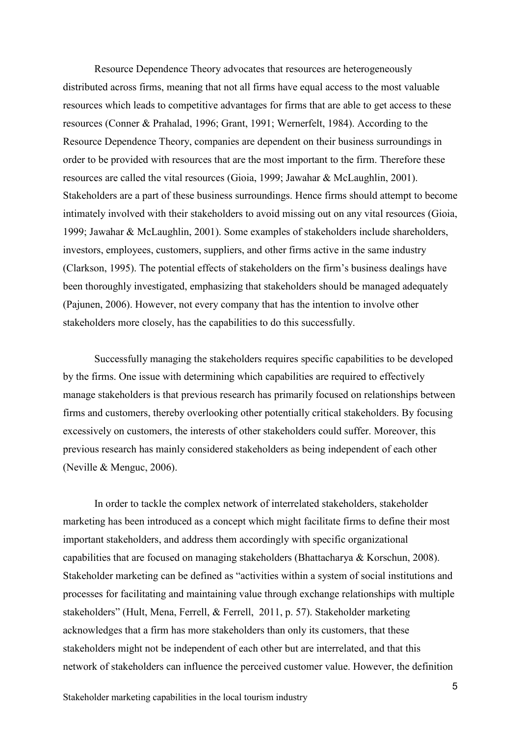Resource Dependence Theory advocates that resources are heterogeneously distributed across firms, meaning that not all firms have equal access to the most valuable resources which leads to competitive advantages for firms that are able to get access to these resources (Conner & Prahalad, 1996; Grant, 1991; Wernerfelt, 1984). According to the Resource Dependence Theory, companies are dependent on their business surroundings in order to be provided with resources that are the most important to the firm. Therefore these resources are called the vital resources (Gioia, 1999; Jawahar & McLaughlin, 2001). Stakeholders are a part of these business surroundings. Hence firms should attempt to become intimately involved with their stakeholders to avoid missing out on any vital resources (Gioia, 1999; Jawahar & McLaughlin, 2001). Some examples of stakeholders include shareholders, investors, employees, customers, suppliers, and other firms active in the same industry (Clarkson, 1995). The potential effects of stakeholders on the firm's business dealings have been thoroughly investigated, emphasizing that stakeholders should be managed adequately (Pajunen, 2006). However, not every company that has the intention to involve other stakeholders more closely, has the capabilities to do this successfully.

Successfully managing the stakeholders requires specific capabilities to be developed by the firms. One issue with determining which capabilities are required to effectively manage stakeholders is that previous research has primarily focused on relationships between firms and customers, thereby overlooking other potentially critical stakeholders. By focusing excessively on customers, the interests of other stakeholders could suffer. Moreover, this previous research has mainly considered stakeholders as being independent of each other (Neville & Menguc, 2006).

In order to tackle the complex network of interrelated stakeholders, stakeholder marketing has been introduced as a concept which might facilitate firms to define their most important stakeholders, and address them accordingly with specific organizational capabilities that are focused on managing stakeholders (Bhattacharya & Korschun, 2008). Stakeholder marketing can be defined as "activities within a system of social institutions and processes for facilitating and maintaining value through exchange relationships with multiple stakeholders" (Hult, Mena, Ferrell, & Ferrell, 2011, p. 57). Stakeholder marketing acknowledges that a firm has more stakeholders than only its customers, that these stakeholders might not be independent of each other but are interrelated, and that this network of stakeholders can influence the perceived customer value. However, the definition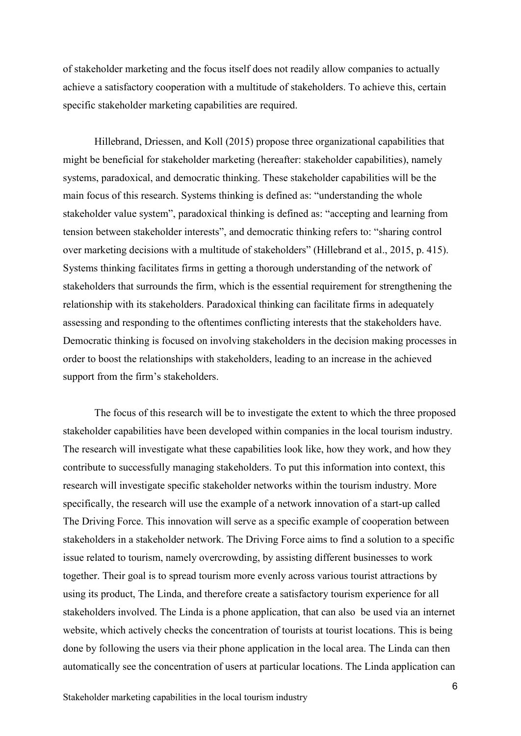of stakeholder marketing and the focus itself does not readily allow companies to actually achieve a satisfactory cooperation with a multitude of stakeholders. To achieve this, certain specific stakeholder marketing capabilities are required.

Hillebrand, Driessen, and Koll (2015) propose three organizational capabilities that might be beneficial for stakeholder marketing (hereafter: stakeholder capabilities), namely systems, paradoxical, and democratic thinking. These stakeholder capabilities will be the main focus of this research. Systems thinking is defined as: "understanding the whole stakeholder value system", paradoxical thinking is defined as: "accepting and learning from tension between stakeholder interests", and democratic thinking refers to: "sharing control over marketing decisions with a multitude of stakeholders" (Hillebrand et al., 2015, p. 415). Systems thinking facilitates firms in getting a thorough understanding of the network of stakeholders that surrounds the firm, which is the essential requirement for strengthening the relationship with its stakeholders. Paradoxical thinking can facilitate firms in adequately assessing and responding to the oftentimes conflicting interests that the stakeholders have. Democratic thinking is focused on involving stakeholders in the decision making processes in order to boost the relationships with stakeholders, leading to an increase in the achieved support from the firm's stakeholders.

The focus of this research will be to investigate the extent to which the three proposed stakeholder capabilities have been developed within companies in the local tourism industry. The research will investigate what these capabilities look like, how they work, and how they contribute to successfully managing stakeholders. To put this information into context, this research will investigate specific stakeholder networks within the tourism industry. More specifically, the research will use the example of a network innovation of a start-up called The Driving Force. This innovation will serve as a specific example of cooperation between stakeholders in a stakeholder network. The Driving Force aims to find a solution to a specific issue related to tourism, namely overcrowding, by assisting different businesses to work together. Their goal is to spread tourism more evenly across various tourist attractions by using its product, The Linda, and therefore create a satisfactory tourism experience for all stakeholders involved. The Linda is a phone application, that can also be used via an internet website, which actively checks the concentration of tourists at tourist locations. This is being done by following the users via their phone application in the local area. The Linda can then automatically see the concentration of users at particular locations. The Linda application can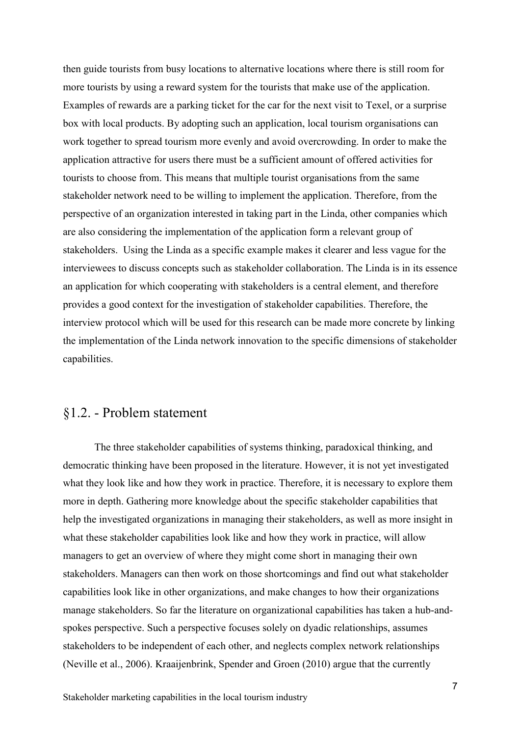then guide tourists from busy locations to alternative locations where there is still room for more tourists by using a reward system for the tourists that make use of the application. Examples of rewards are a parking ticket for the car for the next visit to Texel, or a surprise box with local products. By adopting such an application, local tourism organisations can work together to spread tourism more evenly and avoid overcrowding. In order to make the application attractive for users there must be a sufficient amount of offered activities for tourists to choose from. This means that multiple tourist organisations from the same stakeholder network need to be willing to implement the application. Therefore, from the perspective of an organization interested in taking part in the Linda, other companies which are also considering the implementation of the application form a relevant group of stakeholders. Using the Linda as a specific example makes it clearer and less vague for the interviewees to discuss concepts such as stakeholder collaboration. The Linda is in its essence an application for which cooperating with stakeholders is a central element, and therefore provides a good context for the investigation of stakeholder capabilities. Therefore, the interview protocol which will be used for this research can be made more concrete by linking the implementation of the Linda network innovation to the specific dimensions of stakeholder capabilities.

### <span id="page-7-0"></span>§1.2. - Problem statement

The three stakeholder capabilities of systems thinking, paradoxical thinking, and democratic thinking have been proposed in the literature. However, it is not yet investigated what they look like and how they work in practice. Therefore, it is necessary to explore them more in depth. Gathering more knowledge about the specific stakeholder capabilities that help the investigated organizations in managing their stakeholders, as well as more insight in what these stakeholder capabilities look like and how they work in practice, will allow managers to get an overview of where they might come short in managing their own stakeholders. Managers can then work on those shortcomings and find out what stakeholder capabilities look like in other organizations, and make changes to how their organizations manage stakeholders. So far the literature on organizational capabilities has taken a hub-andspokes perspective. Such a perspective focuses solely on dyadic relationships, assumes stakeholders to be independent of each other, and neglects complex network relationships (Neville et al., 2006). Kraaijenbrink, Spender and Groen (2010) argue that the currently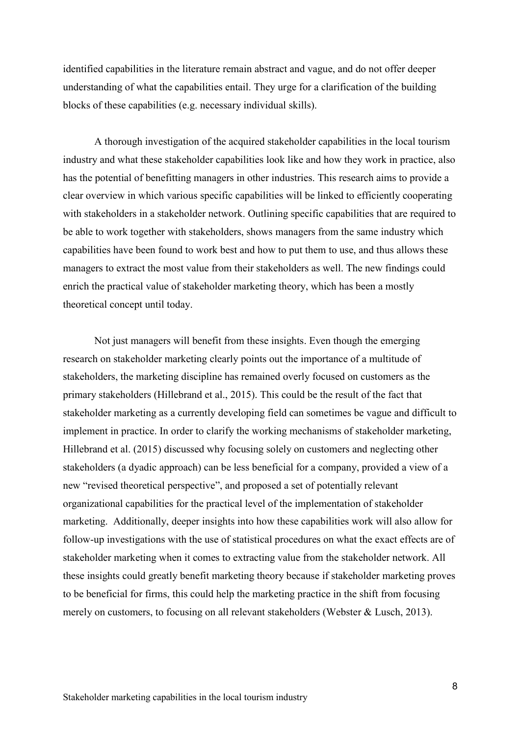identified capabilities in the literature remain abstract and vague, and do not offer deeper understanding of what the capabilities entail. They urge for a clarification of the building blocks of these capabilities (e.g. necessary individual skills).

A thorough investigation of the acquired stakeholder capabilities in the local tourism industry and what these stakeholder capabilities look like and how they work in practice, also has the potential of benefitting managers in other industries. This research aims to provide a clear overview in which various specific capabilities will be linked to efficiently cooperating with stakeholders in a stakeholder network. Outlining specific capabilities that are required to be able to work together with stakeholders, shows managers from the same industry which capabilities have been found to work best and how to put them to use, and thus allows these managers to extract the most value from their stakeholders as well. The new findings could enrich the practical value of stakeholder marketing theory, which has been a mostly theoretical concept until today.

Not just managers will benefit from these insights. Even though the emerging research on stakeholder marketing clearly points out the importance of a multitude of stakeholders, the marketing discipline has remained overly focused on customers as the primary stakeholders (Hillebrand et al., 2015). This could be the result of the fact that stakeholder marketing as a currently developing field can sometimes be vague and difficult to implement in practice. In order to clarify the working mechanisms of stakeholder marketing, Hillebrand et al. (2015) discussed why focusing solely on customers and neglecting other stakeholders (a dyadic approach) can be less beneficial for a company, provided a view of a new "revised theoretical perspective", and proposed a set of potentially relevant organizational capabilities for the practical level of the implementation of stakeholder marketing. Additionally, deeper insights into how these capabilities work will also allow for follow-up investigations with the use of statistical procedures on what the exact effects are of stakeholder marketing when it comes to extracting value from the stakeholder network. All these insights could greatly benefit marketing theory because if stakeholder marketing proves to be beneficial for firms, this could help the marketing practice in the shift from focusing merely on customers, to focusing on all relevant stakeholders (Webster & Lusch, 2013).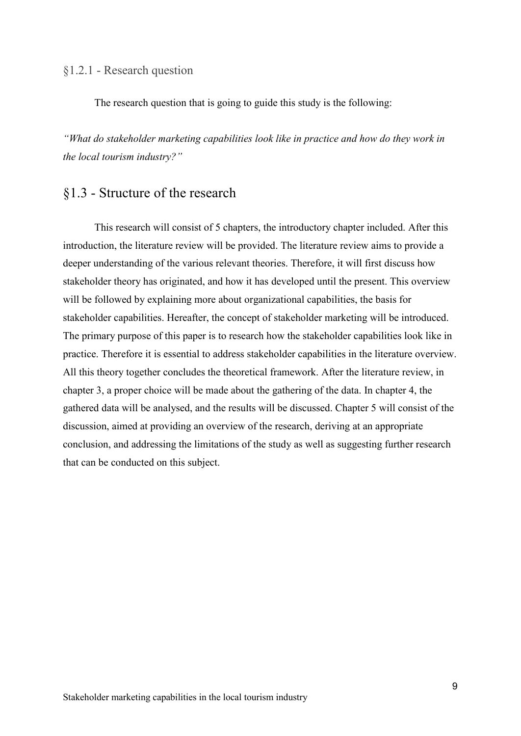#### <span id="page-9-0"></span>§1.2.1 - Research question

The research question that is going to guide this study is the following:

*"What do stakeholder marketing capabilities look like in practice and how do they work in the local tourism industry?"*

### <span id="page-9-1"></span>§1.3 - Structure of the research

This research will consist of 5 chapters, the introductory chapter included. After this introduction, the literature review will be provided. The literature review aims to provide a deeper understanding of the various relevant theories. Therefore, it will first discuss how stakeholder theory has originated, and how it has developed until the present. This overview will be followed by explaining more about organizational capabilities, the basis for stakeholder capabilities. Hereafter, the concept of stakeholder marketing will be introduced. The primary purpose of this paper is to research how the stakeholder capabilities look like in practice. Therefore it is essential to address stakeholder capabilities in the literature overview. All this theory together concludes the theoretical framework. After the literature review, in chapter 3, a proper choice will be made about the gathering of the data. In chapter 4, the gathered data will be analysed, and the results will be discussed. Chapter 5 will consist of the discussion, aimed at providing an overview of the research, deriving at an appropriate conclusion, and addressing the limitations of the study as well as suggesting further research that can be conducted on this subject.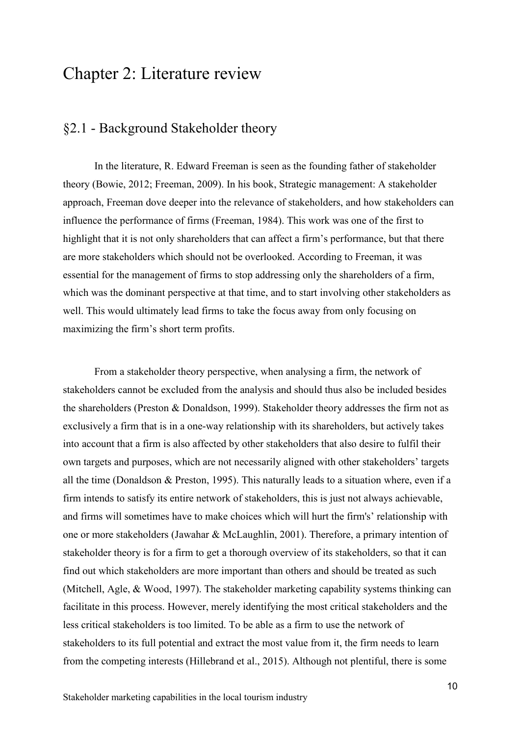# <span id="page-10-0"></span>Chapter 2: Literature review

### <span id="page-10-1"></span>§2.1 - Background Stakeholder theory

In the literature, R. Edward Freeman is seen as the founding father of stakeholder theory (Bowie, 2012; Freeman, 2009). In his book, Strategic management: A stakeholder approach, Freeman dove deeper into the relevance of stakeholders, and how stakeholders can influence the performance of firms (Freeman, 1984). This work was one of the first to highlight that it is not only shareholders that can affect a firm's performance, but that there are more stakeholders which should not be overlooked. According to Freeman, it was essential for the management of firms to stop addressing only the shareholders of a firm, which was the dominant perspective at that time, and to start involving other stakeholders as well. This would ultimately lead firms to take the focus away from only focusing on maximizing the firm's short term profits.

From a stakeholder theory perspective, when analysing a firm, the network of stakeholders cannot be excluded from the analysis and should thus also be included besides the shareholders (Preston & Donaldson, 1999). Stakeholder theory addresses the firm not as exclusively a firm that is in a one-way relationship with its shareholders, but actively takes into account that a firm is also affected by other stakeholders that also desire to fulfil their own targets and purposes, which are not necessarily aligned with other stakeholders' targets all the time (Donaldson & Preston, 1995). This naturally leads to a situation where, even if a firm intends to satisfy its entire network of stakeholders, this is just not always achievable, and firms will sometimes have to make choices which will hurt the firm's' relationship with one or more stakeholders (Jawahar & McLaughlin, 2001). Therefore, a primary intention of stakeholder theory is for a firm to get a thorough overview of its stakeholders, so that it can find out which stakeholders are more important than others and should be treated as such (Mitchell, Agle, & Wood, 1997). The stakeholder marketing capability systems thinking can facilitate in this process. However, merely identifying the most critical stakeholders and the less critical stakeholders is too limited. To be able as a firm to use the network of stakeholders to its full potential and extract the most value from it, the firm needs to learn from the competing interests (Hillebrand et al., 2015). Although not plentiful, there is some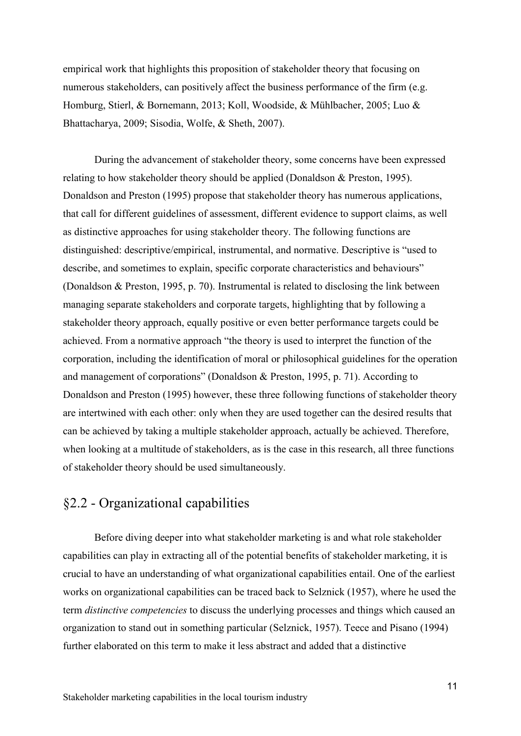empirical work that highlights this proposition of stakeholder theory that focusing on numerous stakeholders, can positively affect the business performance of the firm (e.g. Homburg, Stierl, & Bornemann, 2013; Koll, Woodside, & Mühlbacher, 2005; Luo & Bhattacharya, 2009; Sisodia, Wolfe, & Sheth, 2007).

During the advancement of stakeholder theory, some concerns have been expressed relating to how stakeholder theory should be applied (Donaldson & Preston, 1995). Donaldson and Preston (1995) propose that stakeholder theory has numerous applications, that call for different guidelines of assessment, different evidence to support claims, as well as distinctive approaches for using stakeholder theory. The following functions are distinguished: descriptive/empirical, instrumental, and normative. Descriptive is "used to describe, and sometimes to explain, specific corporate characteristics and behaviours" (Donaldson & Preston, 1995, p. 70). Instrumental is related to disclosing the link between managing separate stakeholders and corporate targets, highlighting that by following a stakeholder theory approach, equally positive or even better performance targets could be achieved. From a normative approach "the theory is used to interpret the function of the corporation, including the identification of moral or philosophical guidelines for the operation and management of corporations" (Donaldson & Preston, 1995, p. 71). According to Donaldson and Preston (1995) however, these three following functions of stakeholder theory are intertwined with each other: only when they are used together can the desired results that can be achieved by taking a multiple stakeholder approach, actually be achieved. Therefore, when looking at a multitude of stakeholders, as is the case in this research, all three functions of stakeholder theory should be used simultaneously.

### <span id="page-11-0"></span>§2.2 - Organizational capabilities

Before diving deeper into what stakeholder marketing is and what role stakeholder capabilities can play in extracting all of the potential benefits of stakeholder marketing, it is crucial to have an understanding of what organizational capabilities entail. One of the earliest works on organizational capabilities can be traced back to Selznick (1957), where he used the term *distinctive competencies* to discuss the underlying processes and things which caused an organization to stand out in something particular (Selznick, 1957). Teece and Pisano (1994) further elaborated on this term to make it less abstract and added that a distinctive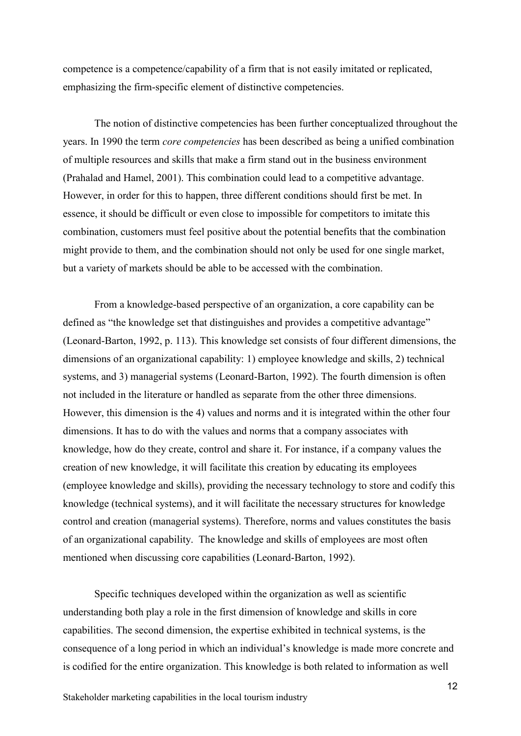competence is a competence/capability of a firm that is not easily imitated or replicated, emphasizing the firm-specific element of distinctive competencies.

The notion of distinctive competencies has been further conceptualized throughout the years. In 1990 the term *core competencies* has been described as being a unified combination of multiple resources and skills that make a firm stand out in the business environment (Prahalad and Hamel, 2001). This combination could lead to a competitive advantage. However, in order for this to happen, three different conditions should first be met. In essence, it should be difficult or even close to impossible for competitors to imitate this combination, customers must feel positive about the potential benefits that the combination might provide to them, and the combination should not only be used for one single market, but a variety of markets should be able to be accessed with the combination.

From a knowledge-based perspective of an organization, a core capability can be defined as "the knowledge set that distinguishes and provides a competitive advantage" (Leonard-Barton, 1992, p. 113). This knowledge set consists of four different dimensions, the dimensions of an organizational capability: 1) employee knowledge and skills, 2) technical systems, and 3) managerial systems (Leonard-Barton, 1992). The fourth dimension is often not included in the literature or handled as separate from the other three dimensions. However, this dimension is the 4) values and norms and it is integrated within the other four dimensions. It has to do with the values and norms that a company associates with knowledge, how do they create, control and share it. For instance, if a company values the creation of new knowledge, it will facilitate this creation by educating its employees (employee knowledge and skills), providing the necessary technology to store and codify this knowledge (technical systems), and it will facilitate the necessary structures for knowledge control and creation (managerial systems). Therefore, norms and values constitutes the basis of an organizational capability. The knowledge and skills of employees are most often mentioned when discussing core capabilities (Leonard-Barton, 1992).

Specific techniques developed within the organization as well as scientific understanding both play a role in the first dimension of knowledge and skills in core capabilities. The second dimension, the expertise exhibited in technical systems, is the consequence of a long period in which an individual's knowledge is made more concrete and is codified for the entire organization. This knowledge is both related to information as well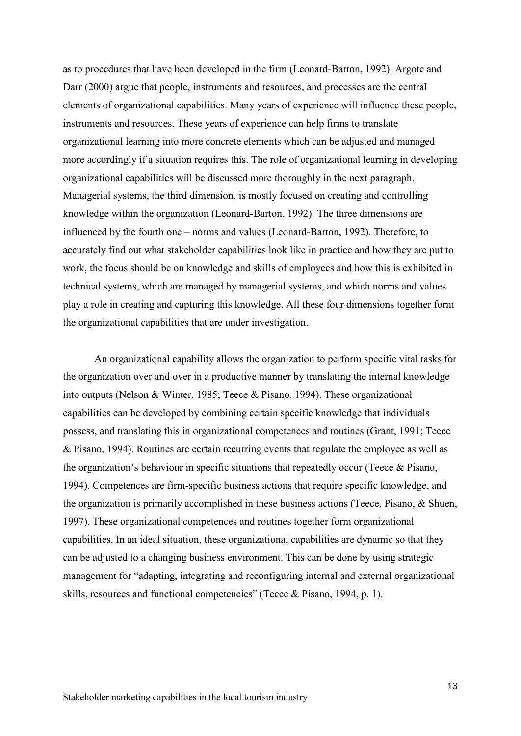as to procedures that have been developed in the firm (Leonard-Barton, 1992). Argote and Darr (2000) argue that people, instruments and resources, and processes are the central elements of organizational capabilities. Many years of experience will influence these people, instruments and resources. These years of experience can help firms to translate organizational learning into more concrete elements which can be adjusted and managed more accordingly if a situation requires this. The role of organizational learning in developing organizational capabilities will be discussed more thoroughly in the next paragraph. Managerial systems, the third dimension, is mostly focused on creating and controlling knowledge within the organization (Leonard-Barton, 1992). The three dimensions are influenced by the fourth one – norms and values (Leonard-Barton, 1992). Therefore, to accurately find out what stakeholder capabilities look like in practice and how they are put to work, the focus should be on knowledge and skills of employees and how this is exhibited in technical systems, which are managed by managerial systems, and which norms and values play a role in creating and capturing this knowledge. All these four dimensions together form the organizational capabilities that are under investigation.

An organizational capability allows the organization to perform specific vital tasks for the organization over and over in a productive manner by translating the internal knowledge into outputs (Nelson & Winter, 1985; Teece & Pisano, 1994). These organizational capabilities can be developed by combining certain specific knowledge that individuals possess, and translating this in organizational competences and routines (Grant, 1991; Teece & Pisano, 1994). Routines are certain recurring events that regulate the employee as well as the organization's behaviour in specific situations that repeatedly occur (Teece & Pisano, 1994). Competences are firm-specific business actions that require specific knowledge, and the organization is primarily accomplished in these business actions (Teece, Pisano, & Shuen, 1997). These organizational competences and routines together form organizational capabilities. In an ideal situation, these organizational capabilities are dynamic so that they can be adjusted to a changing business environment. This can be done by using strategic management for "adapting, integrating and reconfiguring internal and external organizational skills, resources and functional competencies" (Teece & Pisano, 1994, p. 1).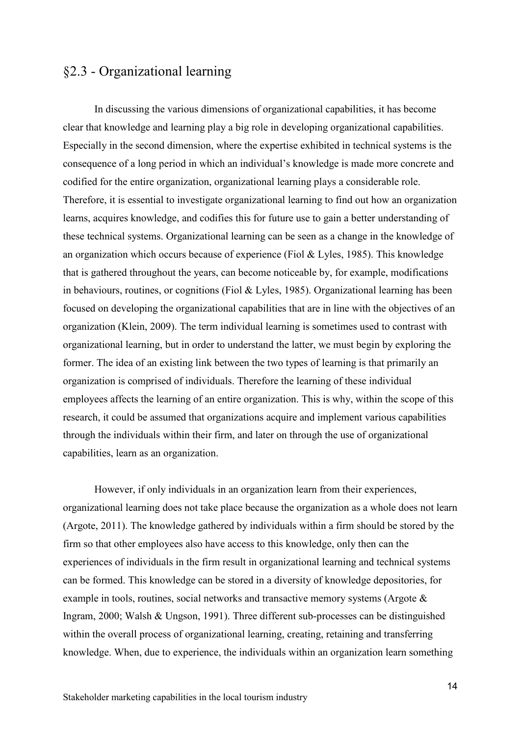### <span id="page-14-0"></span>§2.3 - Organizational learning

In discussing the various dimensions of organizational capabilities, it has become clear that knowledge and learning play a big role in developing organizational capabilities. Especially in the second dimension, where the expertise exhibited in technical systems is the consequence of a long period in which an individual's knowledge is made more concrete and codified for the entire organization, organizational learning plays a considerable role. Therefore, it is essential to investigate organizational learning to find out how an organization learns, acquires knowledge, and codifies this for future use to gain a better understanding of these technical systems. Organizational learning can be seen as a change in the knowledge of an organization which occurs because of experience (Fiol & Lyles, 1985). This knowledge that is gathered throughout the years, can become noticeable by, for example, modifications in behaviours, routines, or cognitions (Fiol & Lyles, 1985). Organizational learning has been focused on developing the organizational capabilities that are in line with the objectives of an organization (Klein, 2009). The term individual learning is sometimes used to contrast with organizational learning, but in order to understand the latter, we must begin by exploring the former. The idea of an existing link between the two types of learning is that primarily an organization is comprised of individuals. Therefore the learning of these individual employees affects the learning of an entire organization. This is why, within the scope of this research, it could be assumed that organizations acquire and implement various capabilities through the individuals within their firm, and later on through the use of organizational capabilities, learn as an organization.

However, if only individuals in an organization learn from their experiences, organizational learning does not take place because the organization as a whole does not learn (Argote, 2011). The knowledge gathered by individuals within a firm should be stored by the firm so that other employees also have access to this knowledge, only then can the experiences of individuals in the firm result in organizational learning and technical systems can be formed. This knowledge can be stored in a diversity of knowledge depositories, for example in tools, routines, social networks and transactive memory systems (Argote & Ingram, 2000; Walsh & Ungson, 1991). Three different sub-processes can be distinguished within the overall process of organizational learning, creating, retaining and transferring knowledge. When, due to experience, the individuals within an organization learn something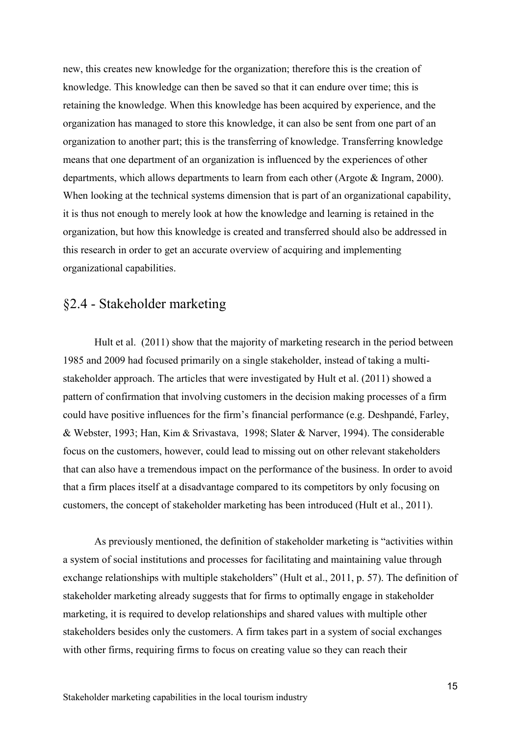new, this creates new knowledge for the organization; therefore this is the creation of knowledge. This knowledge can then be saved so that it can endure over time; this is retaining the knowledge. When this knowledge has been acquired by experience, and the organization has managed to store this knowledge, it can also be sent from one part of an organization to another part; this is the transferring of knowledge. Transferring knowledge means that one department of an organization is influenced by the experiences of other departments, which allows departments to learn from each other (Argote & Ingram, 2000). When looking at the technical systems dimension that is part of an organizational capability, it is thus not enough to merely look at how the knowledge and learning is retained in the organization, but how this knowledge is created and transferred should also be addressed in this research in order to get an accurate overview of acquiring and implementing organizational capabilities.

### <span id="page-15-0"></span>§2.4 - Stakeholder marketing

Hult et al. (2011) show that the majority of marketing research in the period between 1985 and 2009 had focused primarily on a single stakeholder, instead of taking a multistakeholder approach. The articles that were investigated by Hult et al. (2011) showed a pattern of confirmation that involving customers in the decision making processes of a firm could have positive influences for the firm's financial performance (e.g. Deshpandé, Farley, & Webster, 1993; Han, Kim & Srivastava, 1998; Slater & Narver, 1994). The considerable focus on the customers, however, could lead to missing out on other relevant stakeholders that can also have a tremendous impact on the performance of the business. In order to avoid that a firm places itself at a disadvantage compared to its competitors by only focusing on customers, the concept of stakeholder marketing has been introduced (Hult et al., 2011).

As previously mentioned, the definition of stakeholder marketing is "activities within a system of social institutions and processes for facilitating and maintaining value through exchange relationships with multiple stakeholders" (Hult et al., 2011, p. 57). The definition of stakeholder marketing already suggests that for firms to optimally engage in stakeholder marketing, it is required to develop relationships and shared values with multiple other stakeholders besides only the customers. A firm takes part in a system of social exchanges with other firms, requiring firms to focus on creating value so they can reach their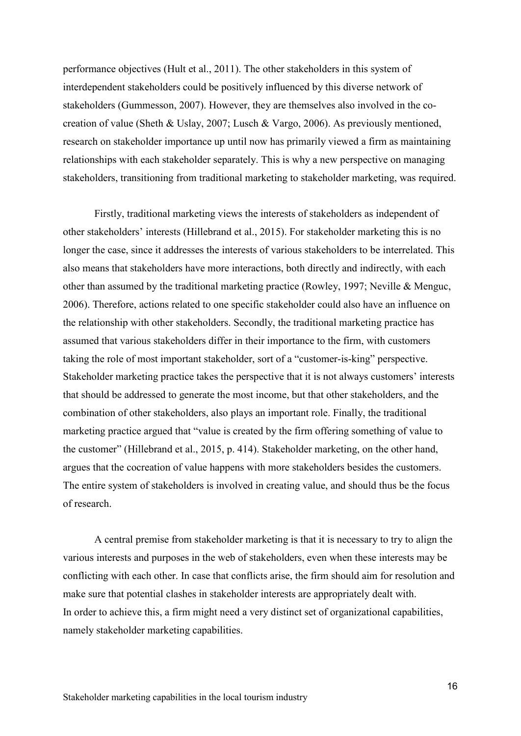performance objectives (Hult et al., 2011). The other stakeholders in this system of interdependent stakeholders could be positively influenced by this diverse network of stakeholders (Gummesson, 2007). However, they are themselves also involved in the cocreation of value (Sheth & Uslay, 2007; Lusch & Vargo, 2006). As previously mentioned, research on stakeholder importance up until now has primarily viewed a firm as maintaining relationships with each stakeholder separately. This is why a new perspective on managing stakeholders, transitioning from traditional marketing to stakeholder marketing, was required.

Firstly, traditional marketing views the interests of stakeholders as independent of other stakeholders' interests (Hillebrand et al., 2015). For stakeholder marketing this is no longer the case, since it addresses the interests of various stakeholders to be interrelated. This also means that stakeholders have more interactions, both directly and indirectly, with each other than assumed by the traditional marketing practice (Rowley, 1997; Neville & Menguc, 2006). Therefore, actions related to one specific stakeholder could also have an influence on the relationship with other stakeholders. Secondly, the traditional marketing practice has assumed that various stakeholders differ in their importance to the firm, with customers taking the role of most important stakeholder, sort of a "customer-is-king" perspective. Stakeholder marketing practice takes the perspective that it is not always customers' interests that should be addressed to generate the most income, but that other stakeholders, and the combination of other stakeholders, also plays an important role. Finally, the traditional marketing practice argued that "value is created by the firm offering something of value to the customer" (Hillebrand et al., 2015, p. 414). Stakeholder marketing, on the other hand, argues that the cocreation of value happens with more stakeholders besides the customers. The entire system of stakeholders is involved in creating value, and should thus be the focus of research.

A central premise from stakeholder marketing is that it is necessary to try to align the various interests and purposes in the web of stakeholders, even when these interests may be conflicting with each other. In case that conflicts arise, the firm should aim for resolution and make sure that potential clashes in stakeholder interests are appropriately dealt with. In order to achieve this, a firm might need a very distinct set of organizational capabilities, namely stakeholder marketing capabilities.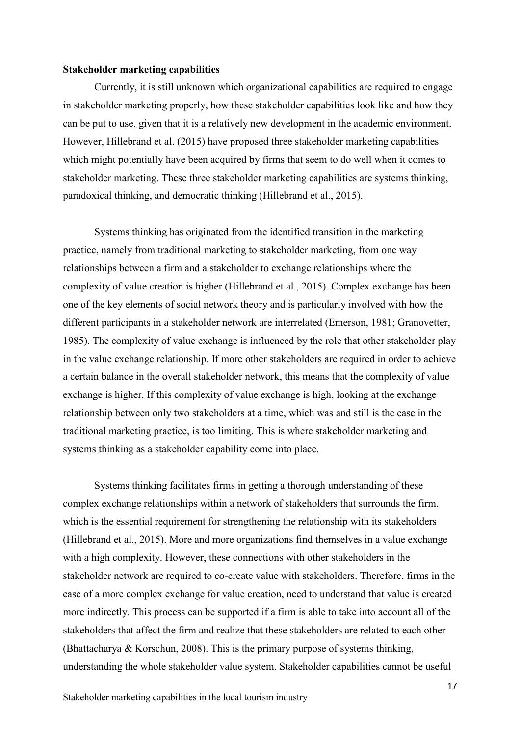#### **Stakeholder marketing capabilities**

Currently, it is still unknown which organizational capabilities are required to engage in stakeholder marketing properly, how these stakeholder capabilities look like and how they can be put to use, given that it is a relatively new development in the academic environment. However, Hillebrand et al. (2015) have proposed three stakeholder marketing capabilities which might potentially have been acquired by firms that seem to do well when it comes to stakeholder marketing. These three stakeholder marketing capabilities are systems thinking, paradoxical thinking, and democratic thinking (Hillebrand et al., 2015).

Systems thinking has originated from the identified transition in the marketing practice, namely from traditional marketing to stakeholder marketing, from one way relationships between a firm and a stakeholder to exchange relationships where the complexity of value creation is higher (Hillebrand et al., 2015). Complex exchange has been one of the key elements of social network theory and is particularly involved with how the different participants in a stakeholder network are interrelated (Emerson, 1981; Granovetter, 1985). The complexity of value exchange is influenced by the role that other stakeholder play in the value exchange relationship. If more other stakeholders are required in order to achieve a certain balance in the overall stakeholder network, this means that the complexity of value exchange is higher. If this complexity of value exchange is high, looking at the exchange relationship between only two stakeholders at a time, which was and still is the case in the traditional marketing practice, is too limiting. This is where stakeholder marketing and systems thinking as a stakeholder capability come into place.

Systems thinking facilitates firms in getting a thorough understanding of these complex exchange relationships within a network of stakeholders that surrounds the firm, which is the essential requirement for strengthening the relationship with its stakeholders (Hillebrand et al., 2015). More and more organizations find themselves in a value exchange with a high complexity. However, these connections with other stakeholders in the stakeholder network are required to co-create value with stakeholders. Therefore, firms in the case of a more complex exchange for value creation, need to understand that value is created more indirectly. This process can be supported if a firm is able to take into account all of the stakeholders that affect the firm and realize that these stakeholders are related to each other (Bhattacharya & Korschun, 2008). This is the primary purpose of systems thinking, understanding the whole stakeholder value system. Stakeholder capabilities cannot be useful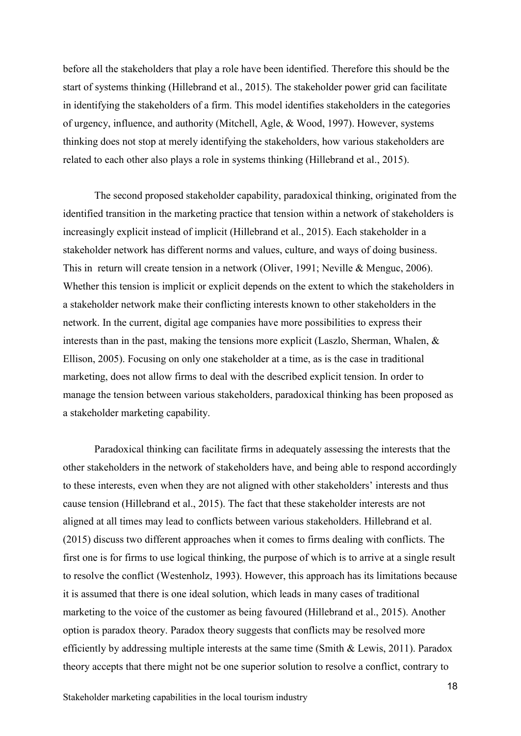before all the stakeholders that play a role have been identified. Therefore this should be the start of systems thinking (Hillebrand et al., 2015). The stakeholder power grid can facilitate in identifying the stakeholders of a firm. This model identifies stakeholders in the categories of urgency, influence, and authority (Mitchell, Agle, & Wood, 1997). However, systems thinking does not stop at merely identifying the stakeholders, how various stakeholders are related to each other also plays a role in systems thinking (Hillebrand et al., 2015).

The second proposed stakeholder capability, paradoxical thinking, originated from the identified transition in the marketing practice that tension within a network of stakeholders is increasingly explicit instead of implicit (Hillebrand et al., 2015). Each stakeholder in a stakeholder network has different norms and values, culture, and ways of doing business. This in return will create tension in a network (Oliver, 1991; Neville & Menguc, 2006). Whether this tension is implicit or explicit depends on the extent to which the stakeholders in a stakeholder network make their conflicting interests known to other stakeholders in the network. In the current, digital age companies have more possibilities to express their interests than in the past, making the tensions more explicit (Laszlo, Sherman, Whalen, & Ellison, 2005). Focusing on only one stakeholder at a time, as is the case in traditional marketing, does not allow firms to deal with the described explicit tension. In order to manage the tension between various stakeholders, paradoxical thinking has been proposed as a stakeholder marketing capability.

Paradoxical thinking can facilitate firms in adequately assessing the interests that the other stakeholders in the network of stakeholders have, and being able to respond accordingly to these interests, even when they are not aligned with other stakeholders' interests and thus cause tension (Hillebrand et al., 2015). The fact that these stakeholder interests are not aligned at all times may lead to conflicts between various stakeholders. Hillebrand et al. (2015) discuss two different approaches when it comes to firms dealing with conflicts. The first one is for firms to use logical thinking, the purpose of which is to arrive at a single result to resolve the conflict (Westenholz, 1993). However, this approach has its limitations because it is assumed that there is one ideal solution, which leads in many cases of traditional marketing to the voice of the customer as being favoured (Hillebrand et al., 2015). Another option is paradox theory. Paradox theory suggests that conflicts may be resolved more efficiently by addressing multiple interests at the same time (Smith & Lewis, 2011). Paradox theory accepts that there might not be one superior solution to resolve a conflict, contrary to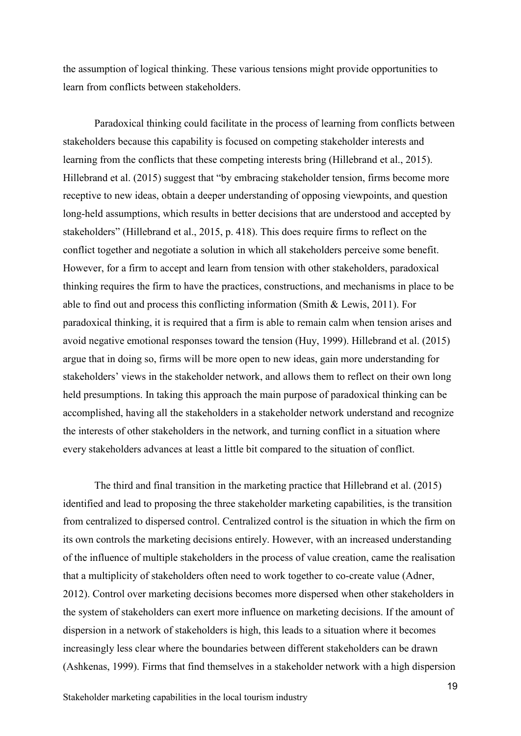the assumption of logical thinking. These various tensions might provide opportunities to learn from conflicts between stakeholders.

Paradoxical thinking could facilitate in the process of learning from conflicts between stakeholders because this capability is focused on competing stakeholder interests and learning from the conflicts that these competing interests bring (Hillebrand et al., 2015). Hillebrand et al. (2015) suggest that "by embracing stakeholder tension, firms become more receptive to new ideas, obtain a deeper understanding of opposing viewpoints, and question long-held assumptions, which results in better decisions that are understood and accepted by stakeholders" (Hillebrand et al., 2015, p. 418). This does require firms to reflect on the conflict together and negotiate a solution in which all stakeholders perceive some benefit. However, for a firm to accept and learn from tension with other stakeholders, paradoxical thinking requires the firm to have the practices, constructions, and mechanisms in place to be able to find out and process this conflicting information (Smith & Lewis, 2011). For paradoxical thinking, it is required that a firm is able to remain calm when tension arises and avoid negative emotional responses toward the tension (Huy, 1999). Hillebrand et al. (2015) argue that in doing so, firms will be more open to new ideas, gain more understanding for stakeholders' views in the stakeholder network, and allows them to reflect on their own long held presumptions. In taking this approach the main purpose of paradoxical thinking can be accomplished, having all the stakeholders in a stakeholder network understand and recognize the interests of other stakeholders in the network, and turning conflict in a situation where every stakeholders advances at least a little bit compared to the situation of conflict.

The third and final transition in the marketing practice that Hillebrand et al. (2015) identified and lead to proposing the three stakeholder marketing capabilities, is the transition from centralized to dispersed control. Centralized control is the situation in which the firm on its own controls the marketing decisions entirely. However, with an increased understanding of the influence of multiple stakeholders in the process of value creation, came the realisation that a multiplicity of stakeholders often need to work together to co-create value (Adner, 2012). Control over marketing decisions becomes more dispersed when other stakeholders in the system of stakeholders can exert more influence on marketing decisions. If the amount of dispersion in a network of stakeholders is high, this leads to a situation where it becomes increasingly less clear where the boundaries between different stakeholders can be drawn (Ashkenas, 1999). Firms that find themselves in a stakeholder network with a high dispersion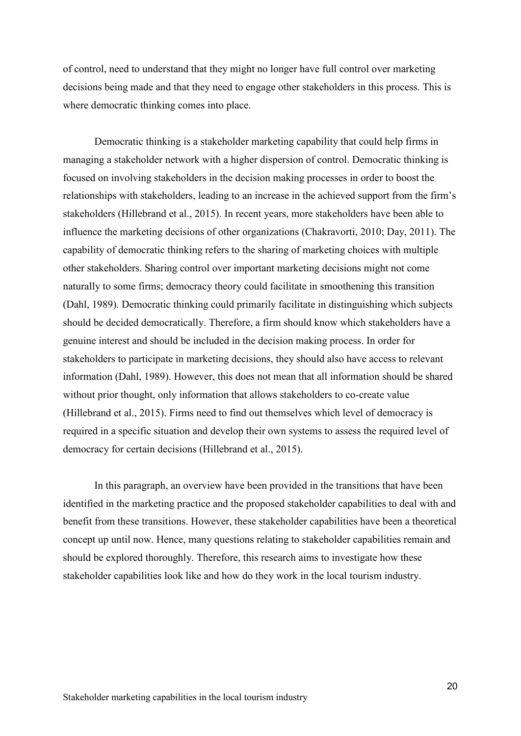of control, need to understand that they might no longer have full control over marketing decisions being made and that they need to engage other stakeholders in this process. This is where democratic thinking comes into place.

Democratic thinking is a stakeholder marketing capability that could help firms in managing a stakeholder network with a higher dispersion of control. Democratic thinking is focused on involving stakeholders in the decision making processes in order to boost the relationships with stakeholders, leading to an increase in the achieved support from the firm's stakeholders (Hillebrand et al., 2015). In recent years, more stakeholders have been able to influence the marketing decisions of other organizations (Chakravorti, 2010; Day, 2011). The capability of democratic thinking refers to the sharing of marketing choices with multiple other stakeholders. Sharing control over important marketing decisions might not come naturally to some firms; democracy theory could facilitate in smoothening this transition (Dahl, 1989). Democratic thinking could primarily facilitate in distinguishing which subjects should be decided democratically. Therefore, a firm should know which stakeholders have a genuine interest and should be included in the decision making process. In order for stakeholders to participate in marketing decisions, they should also have access to relevant information (Dahl, 1989). However, this does not mean that all information should be shared without prior thought, only information that allows stakeholders to co-create value (Hillebrand et al., 2015). Firms need to find out themselves which level of democracy is required in a specific situation and develop their own systems to assess the required level of democracy for certain decisions (Hillebrand et al., 2015).

In this paragraph, an overview have been provided in the transitions that have been identified in the marketing practice and the proposed stakeholder capabilities to deal with and benefit from these transitions. However, these stakeholder capabilities have been a theoretical concept up until now. Hence, many questions relating to stakeholder capabilities remain and should be explored thoroughly. Therefore, this research aims to investigate how these stakeholder capabilities look like and how do they work in the local tourism industry.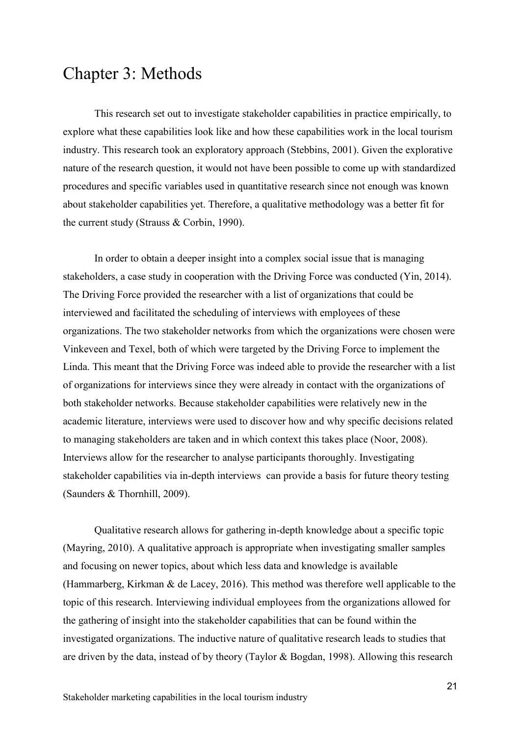# <span id="page-21-0"></span>Chapter 3: Methods

This research set out to investigate stakeholder capabilities in practice empirically, to explore what these capabilities look like and how these capabilities work in the local tourism industry. This research took an exploratory approach (Stebbins, 2001). Given the explorative nature of the research question, it would not have been possible to come up with standardized procedures and specific variables used in quantitative research since not enough was known about stakeholder capabilities yet. Therefore, a qualitative methodology was a better fit for the current study (Strauss & Corbin, 1990).

In order to obtain a deeper insight into a complex social issue that is managing stakeholders, a case study in cooperation with the Driving Force was conducted (Yin, 2014). The Driving Force provided the researcher with a list of organizations that could be interviewed and facilitated the scheduling of interviews with employees of these organizations. The two stakeholder networks from which the organizations were chosen were Vinkeveen and Texel, both of which were targeted by the Driving Force to implement the Linda. This meant that the Driving Force was indeed able to provide the researcher with a list of organizations for interviews since they were already in contact with the organizations of both stakeholder networks. Because stakeholder capabilities were relatively new in the academic literature, interviews were used to discover how and why specific decisions related to managing stakeholders are taken and in which context this takes place (Noor, 2008). Interviews allow for the researcher to analyse participants thoroughly. Investigating stakeholder capabilities via in-depth interviews can provide a basis for future theory testing (Saunders & Thornhill, 2009).

Qualitative research allows for gathering in-depth knowledge about a specific topic (Mayring, 2010). A qualitative approach is appropriate when investigating smaller samples and focusing on newer topics, about which less data and knowledge is available (Hammarberg, Kirkman & de Lacey, 2016). This method was therefore well applicable to the topic of this research. Interviewing individual employees from the organizations allowed for the gathering of insight into the stakeholder capabilities that can be found within the investigated organizations. The inductive nature of qualitative research leads to studies that are driven by the data, instead of by theory (Taylor & Bogdan, 1998). Allowing this research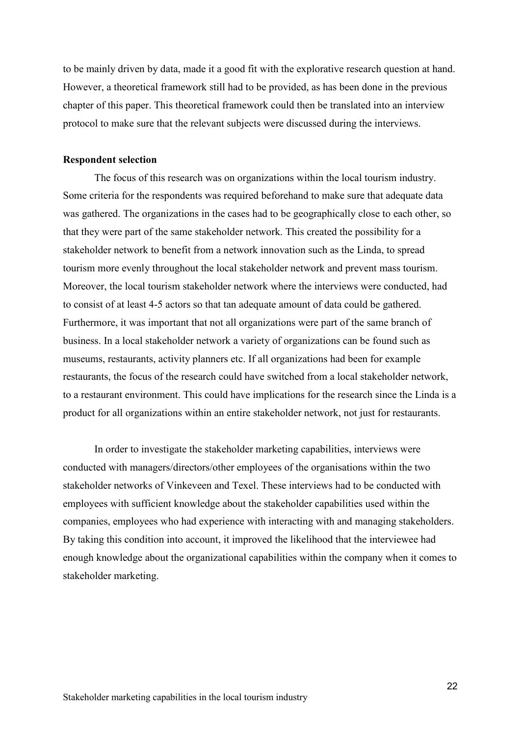to be mainly driven by data, made it a good fit with the explorative research question at hand. However, a theoretical framework still had to be provided, as has been done in the previous chapter of this paper. This theoretical framework could then be translated into an interview protocol to make sure that the relevant subjects were discussed during the interviews.

#### **Respondent selection**

The focus of this research was on organizations within the local tourism industry. Some criteria for the respondents was required beforehand to make sure that adequate data was gathered. The organizations in the cases had to be geographically close to each other, so that they were part of the same stakeholder network. This created the possibility for a stakeholder network to benefit from a network innovation such as the Linda, to spread tourism more evenly throughout the local stakeholder network and prevent mass tourism. Moreover, the local tourism stakeholder network where the interviews were conducted, had to consist of at least 4-5 actors so that tan adequate amount of data could be gathered. Furthermore, it was important that not all organizations were part of the same branch of business. In a local stakeholder network a variety of organizations can be found such as museums, restaurants, activity planners etc. If all organizations had been for example restaurants, the focus of the research could have switched from a local stakeholder network, to a restaurant environment. This could have implications for the research since the Linda is a product for all organizations within an entire stakeholder network, not just for restaurants.

In order to investigate the stakeholder marketing capabilities, interviews were conducted with managers/directors/other employees of the organisations within the two stakeholder networks of Vinkeveen and Texel. These interviews had to be conducted with employees with sufficient knowledge about the stakeholder capabilities used within the companies, employees who had experience with interacting with and managing stakeholders. By taking this condition into account, it improved the likelihood that the interviewee had enough knowledge about the organizational capabilities within the company when it comes to stakeholder marketing.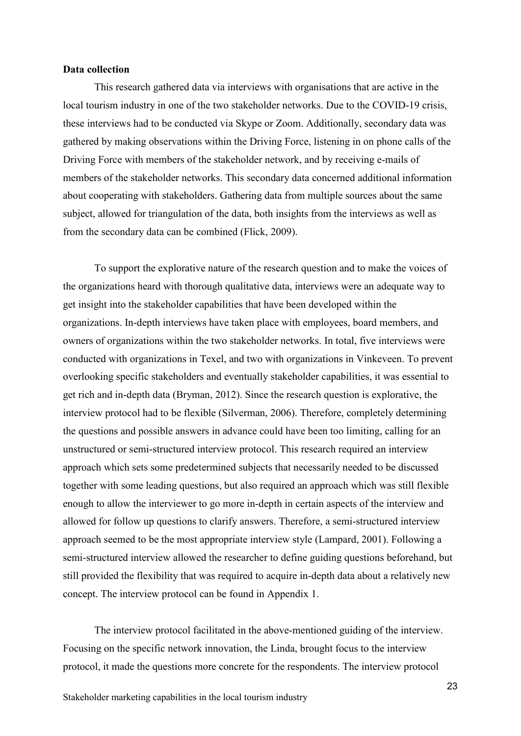#### **Data collection**

This research gathered data via interviews with organisations that are active in the local tourism industry in one of the two stakeholder networks. Due to the COVID-19 crisis, these interviews had to be conducted via Skype or Zoom. Additionally, secondary data was gathered by making observations within the Driving Force, listening in on phone calls of the Driving Force with members of the stakeholder network, and by receiving e-mails of members of the stakeholder networks. This secondary data concerned additional information about cooperating with stakeholders. Gathering data from multiple sources about the same subject, allowed for triangulation of the data, both insights from the interviews as well as from the secondary data can be combined (Flick, 2009).

To support the explorative nature of the research question and to make the voices of the organizations heard with thorough qualitative data, interviews were an adequate way to get insight into the stakeholder capabilities that have been developed within the organizations. In-depth interviews have taken place with employees, board members, and owners of organizations within the two stakeholder networks. In total, five interviews were conducted with organizations in Texel, and two with organizations in Vinkeveen. To prevent overlooking specific stakeholders and eventually stakeholder capabilities, it was essential to get rich and in-depth data (Bryman, 2012). Since the research question is explorative, the interview protocol had to be flexible (Silverman, 2006). Therefore, completely determining the questions and possible answers in advance could have been too limiting, calling for an unstructured or semi-structured interview protocol. This research required an interview approach which sets some predetermined subjects that necessarily needed to be discussed together with some leading questions, but also required an approach which was still flexible enough to allow the interviewer to go more in-depth in certain aspects of the interview and allowed for follow up questions to clarify answers. Therefore, a semi-structured interview approach seemed to be the most appropriate interview style (Lampard, 2001). Following a semi-structured interview allowed the researcher to define guiding questions beforehand, but still provided the flexibility that was required to acquire in-depth data about a relatively new concept. The interview protocol can be found in Appendix 1.

The interview protocol facilitated in the above-mentioned guiding of the interview. Focusing on the specific network innovation, the Linda, brought focus to the interview protocol, it made the questions more concrete for the respondents. The interview protocol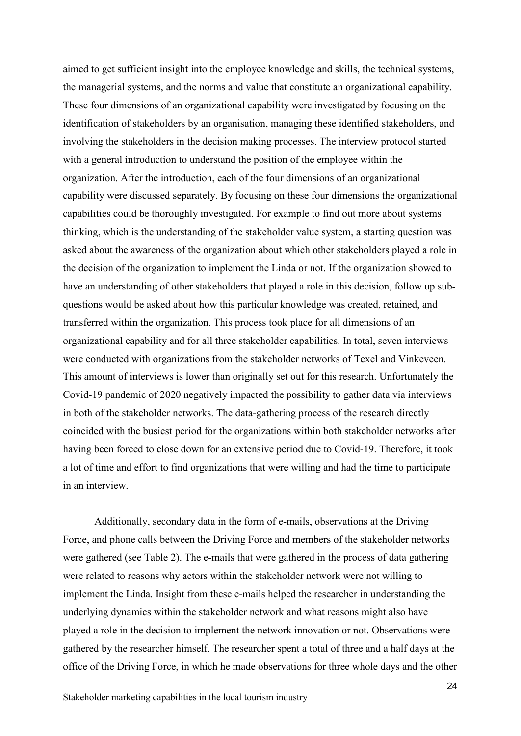aimed to get sufficient insight into the employee knowledge and skills, the technical systems, the managerial systems, and the norms and value that constitute an organizational capability. These four dimensions of an organizational capability were investigated by focusing on the identification of stakeholders by an organisation, managing these identified stakeholders, and involving the stakeholders in the decision making processes. The interview protocol started with a general introduction to understand the position of the employee within the organization. After the introduction, each of the four dimensions of an organizational capability were discussed separately. By focusing on these four dimensions the organizational capabilities could be thoroughly investigated. For example to find out more about systems thinking, which is the understanding of the stakeholder value system, a starting question was asked about the awareness of the organization about which other stakeholders played a role in the decision of the organization to implement the Linda or not. If the organization showed to have an understanding of other stakeholders that played a role in this decision, follow up subquestions would be asked about how this particular knowledge was created, retained, and transferred within the organization. This process took place for all dimensions of an organizational capability and for all three stakeholder capabilities. In total, seven interviews were conducted with organizations from the stakeholder networks of Texel and Vinkeveen. This amount of interviews is lower than originally set out for this research. Unfortunately the Covid-19 pandemic of 2020 negatively impacted the possibility to gather data via interviews in both of the stakeholder networks. The data-gathering process of the research directly coincided with the busiest period for the organizations within both stakeholder networks after having been forced to close down for an extensive period due to Covid-19. Therefore, it took a lot of time and effort to find organizations that were willing and had the time to participate in an interview.

Additionally, secondary data in the form of e-mails, observations at the Driving Force, and phone calls between the Driving Force and members of the stakeholder networks were gathered (see Table 2). The e-mails that were gathered in the process of data gathering were related to reasons why actors within the stakeholder network were not willing to implement the Linda. Insight from these e-mails helped the researcher in understanding the underlying dynamics within the stakeholder network and what reasons might also have played a role in the decision to implement the network innovation or not. Observations were gathered by the researcher himself. The researcher spent a total of three and a half days at the office of the Driving Force, in which he made observations for three whole days and the other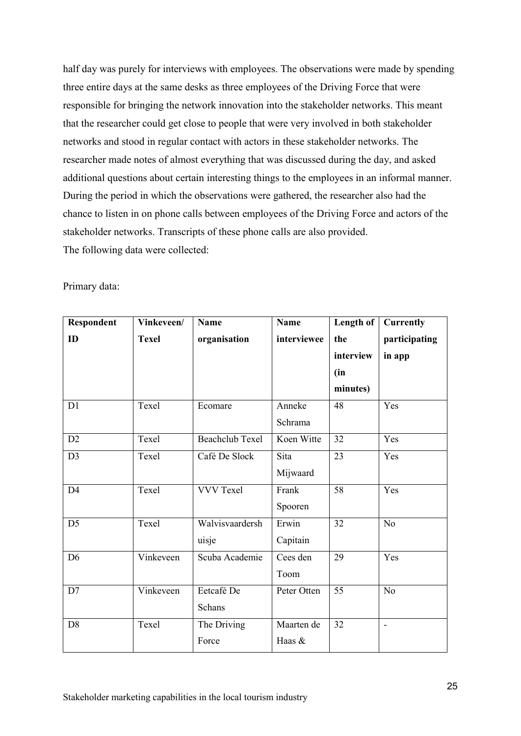half day was purely for interviews with employees. The observations were made by spending three entire days at the same desks as three employees of the Driving Force that were responsible for bringing the network innovation into the stakeholder networks. This meant that the researcher could get close to people that were very involved in both stakeholder networks and stood in regular contact with actors in these stakeholder networks. The researcher made notes of almost everything that was discussed during the day, and asked additional questions about certain interesting things to the employees in an informal manner. During the period in which the observations were gathered, the researcher also had the chance to listen in on phone calls between employees of the Driving Force and actors of the stakeholder networks. Transcripts of these phone calls are also provided. The following data were collected:

| Primary data: |  |
|---------------|--|
|---------------|--|

| Respondent     | Vinkeveen/   | <b>Name</b>            | Name        | Length of       | <b>Currently</b> |
|----------------|--------------|------------------------|-------------|-----------------|------------------|
| ID             | <b>Texel</b> | organisation           | interviewee | the             | participating    |
|                |              |                        |             | interview       | in app           |
|                |              |                        |             | (in             |                  |
|                |              |                        |             | minutes)        |                  |
| D1             | Texel        | Ecomare                | Anneke      | 48              | Yes              |
|                |              |                        | Schrama     |                 |                  |
| D2             | Texel        | <b>Beachclub Texel</b> | Koen Witte  | 32              | Yes              |
| D <sub>3</sub> | Texel        | Café De Slock          | Sita        | 23              | Yes              |
|                |              |                        | Mijwaard    |                 |                  |
| D <sub>4</sub> | Texel        | <b>VVV Texel</b>       | Frank       | $\overline{58}$ | Yes              |
|                |              |                        | Spooren     |                 |                  |
| D <sub>5</sub> | Texel        | Walvisvaardersh        | Erwin       | 32              | N <sub>o</sub>   |
|                |              | uisje                  | Capitain    |                 |                  |
| D <sub>6</sub> | Vinkeveen    | Scuba Academie         | Cees den    | 29              | Yes              |
|                |              |                        | Toom        |                 |                  |
| D7             | Vinkeveen    | Eetcafé De             | Peter Otten | 55              | N <sub>o</sub>   |
|                |              | Schans                 |             |                 |                  |
| D <sub>8</sub> | Texel        | The Driving            | Maarten de  | 32              | ۰                |
|                |              | Force                  | Haas &      |                 |                  |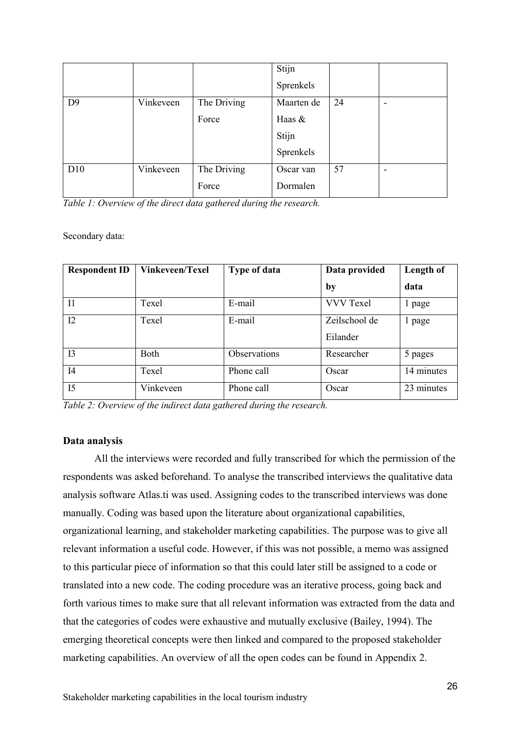|                |           |             | Stijn      |    |                          |
|----------------|-----------|-------------|------------|----|--------------------------|
|                |           |             | Sprenkels  |    |                          |
| D <sub>9</sub> | Vinkeveen | The Driving | Maarten de | 24 | $\overline{\phantom{0}}$ |
|                |           | Force       | Haas &     |    |                          |
|                |           |             | Stijn      |    |                          |
|                |           |             | Sprenkels  |    |                          |
| D10            | Vinkeveen | The Driving | Oscar van  | 57 | $\overline{\phantom{0}}$ |
|                |           | Force       | Dormalen   |    |                          |

*Table 1: Overview of the direct data gathered during the research.*

#### Secondary data:

| <b>Respondent ID</b> | <b>Vinkeveen/Texel</b> | <b>Type of data</b> | Data provided             | Length of  |
|----------------------|------------------------|---------------------|---------------------------|------------|
|                      |                        |                     | by                        | data       |
| Ι1                   | Texel                  | E-mail              | <b>VVV Texel</b>          | 1 page     |
| 12                   | Texel                  | E-mail              | Zeilschool de<br>Eilander | 1 page     |
| I <sub>3</sub>       | <b>Both</b>            | Observations        | Researcher                | 5 pages    |
| I4                   | Texel                  | Phone call          | Oscar                     | 14 minutes |
| I5                   | Vinkeveen              | Phone call          | Oscar                     | 23 minutes |

*Table 2: Overview of the indirect data gathered during the research.*

#### **Data analysis**

All the interviews were recorded and fully transcribed for which the permission of the respondents was asked beforehand. To analyse the transcribed interviews the qualitative data analysis software Atlas.ti was used. Assigning codes to the transcribed interviews was done manually. Coding was based upon the literature about organizational capabilities, organizational learning, and stakeholder marketing capabilities. The purpose was to give all relevant information a useful code. However, if this was not possible, a memo was assigned to this particular piece of information so that this could later still be assigned to a code or translated into a new code. The coding procedure was an iterative process, going back and forth various times to make sure that all relevant information was extracted from the data and that the categories of codes were exhaustive and mutually exclusive (Bailey, 1994). The emerging theoretical concepts were then linked and compared to the proposed stakeholder marketing capabilities. An overview of all the open codes can be found in Appendix 2.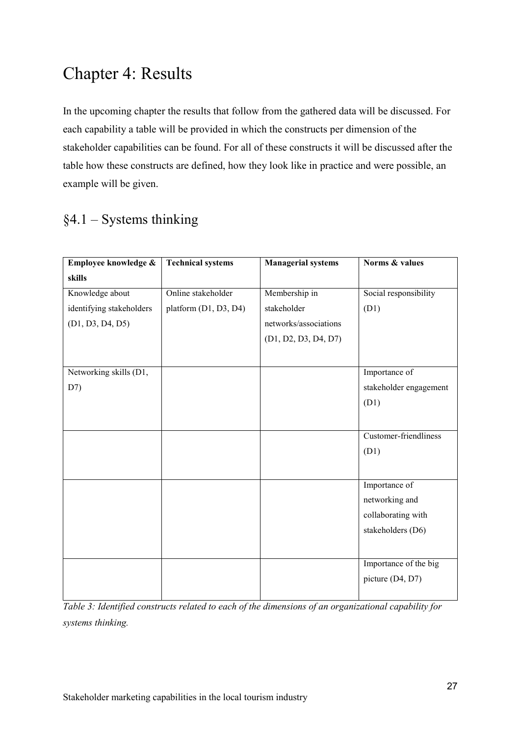# <span id="page-27-0"></span>Chapter 4: Results

In the upcoming chapter the results that follow from the gathered data will be discussed. For each capability a table will be provided in which the constructs per dimension of the stakeholder capabilities can be found. For all of these constructs it will be discussed after the table how these constructs are defined, how they look like in practice and were possible, an example will be given.

# <span id="page-27-1"></span>§4.1 – Systems thinking

| Employee knowledge &     | <b>Technical systems</b> | <b>Managerial systems</b> | Norms & values         |
|--------------------------|--------------------------|---------------------------|------------------------|
| skills                   |                          |                           |                        |
| Knowledge about          | Online stakeholder       | Membership in             | Social responsibility  |
| identifying stakeholders | platform (D1, D3, D4)    | stakeholder               | (D1)                   |
| (D1, D3, D4, D5)         |                          | networks/associations     |                        |
|                          |                          | (D1, D2, D3, D4, D7)      |                        |
|                          |                          |                           |                        |
| Networking skills (D1,   |                          |                           | Importance of          |
| D7)                      |                          |                           | stakeholder engagement |
|                          |                          |                           | (D1)                   |
|                          |                          |                           |                        |
|                          |                          |                           | Customer-friendliness  |
|                          |                          |                           | (D1)                   |
|                          |                          |                           |                        |
|                          |                          |                           | Importance of          |
|                          |                          |                           | networking and         |
|                          |                          |                           | collaborating with     |
|                          |                          |                           | stakeholders (D6)      |
|                          |                          |                           |                        |
|                          |                          |                           | Importance of the big  |
|                          |                          |                           | picture (D4, D7)       |
|                          |                          |                           |                        |

*Table 3: Identified constructs related to each of the dimensions of an organizational capability for systems thinking.*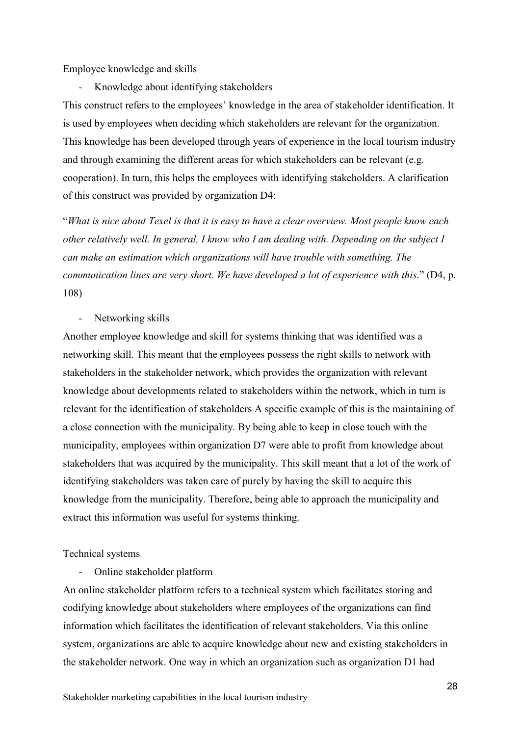Employee knowledge and skills

- Knowledge about identifying stakeholders

This construct refers to the employees' knowledge in the area of stakeholder identification. It is used by employees when deciding which stakeholders are relevant for the organization. This knowledge has been developed through years of experience in the local tourism industry and through examining the different areas for which stakeholders can be relevant (e.g. cooperation). In turn, this helps the employees with identifying stakeholders. A clarification of this construct was provided by organization D4:

"*What is nice about Texel is that it is easy to have a clear overview. Most people know each other relatively well. In general, I know who I am dealing with. Depending on the subject I can make an estimation which organizations will have trouble with something. The communication lines are very short. We have developed a lot of experience with this*." (D4, p. 108)

- Networking skills

Another employee knowledge and skill for systems thinking that was identified was a networking skill. This meant that the employees possess the right skills to network with stakeholders in the stakeholder network, which provides the organization with relevant knowledge about developments related to stakeholders within the network, which in turn is relevant for the identification of stakeholders A specific example of this is the maintaining of a close connection with the municipality. By being able to keep in close touch with the municipality, employees within organization D7 were able to profit from knowledge about stakeholders that was acquired by the municipality. This skill meant that a lot of the work of identifying stakeholders was taken care of purely by having the skill to acquire this knowledge from the municipality. Therefore, being able to approach the municipality and extract this information was useful for systems thinking.

#### Technical systems

- Online stakeholder platform

An online stakeholder platform refers to a technical system which facilitates storing and codifying knowledge about stakeholders where employees of the organizations can find information which facilitates the identification of relevant stakeholders. Via this online system, organizations are able to acquire knowledge about new and existing stakeholders in the stakeholder network. One way in which an organization such as organization D1 had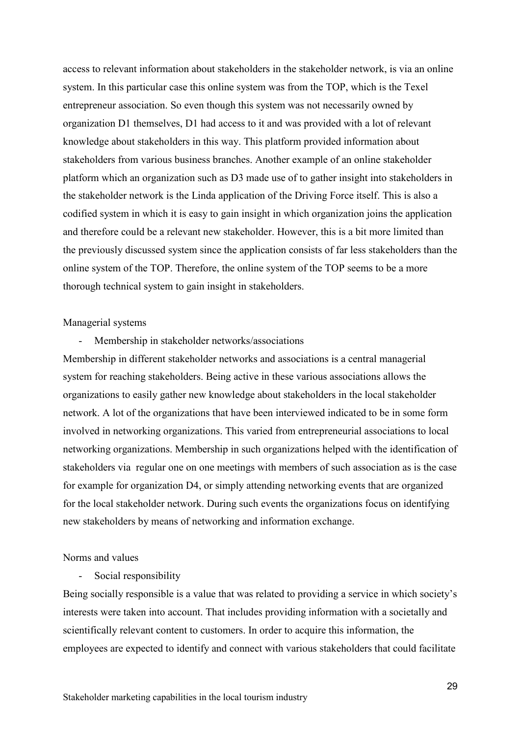access to relevant information about stakeholders in the stakeholder network, is via an online system. In this particular case this online system was from the TOP, which is the Texel entrepreneur association. So even though this system was not necessarily owned by organization D1 themselves, D1 had access to it and was provided with a lot of relevant knowledge about stakeholders in this way. This platform provided information about stakeholders from various business branches. Another example of an online stakeholder platform which an organization such as D3 made use of to gather insight into stakeholders in the stakeholder network is the Linda application of the Driving Force itself. This is also a codified system in which it is easy to gain insight in which organization joins the application and therefore could be a relevant new stakeholder. However, this is a bit more limited than the previously discussed system since the application consists of far less stakeholders than the online system of the TOP. Therefore, the online system of the TOP seems to be a more thorough technical system to gain insight in stakeholders.

#### Managerial systems

- Membership in stakeholder networks/associations

Membership in different stakeholder networks and associations is a central managerial system for reaching stakeholders. Being active in these various associations allows the organizations to easily gather new knowledge about stakeholders in the local stakeholder network. A lot of the organizations that have been interviewed indicated to be in some form involved in networking organizations. This varied from entrepreneurial associations to local networking organizations. Membership in such organizations helped with the identification of stakeholders via regular one on one meetings with members of such association as is the case for example for organization D4, or simply attending networking events that are organized for the local stakeholder network. During such events the organizations focus on identifying new stakeholders by means of networking and information exchange.

#### Norms and values

- Social responsibility

Being socially responsible is a value that was related to providing a service in which society's interests were taken into account. That includes providing information with a societally and scientifically relevant content to customers. In order to acquire this information, the employees are expected to identify and connect with various stakeholders that could facilitate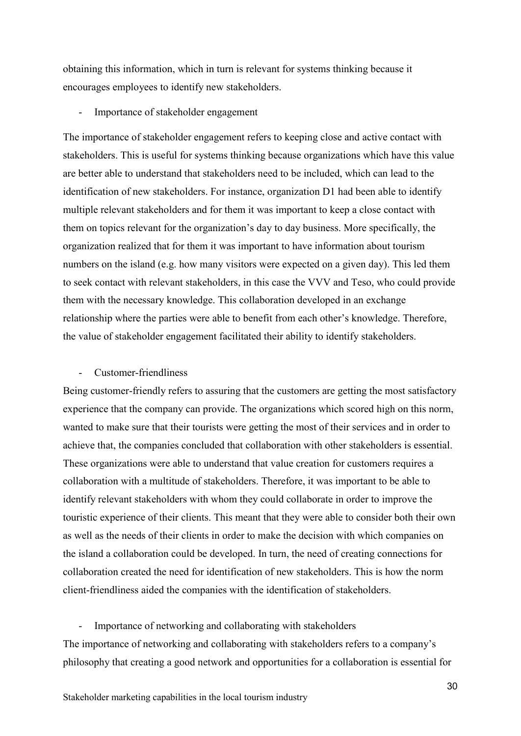obtaining this information, which in turn is relevant for systems thinking because it encourages employees to identify new stakeholders.

Importance of stakeholder engagement

The importance of stakeholder engagement refers to keeping close and active contact with stakeholders. This is useful for systems thinking because organizations which have this value are better able to understand that stakeholders need to be included, which can lead to the identification of new stakeholders. For instance, organization D1 had been able to identify multiple relevant stakeholders and for them it was important to keep a close contact with them on topics relevant for the organization's day to day business. More specifically, the organization realized that for them it was important to have information about tourism numbers on the island (e.g. how many visitors were expected on a given day). This led them to seek contact with relevant stakeholders, in this case the VVV and Teso, who could provide them with the necessary knowledge. This collaboration developed in an exchange relationship where the parties were able to benefit from each other's knowledge. Therefore, the value of stakeholder engagement facilitated their ability to identify stakeholders.

#### Customer-friendliness

Being customer-friendly refers to assuring that the customers are getting the most satisfactory experience that the company can provide. The organizations which scored high on this norm, wanted to make sure that their tourists were getting the most of their services and in order to achieve that, the companies concluded that collaboration with other stakeholders is essential. These organizations were able to understand that value creation for customers requires a collaboration with a multitude of stakeholders. Therefore, it was important to be able to identify relevant stakeholders with whom they could collaborate in order to improve the touristic experience of their clients. This meant that they were able to consider both their own as well as the needs of their clients in order to make the decision with which companies on the island a collaboration could be developed. In turn, the need of creating connections for collaboration created the need for identification of new stakeholders. This is how the norm client-friendliness aided the companies with the identification of stakeholders.

Importance of networking and collaborating with stakeholders The importance of networking and collaborating with stakeholders refers to a company's philosophy that creating a good network and opportunities for a collaboration is essential for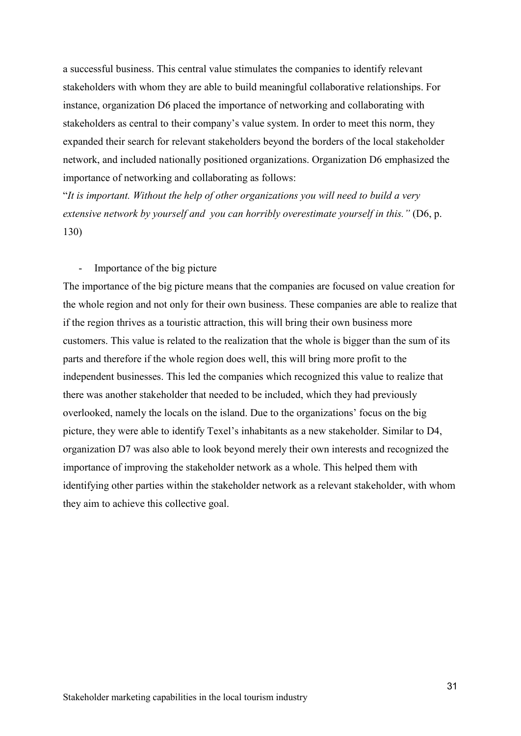a successful business. This central value stimulates the companies to identify relevant stakeholders with whom they are able to build meaningful collaborative relationships. For instance, organization D6 placed the importance of networking and collaborating with stakeholders as central to their company's value system. In order to meet this norm, they expanded their search for relevant stakeholders beyond the borders of the local stakeholder network, and included nationally positioned organizations. Organization D6 emphasized the importance of networking and collaborating as follows:

"*It is important. Without the help of other organizations you will need to build a very extensive network by yourself and you can horribly overestimate yourself in this."* (D6, p. 130)

#### - Importance of the big picture

The importance of the big picture means that the companies are focused on value creation for the whole region and not only for their own business. These companies are able to realize that if the region thrives as a touristic attraction, this will bring their own business more customers. This value is related to the realization that the whole is bigger than the sum of its parts and therefore if the whole region does well, this will bring more profit to the independent businesses. This led the companies which recognized this value to realize that there was another stakeholder that needed to be included, which they had previously overlooked, namely the locals on the island. Due to the organizations' focus on the big picture, they were able to identify Texel's inhabitants as a new stakeholder. Similar to D4, organization D7 was also able to look beyond merely their own interests and recognized the importance of improving the stakeholder network as a whole. This helped them with identifying other parties within the stakeholder network as a relevant stakeholder, with whom they aim to achieve this collective goal.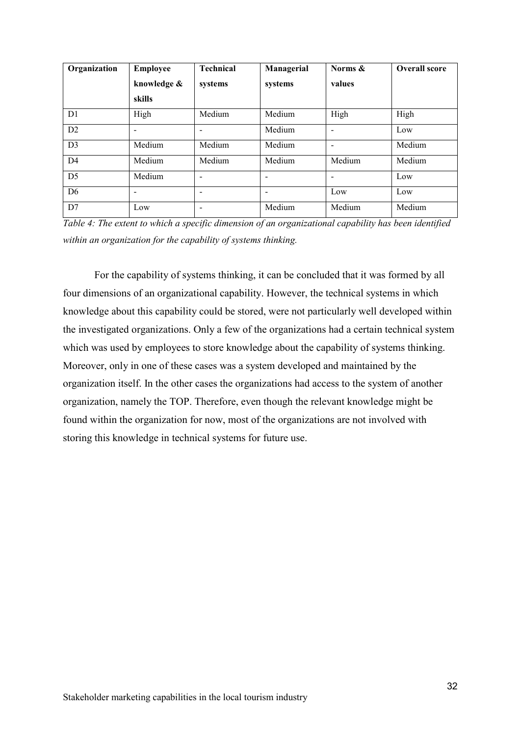| Organization   | <b>Employee</b> | <b>Technical</b>             | Managerial               | Norms &                  | <b>Overall score</b> |
|----------------|-----------------|------------------------------|--------------------------|--------------------------|----------------------|
|                | knowledge &     | systems                      | systems                  | values                   |                      |
|                | skills          |                              |                          |                          |                      |
| D1             | High            | Medium                       | Medium                   | High                     | High                 |
| D <sub>2</sub> |                 |                              | Medium                   |                          | Low                  |
| D <sub>3</sub> | Medium          | Medium                       | Medium                   |                          | Medium               |
| D <sub>4</sub> | Medium          | Medium                       | Medium                   | Medium                   | Medium               |
| D <sub>5</sub> | Medium          | $\qquad \qquad \blacksquare$ | $\overline{\phantom{a}}$ | $\overline{\phantom{0}}$ | Low                  |
| D <sub>6</sub> |                 | $\overline{\phantom{0}}$     | $\overline{\phantom{a}}$ | Low                      | Low                  |
| D7             | Low             | $\qquad \qquad \blacksquare$ | Medium                   | Medium                   | Medium               |

*Table 4: The extent to which a specific dimension of an organizational capability has been identified within an organization for the capability of systems thinking.*

For the capability of systems thinking, it can be concluded that it was formed by all four dimensions of an organizational capability. However, the technical systems in which knowledge about this capability could be stored, were not particularly well developed within the investigated organizations. Only a few of the organizations had a certain technical system which was used by employees to store knowledge about the capability of systems thinking. Moreover, only in one of these cases was a system developed and maintained by the organization itself. In the other cases the organizations had access to the system of another organization, namely the TOP. Therefore, even though the relevant knowledge might be found within the organization for now, most of the organizations are not involved with storing this knowledge in technical systems for future use.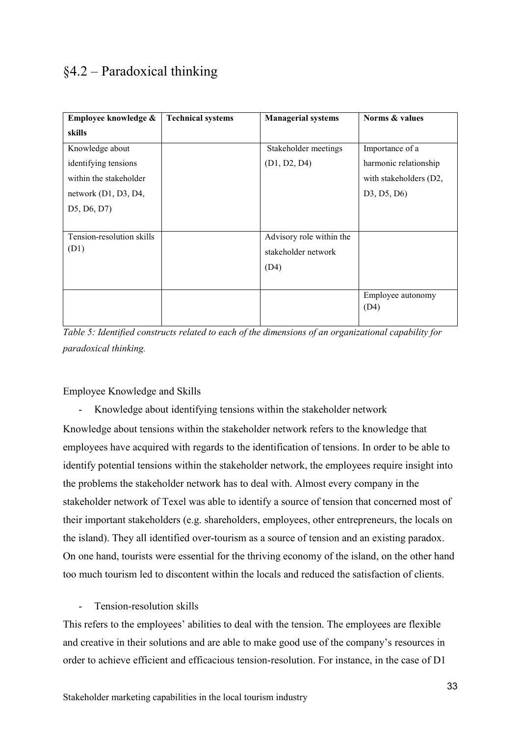### <span id="page-33-0"></span>§4.2 – Paradoxical thinking

| Employee knowledge &      | <b>Technical systems</b> | <b>Managerial systems</b> | Norms & values            |
|---------------------------|--------------------------|---------------------------|---------------------------|
| skills                    |                          |                           |                           |
| Knowledge about           |                          | Stakeholder meetings      | Importance of a           |
| identifying tensions      |                          | (D1, D2, D4)              | harmonic relationship     |
| within the stakeholder    |                          |                           | with stakeholders (D2,    |
| network $(D1, D3, D4,$    |                          |                           | D3, D5, D6)               |
| D5, D6, D7)               |                          |                           |                           |
|                           |                          |                           |                           |
| Tension-resolution skills |                          | Advisory role within the  |                           |
| (D1)                      |                          | stakeholder network       |                           |
|                           |                          | (D4)                      |                           |
|                           |                          |                           |                           |
|                           |                          |                           | Employee autonomy<br>(D4) |

*Table 5: Identified constructs related to each of the dimensions of an organizational capability for paradoxical thinking.*

Employee Knowledge and Skills

- Knowledge about identifying tensions within the stakeholder network Knowledge about tensions within the stakeholder network refers to the knowledge that employees have acquired with regards to the identification of tensions. In order to be able to identify potential tensions within the stakeholder network, the employees require insight into the problems the stakeholder network has to deal with. Almost every company in the stakeholder network of Texel was able to identify a source of tension that concerned most of their important stakeholders (e.g. shareholders, employees, other entrepreneurs, the locals on the island). They all identified over-tourism as a source of tension and an existing paradox. On one hand, tourists were essential for the thriving economy of the island, on the other hand too much tourism led to discontent within the locals and reduced the satisfaction of clients.

Tension-resolution skills

This refers to the employees' abilities to deal with the tension. The employees are flexible and creative in their solutions and are able to make good use of the company's resources in order to achieve efficient and efficacious tension-resolution. For instance, in the case of D1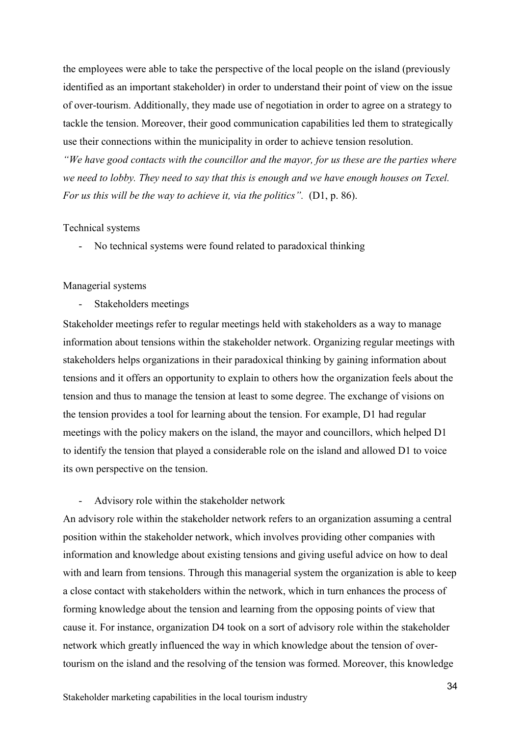the employees were able to take the perspective of the local people on the island (previously identified as an important stakeholder) in order to understand their point of view on the issue of over-tourism. Additionally, they made use of negotiation in order to agree on a strategy to tackle the tension. Moreover, their good communication capabilities led them to strategically use their connections within the municipality in order to achieve tension resolution.

*"We have good contacts with the councillor and the mayor, for us these are the parties where we need to lobby. They need to say that this is enough and we have enough houses on Texel. For us this will be the way to achieve it, via the politics".* (D1, p. 86).

#### Technical systems

- No technical systems were found related to paradoxical thinking

#### Managerial systems

Stakeholders meetings

Stakeholder meetings refer to regular meetings held with stakeholders as a way to manage information about tensions within the stakeholder network. Organizing regular meetings with stakeholders helps organizations in their paradoxical thinking by gaining information about tensions and it offers an opportunity to explain to others how the organization feels about the tension and thus to manage the tension at least to some degree. The exchange of visions on the tension provides a tool for learning about the tension. For example, D1 had regular meetings with the policy makers on the island, the mayor and councillors, which helped D1 to identify the tension that played a considerable role on the island and allowed D1 to voice its own perspective on the tension.

#### - Advisory role within the stakeholder network

An advisory role within the stakeholder network refers to an organization assuming a central position within the stakeholder network, which involves providing other companies with information and knowledge about existing tensions and giving useful advice on how to deal with and learn from tensions. Through this managerial system the organization is able to keep a close contact with stakeholders within the network, which in turn enhances the process of forming knowledge about the tension and learning from the opposing points of view that cause it. For instance, organization D4 took on a sort of advisory role within the stakeholder network which greatly influenced the way in which knowledge about the tension of overtourism on the island and the resolving of the tension was formed. Moreover, this knowledge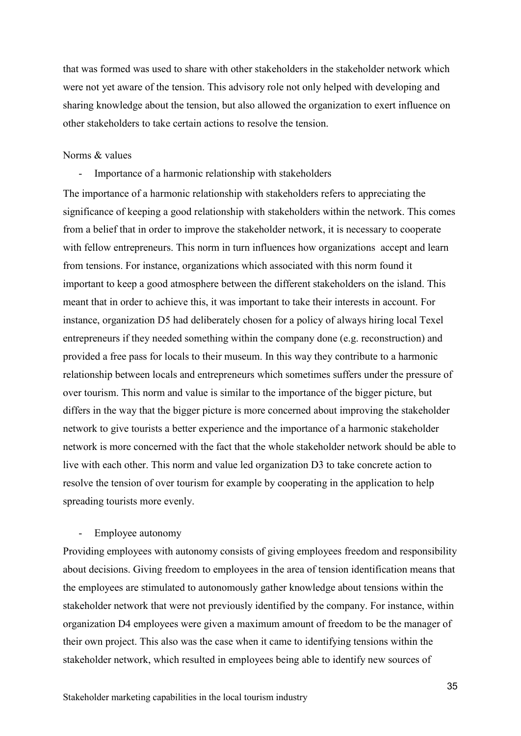that was formed was used to share with other stakeholders in the stakeholder network which were not yet aware of the tension. This advisory role not only helped with developing and sharing knowledge about the tension, but also allowed the organization to exert influence on other stakeholders to take certain actions to resolve the tension.

#### Norms & values

- Importance of a harmonic relationship with stakeholders

The importance of a harmonic relationship with stakeholders refers to appreciating the significance of keeping a good relationship with stakeholders within the network. This comes from a belief that in order to improve the stakeholder network, it is necessary to cooperate with fellow entrepreneurs. This norm in turn influences how organizations accept and learn from tensions. For instance, organizations which associated with this norm found it important to keep a good atmosphere between the different stakeholders on the island. This meant that in order to achieve this, it was important to take their interests in account. For instance, organization D5 had deliberately chosen for a policy of always hiring local Texel entrepreneurs if they needed something within the company done (e.g. reconstruction) and provided a free pass for locals to their museum. In this way they contribute to a harmonic relationship between locals and entrepreneurs which sometimes suffers under the pressure of over tourism. This norm and value is similar to the importance of the bigger picture, but differs in the way that the bigger picture is more concerned about improving the stakeholder network to give tourists a better experience and the importance of a harmonic stakeholder network is more concerned with the fact that the whole stakeholder network should be able to live with each other. This norm and value led organization D3 to take concrete action to resolve the tension of over tourism for example by cooperating in the application to help spreading tourists more evenly.

#### Employee autonomy

Providing employees with autonomy consists of giving employees freedom and responsibility about decisions. Giving freedom to employees in the area of tension identification means that the employees are stimulated to autonomously gather knowledge about tensions within the stakeholder network that were not previously identified by the company. For instance, within organization D4 employees were given a maximum amount of freedom to be the manager of their own project. This also was the case when it came to identifying tensions within the stakeholder network, which resulted in employees being able to identify new sources of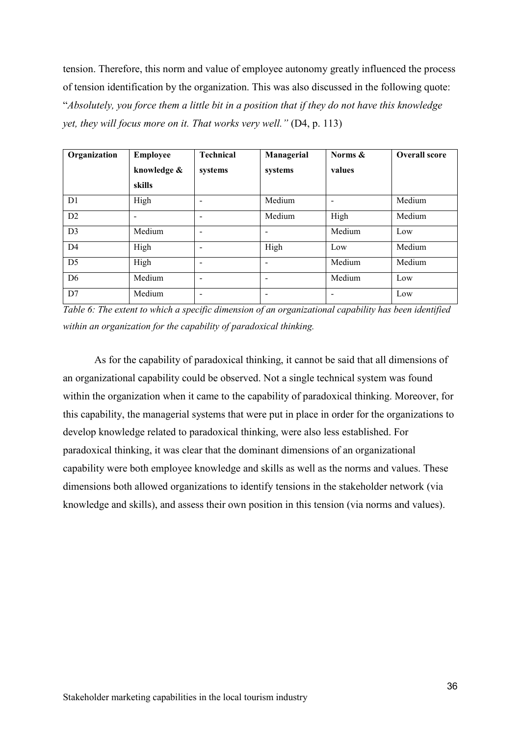tension. Therefore, this norm and value of employee autonomy greatly influenced the process of tension identification by the organization. This was also discussed in the following quote: "*Absolutely, you force them a little bit in a position that if they do not have this knowledge yet, they will focus more on it. That works very well.*" (D4, p. 113)

| Organization   | <b>Employee</b> | <b>Technical</b>         | Managerial               | Norms & | <b>Overall score</b> |
|----------------|-----------------|--------------------------|--------------------------|---------|----------------------|
|                | knowledge &     | systems                  | systems                  | values  |                      |
|                | skills          |                          |                          |         |                      |
| D1             | High            | $\overline{\phantom{0}}$ | Medium                   |         | Medium               |
| D <sub>2</sub> |                 | $\overline{\phantom{0}}$ | Medium                   | High    | Medium               |
| D <sub>3</sub> | Medium          | $\overline{\phantom{a}}$ | $\overline{\phantom{a}}$ | Medium  | Low                  |
| D <sub>4</sub> | High            | -                        | High                     | Low     | Medium               |
| D <sub>5</sub> | High            | $\overline{\phantom{0}}$ | $\overline{\phantom{0}}$ | Medium  | Medium               |
| D <sub>6</sub> | Medium          | -                        | $\overline{\phantom{0}}$ | Medium  | Low                  |
| D7             | Medium          |                          |                          |         | Low                  |

*Table 6: The extent to which a specific dimension of an organizational capability has been identified within an organization for the capability of paradoxical thinking.*

As for the capability of paradoxical thinking, it cannot be said that all dimensions of an organizational capability could be observed. Not a single technical system was found within the organization when it came to the capability of paradoxical thinking. Moreover, for this capability, the managerial systems that were put in place in order for the organizations to develop knowledge related to paradoxical thinking, were also less established. For paradoxical thinking, it was clear that the dominant dimensions of an organizational capability were both employee knowledge and skills as well as the norms and values. These dimensions both allowed organizations to identify tensions in the stakeholder network (via knowledge and skills), and assess their own position in this tension (via norms and values).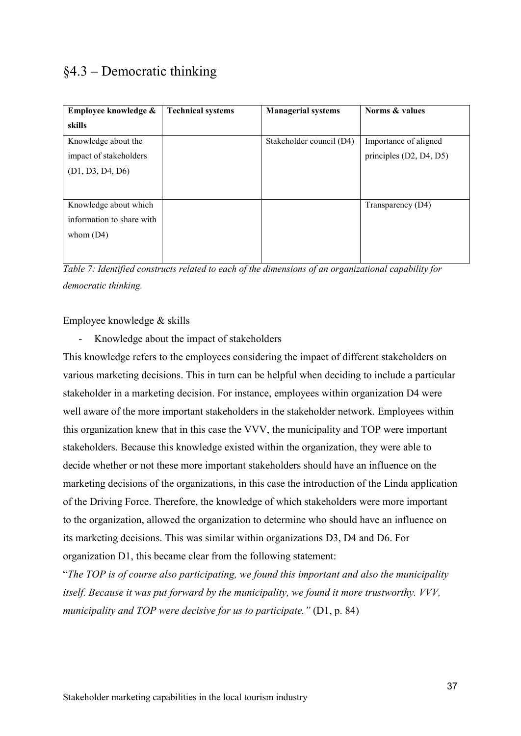# §4.3 – Democratic thinking

| Employee knowledge &      | <b>Technical systems</b> | <b>Managerial systems</b> | Norms & values          |
|---------------------------|--------------------------|---------------------------|-------------------------|
| skills                    |                          |                           |                         |
| Knowledge about the       |                          | Stakeholder council (D4)  | Importance of aligned   |
| impact of stakeholders    |                          |                           | principles (D2, D4, D5) |
| (D1, D3, D4, D6)          |                          |                           |                         |
|                           |                          |                           |                         |
| Knowledge about which     |                          |                           | Transparency (D4)       |
| information to share with |                          |                           |                         |
| whom $(D4)$               |                          |                           |                         |
|                           |                          |                           |                         |
|                           |                          |                           |                         |

*Table 7: Identified constructs related to each of the dimensions of an organizational capability for democratic thinking.*

Employee knowledge & skills

- Knowledge about the impact of stakeholders

This knowledge refers to the employees considering the impact of different stakeholders on various marketing decisions. This in turn can be helpful when deciding to include a particular stakeholder in a marketing decision. For instance, employees within organization D4 were well aware of the more important stakeholders in the stakeholder network. Employees within this organization knew that in this case the VVV, the municipality and TOP were important stakeholders. Because this knowledge existed within the organization, they were able to decide whether or not these more important stakeholders should have an influence on the marketing decisions of the organizations, in this case the introduction of the Linda application of the Driving Force. Therefore, the knowledge of which stakeholders were more important to the organization, allowed the organization to determine who should have an influence on its marketing decisions. This was similar within organizations D3, D4 and D6. For organization D1, this became clear from the following statement:

"*The TOP is of course also participating, we found this important and also the municipality itself. Because it was put forward by the municipality, we found it more trustworthy. VVV, municipality and TOP were decisive for us to participate."* (D1, p. 84)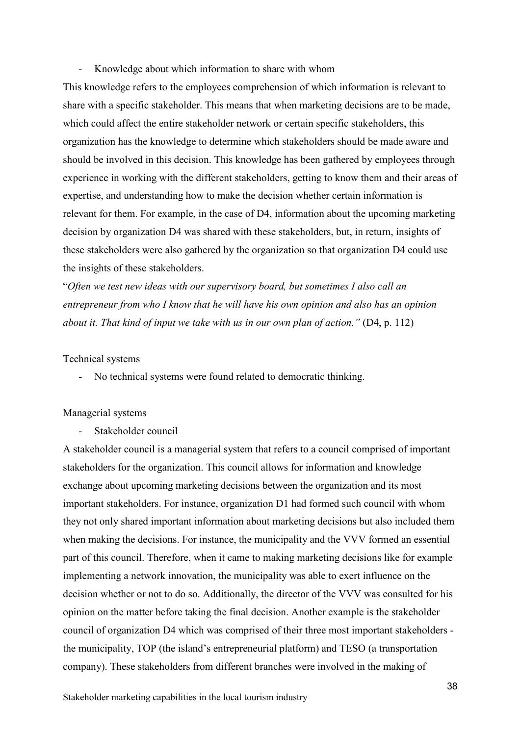Knowledge about which information to share with whom

This knowledge refers to the employees comprehension of which information is relevant to share with a specific stakeholder. This means that when marketing decisions are to be made, which could affect the entire stakeholder network or certain specific stakeholders, this organization has the knowledge to determine which stakeholders should be made aware and should be involved in this decision. This knowledge has been gathered by employees through experience in working with the different stakeholders, getting to know them and their areas of expertise, and understanding how to make the decision whether certain information is relevant for them. For example, in the case of D4, information about the upcoming marketing decision by organization D4 was shared with these stakeholders, but, in return, insights of these stakeholders were also gathered by the organization so that organization D4 could use the insights of these stakeholders.

"*Often we test new ideas with our supervisory board, but sometimes I also call an entrepreneur from who I know that he will have his own opinion and also has an opinion about it. That kind of input we take with us in our own plan of action.*" (D4, p. 112)

#### Technical systems

- No technical systems were found related to democratic thinking.

#### Managerial systems

Stakeholder council

A stakeholder council is a managerial system that refers to a council comprised of important stakeholders for the organization. This council allows for information and knowledge exchange about upcoming marketing decisions between the organization and its most important stakeholders. For instance, organization D1 had formed such council with whom they not only shared important information about marketing decisions but also included them when making the decisions. For instance, the municipality and the VVV formed an essential part of this council. Therefore, when it came to making marketing decisions like for example implementing a network innovation, the municipality was able to exert influence on the decision whether or not to do so. Additionally, the director of the VVV was consulted for his opinion on the matter before taking the final decision. Another example is the stakeholder council of organization D4 which was comprised of their three most important stakeholders the municipality, TOP (the island's entrepreneurial platform) and TESO (a transportation company). These stakeholders from different branches were involved in the making of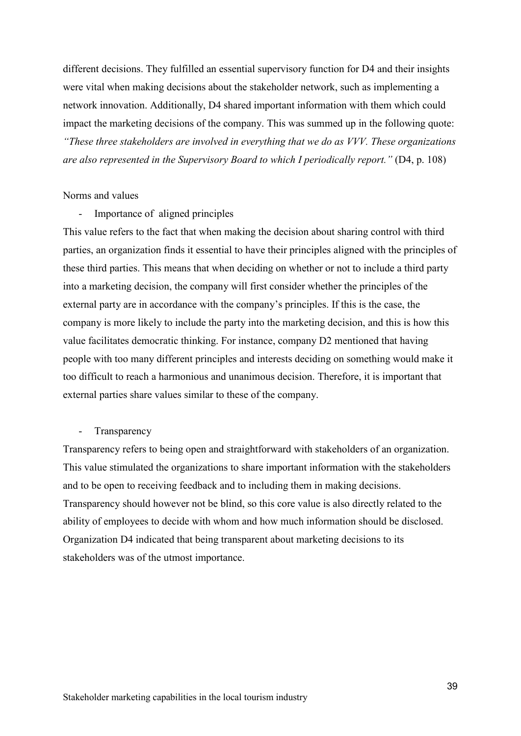different decisions. They fulfilled an essential supervisory function for D4 and their insights were vital when making decisions about the stakeholder network, such as implementing a network innovation. Additionally, D4 shared important information with them which could impact the marketing decisions of the company. This was summed up in the following quote: *"These three stakeholders are involved in everything that we do as VVV. These organizations are also represented in the Supervisory Board to which I periodically report."* (D4, p. 108)

#### Norms and values

Importance of aligned principles

This value refers to the fact that when making the decision about sharing control with third parties, an organization finds it essential to have their principles aligned with the principles of these third parties. This means that when deciding on whether or not to include a third party into a marketing decision, the company will first consider whether the principles of the external party are in accordance with the company's principles. If this is the case, the company is more likely to include the party into the marketing decision, and this is how this value facilitates democratic thinking. For instance, company D2 mentioned that having people with too many different principles and interests deciding on something would make it too difficult to reach a harmonious and unanimous decision. Therefore, it is important that external parties share values similar to these of the company.

#### **Transparency**

Transparency refers to being open and straightforward with stakeholders of an organization. This value stimulated the organizations to share important information with the stakeholders and to be open to receiving feedback and to including them in making decisions. Transparency should however not be blind, so this core value is also directly related to the ability of employees to decide with whom and how much information should be disclosed. Organization D4 indicated that being transparent about marketing decisions to its stakeholders was of the utmost importance.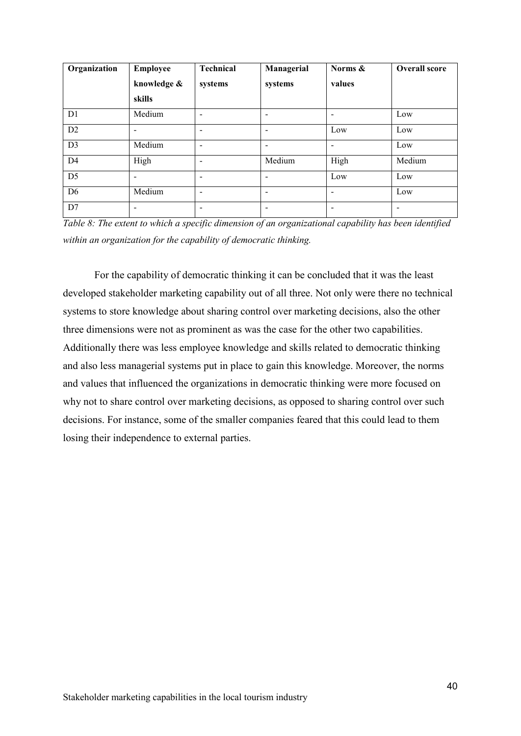| Organization   | <b>Employee</b><br>knowledge & | <b>Technical</b><br>systems  | Managerial<br>systems    | Norms &<br>values        | <b>Overall score</b> |
|----------------|--------------------------------|------------------------------|--------------------------|--------------------------|----------------------|
|                | skills                         |                              |                          |                          |                      |
| D1             | Medium                         | $\overline{\phantom{a}}$     | $\overline{\phantom{a}}$ | -                        | Low                  |
| D2             | -                              | $\qquad \qquad$              | $\overline{\phantom{a}}$ | Low                      | Low                  |
| D <sub>3</sub> | Medium                         | $\qquad \qquad \blacksquare$ | $\overline{\phantom{a}}$ | $\overline{\phantom{a}}$ | Low                  |
| D <sub>4</sub> | High                           | -                            | Medium                   | High                     | Medium               |
| D <sub>5</sub> | $\overline{\phantom{0}}$       | -                            | $\overline{\phantom{0}}$ | Low                      | Low                  |
| D <sub>6</sub> | Medium                         | $\overline{\phantom{a}}$     | $\overline{\phantom{a}}$ | -                        | Low                  |
| D7             |                                |                              |                          |                          |                      |

*Table 8: The extent to which a specific dimension of an organizational capability has been identified within an organization for the capability of democratic thinking.*

For the capability of democratic thinking it can be concluded that it was the least developed stakeholder marketing capability out of all three. Not only were there no technical systems to store knowledge about sharing control over marketing decisions, also the other three dimensions were not as prominent as was the case for the other two capabilities. Additionally there was less employee knowledge and skills related to democratic thinking and also less managerial systems put in place to gain this knowledge. Moreover, the norms and values that influenced the organizations in democratic thinking were more focused on why not to share control over marketing decisions, as opposed to sharing control over such decisions. For instance, some of the smaller companies feared that this could lead to them losing their independence to external parties.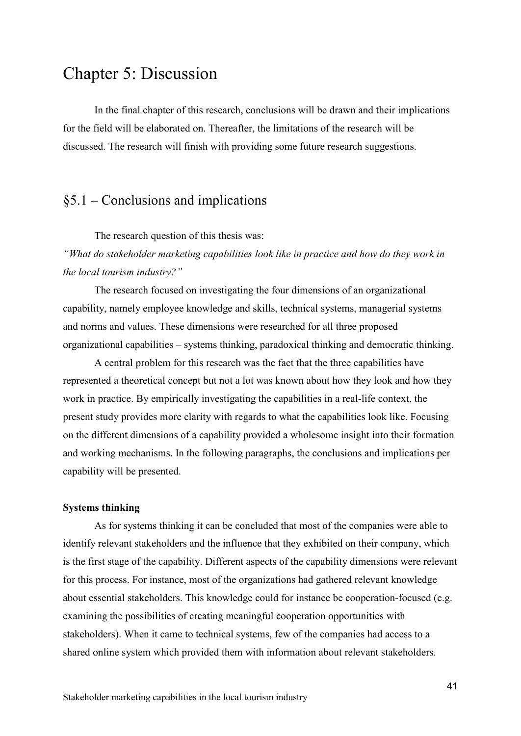# Chapter 5: Discussion

In the final chapter of this research, conclusions will be drawn and their implications for the field will be elaborated on. Thereafter, the limitations of the research will be discussed. The research will finish with providing some future research suggestions.

### §5.1 – Conclusions and implications

The research question of this thesis was:

*"What do stakeholder marketing capabilities look like in practice and how do they work in the local tourism industry?"* 

The research focused on investigating the four dimensions of an organizational capability, namely employee knowledge and skills, technical systems, managerial systems and norms and values. These dimensions were researched for all three proposed organizational capabilities – systems thinking, paradoxical thinking and democratic thinking.

A central problem for this research was the fact that the three capabilities have represented a theoretical concept but not a lot was known about how they look and how they work in practice. By empirically investigating the capabilities in a real-life context, the present study provides more clarity with regards to what the capabilities look like. Focusing on the different dimensions of a capability provided a wholesome insight into their formation and working mechanisms. In the following paragraphs, the conclusions and implications per capability will be presented.

### **Systems thinking**

As for systems thinking it can be concluded that most of the companies were able to identify relevant stakeholders and the influence that they exhibited on their company, which is the first stage of the capability. Different aspects of the capability dimensions were relevant for this process. For instance, most of the organizations had gathered relevant knowledge about essential stakeholders. This knowledge could for instance be cooperation-focused (e.g. examining the possibilities of creating meaningful cooperation opportunities with stakeholders). When it came to technical systems, few of the companies had access to a shared online system which provided them with information about relevant stakeholders.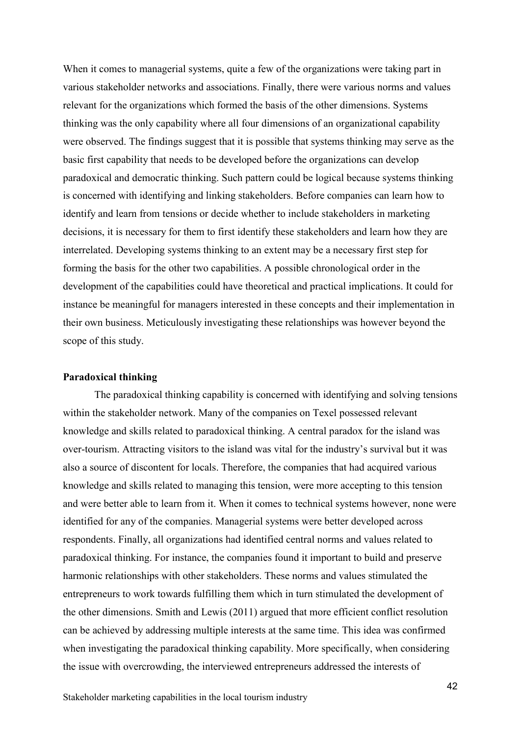When it comes to managerial systems, quite a few of the organizations were taking part in various stakeholder networks and associations. Finally, there were various norms and values relevant for the organizations which formed the basis of the other dimensions. Systems thinking was the only capability where all four dimensions of an organizational capability were observed. The findings suggest that it is possible that systems thinking may serve as the basic first capability that needs to be developed before the organizations can develop paradoxical and democratic thinking. Such pattern could be logical because systems thinking is concerned with identifying and linking stakeholders. Before companies can learn how to identify and learn from tensions or decide whether to include stakeholders in marketing decisions, it is necessary for them to first identify these stakeholders and learn how they are interrelated. Developing systems thinking to an extent may be a necessary first step for forming the basis for the other two capabilities. A possible chronological order in the development of the capabilities could have theoretical and practical implications. It could for instance be meaningful for managers interested in these concepts and their implementation in their own business. Meticulously investigating these relationships was however beyond the scope of this study.

#### **Paradoxical thinking**

The paradoxical thinking capability is concerned with identifying and solving tensions within the stakeholder network. Many of the companies on Texel possessed relevant knowledge and skills related to paradoxical thinking. A central paradox for the island was over-tourism. Attracting visitors to the island was vital for the industry's survival but it was also a source of discontent for locals. Therefore, the companies that had acquired various knowledge and skills related to managing this tension, were more accepting to this tension and were better able to learn from it. When it comes to technical systems however, none were identified for any of the companies. Managerial systems were better developed across respondents. Finally, all organizations had identified central norms and values related to paradoxical thinking. For instance, the companies found it important to build and preserve harmonic relationships with other stakeholders. These norms and values stimulated the entrepreneurs to work towards fulfilling them which in turn stimulated the development of the other dimensions. Smith and Lewis (2011) argued that more efficient conflict resolution can be achieved by addressing multiple interests at the same time. This idea was confirmed when investigating the paradoxical thinking capability. More specifically, when considering the issue with overcrowding, the interviewed entrepreneurs addressed the interests of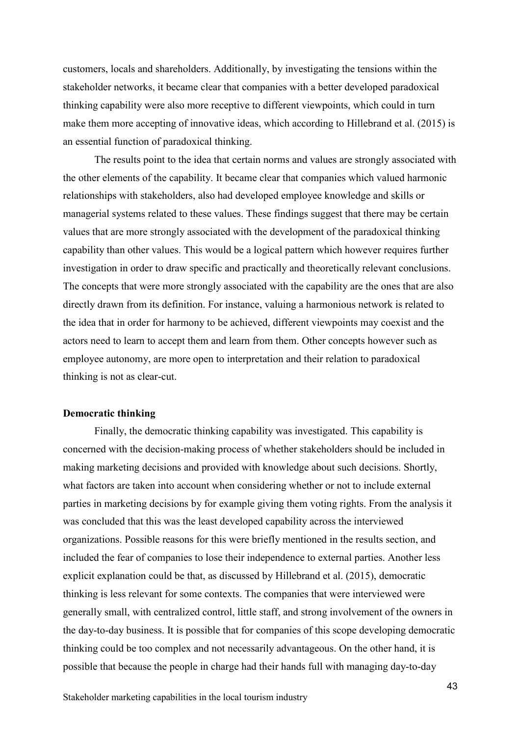customers, locals and shareholders. Additionally, by investigating the tensions within the stakeholder networks, it became clear that companies with a better developed paradoxical thinking capability were also more receptive to different viewpoints, which could in turn make them more accepting of innovative ideas, which according to Hillebrand et al. (2015) is an essential function of paradoxical thinking.

The results point to the idea that certain norms and values are strongly associated with the other elements of the capability. It became clear that companies which valued harmonic relationships with stakeholders, also had developed employee knowledge and skills or managerial systems related to these values. These findings suggest that there may be certain values that are more strongly associated with the development of the paradoxical thinking capability than other values. This would be a logical pattern which however requires further investigation in order to draw specific and practically and theoretically relevant conclusions. The concepts that were more strongly associated with the capability are the ones that are also directly drawn from its definition. For instance, valuing a harmonious network is related to the idea that in order for harmony to be achieved, different viewpoints may coexist and the actors need to learn to accept them and learn from them. Other concepts however such as employee autonomy, are more open to interpretation and their relation to paradoxical thinking is not as clear-cut.

#### **Democratic thinking**

Finally, the democratic thinking capability was investigated. This capability is concerned with the decision-making process of whether stakeholders should be included in making marketing decisions and provided with knowledge about such decisions. Shortly, what factors are taken into account when considering whether or not to include external parties in marketing decisions by for example giving them voting rights. From the analysis it was concluded that this was the least developed capability across the interviewed organizations. Possible reasons for this were briefly mentioned in the results section, and included the fear of companies to lose their independence to external parties. Another less explicit explanation could be that, as discussed by Hillebrand et al. (2015), democratic thinking is less relevant for some contexts. The companies that were interviewed were generally small, with centralized control, little staff, and strong involvement of the owners in the day-to-day business. It is possible that for companies of this scope developing democratic thinking could be too complex and not necessarily advantageous. On the other hand, it is possible that because the people in charge had their hands full with managing day-to-day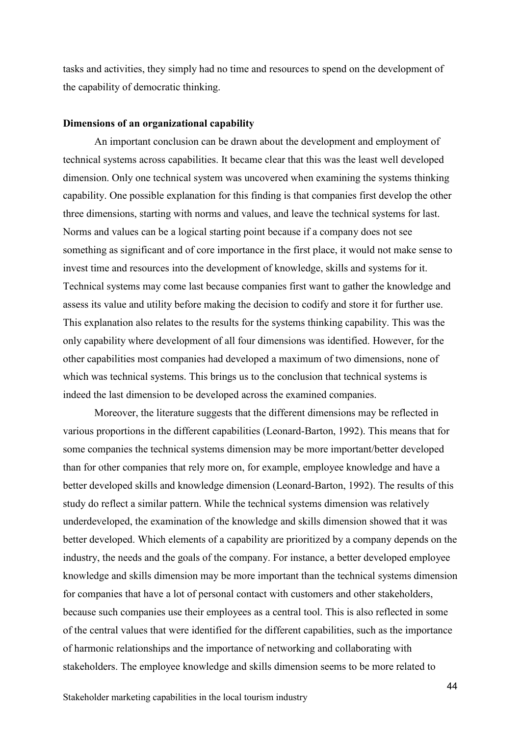tasks and activities, they simply had no time and resources to spend on the development of the capability of democratic thinking.

#### **Dimensions of an organizational capability**

An important conclusion can be drawn about the development and employment of technical systems across capabilities. It became clear that this was the least well developed dimension. Only one technical system was uncovered when examining the systems thinking capability. One possible explanation for this finding is that companies first develop the other three dimensions, starting with norms and values, and leave the technical systems for last. Norms and values can be a logical starting point because if a company does not see something as significant and of core importance in the first place, it would not make sense to invest time and resources into the development of knowledge, skills and systems for it. Technical systems may come last because companies first want to gather the knowledge and assess its value and utility before making the decision to codify and store it for further use. This explanation also relates to the results for the systems thinking capability. This was the only capability where development of all four dimensions was identified. However, for the other capabilities most companies had developed a maximum of two dimensions, none of which was technical systems. This brings us to the conclusion that technical systems is indeed the last dimension to be developed across the examined companies.

Moreover, the literature suggests that the different dimensions may be reflected in various proportions in the different capabilities (Leonard-Barton, 1992). This means that for some companies the technical systems dimension may be more important/better developed than for other companies that rely more on, for example, employee knowledge and have a better developed skills and knowledge dimension (Leonard-Barton, 1992). The results of this study do reflect a similar pattern. While the technical systems dimension was relatively underdeveloped, the examination of the knowledge and skills dimension showed that it was better developed. Which elements of a capability are prioritized by a company depends on the industry, the needs and the goals of the company. For instance, a better developed employee knowledge and skills dimension may be more important than the technical systems dimension for companies that have a lot of personal contact with customers and other stakeholders, because such companies use their employees as a central tool. This is also reflected in some of the central values that were identified for the different capabilities, such as the importance of harmonic relationships and the importance of networking and collaborating with stakeholders. The employee knowledge and skills dimension seems to be more related to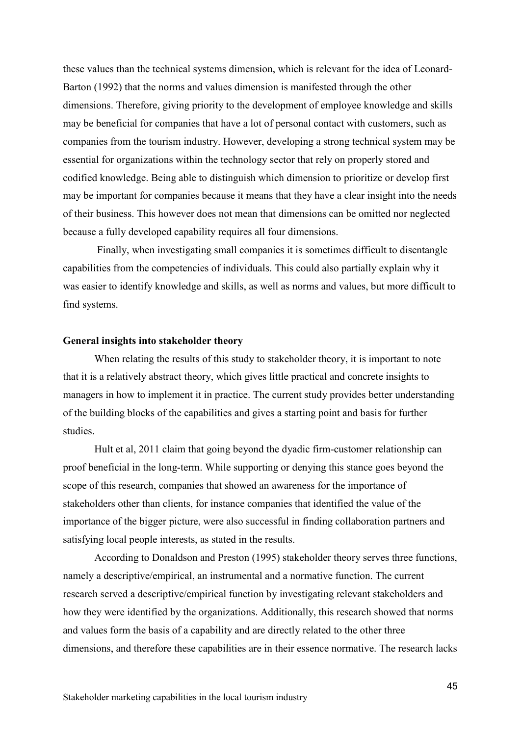these values than the technical systems dimension, which is relevant for the idea of Leonard-Barton (1992) that the norms and values dimension is manifested through the other dimensions. Therefore, giving priority to the development of employee knowledge and skills may be beneficial for companies that have a lot of personal contact with customers, such as companies from the tourism industry. However, developing a strong technical system may be essential for organizations within the technology sector that rely on properly stored and codified knowledge. Being able to distinguish which dimension to prioritize or develop first may be important for companies because it means that they have a clear insight into the needs of their business. This however does not mean that dimensions can be omitted nor neglected because a fully developed capability requires all four dimensions.

Finally, when investigating small companies it is sometimes difficult to disentangle capabilities from the competencies of individuals. This could also partially explain why it was easier to identify knowledge and skills, as well as norms and values, but more difficult to find systems.

### **General insights into stakeholder theory**

When relating the results of this study to stakeholder theory, it is important to note that it is a relatively abstract theory, which gives little practical and concrete insights to managers in how to implement it in practice. The current study provides better understanding of the building blocks of the capabilities and gives a starting point and basis for further studies.

Hult et al, 2011 claim that going beyond the dyadic firm-customer relationship can proof beneficial in the long-term. While supporting or denying this stance goes beyond the scope of this research, companies that showed an awareness for the importance of stakeholders other than clients, for instance companies that identified the value of the importance of the bigger picture, were also successful in finding collaboration partners and satisfying local people interests, as stated in the results.

According to Donaldson and Preston (1995) stakeholder theory serves three functions, namely a descriptive/empirical, an instrumental and a normative function. The current research served a descriptive/empirical function by investigating relevant stakeholders and how they were identified by the organizations. Additionally, this research showed that norms and values form the basis of a capability and are directly related to the other three dimensions, and therefore these capabilities are in their essence normative. The research lacks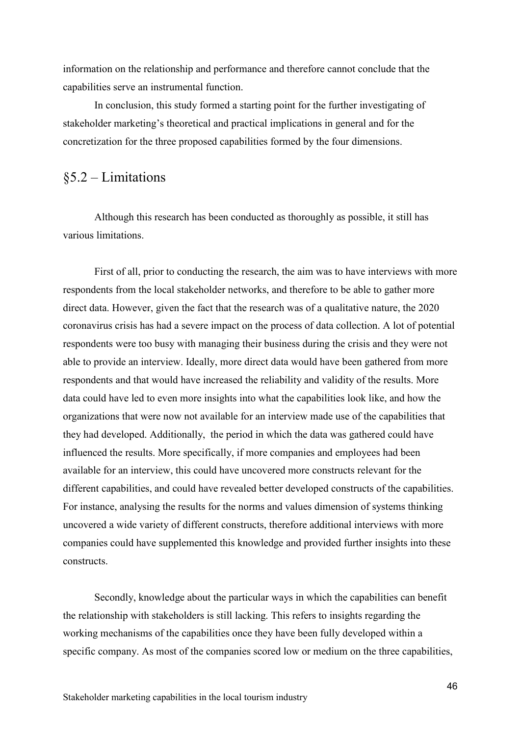information on the relationship and performance and therefore cannot conclude that the capabilities serve an instrumental function.

In conclusion, this study formed a starting point for the further investigating of stakeholder marketing's theoretical and practical implications in general and for the concretization for the three proposed capabilities formed by the four dimensions.

### §5.2 – Limitations

Although this research has been conducted as thoroughly as possible, it still has various limitations.

First of all, prior to conducting the research, the aim was to have interviews with more respondents from the local stakeholder networks, and therefore to be able to gather more direct data. However, given the fact that the research was of a qualitative nature, the 2020 coronavirus crisis has had a severe impact on the process of data collection. A lot of potential respondents were too busy with managing their business during the crisis and they were not able to provide an interview. Ideally, more direct data would have been gathered from more respondents and that would have increased the reliability and validity of the results. More data could have led to even more insights into what the capabilities look like, and how the organizations that were now not available for an interview made use of the capabilities that they had developed. Additionally, the period in which the data was gathered could have influenced the results. More specifically, if more companies and employees had been available for an interview, this could have uncovered more constructs relevant for the different capabilities, and could have revealed better developed constructs of the capabilities. For instance, analysing the results for the norms and values dimension of systems thinking uncovered a wide variety of different constructs, therefore additional interviews with more companies could have supplemented this knowledge and provided further insights into these constructs.

Secondly, knowledge about the particular ways in which the capabilities can benefit the relationship with stakeholders is still lacking. This refers to insights regarding the working mechanisms of the capabilities once they have been fully developed within a specific company. As most of the companies scored low or medium on the three capabilities,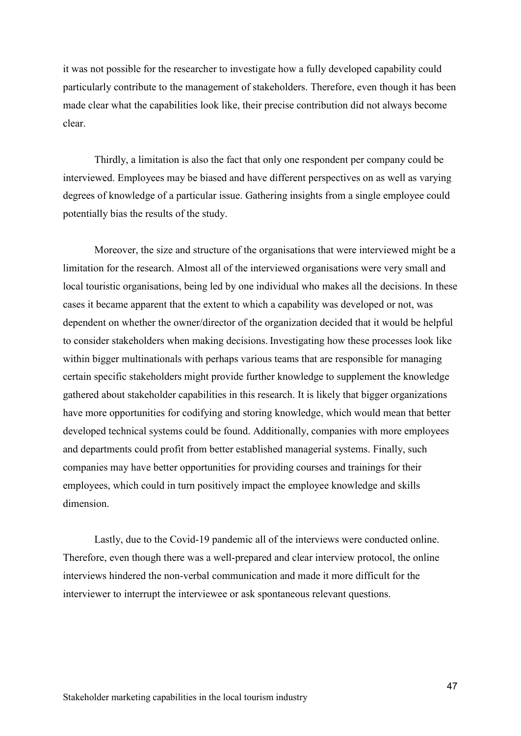it was not possible for the researcher to investigate how a fully developed capability could particularly contribute to the management of stakeholders. Therefore, even though it has been made clear what the capabilities look like, their precise contribution did not always become clear.

Thirdly, a limitation is also the fact that only one respondent per company could be interviewed. Employees may be biased and have different perspectives on as well as varying degrees of knowledge of a particular issue. Gathering insights from a single employee could potentially bias the results of the study.

Moreover, the size and structure of the organisations that were interviewed might be a limitation for the research. Almost all of the interviewed organisations were very small and local touristic organisations, being led by one individual who makes all the decisions. In these cases it became apparent that the extent to which a capability was developed or not, was dependent on whether the owner/director of the organization decided that it would be helpful to consider stakeholders when making decisions. Investigating how these processes look like within bigger multinationals with perhaps various teams that are responsible for managing certain specific stakeholders might provide further knowledge to supplement the knowledge gathered about stakeholder capabilities in this research. It is likely that bigger organizations have more opportunities for codifying and storing knowledge, which would mean that better developed technical systems could be found. Additionally, companies with more employees and departments could profit from better established managerial systems. Finally, such companies may have better opportunities for providing courses and trainings for their employees, which could in turn positively impact the employee knowledge and skills dimension.

Lastly, due to the Covid-19 pandemic all of the interviews were conducted online. Therefore, even though there was a well-prepared and clear interview protocol, the online interviews hindered the non-verbal communication and made it more difficult for the interviewer to interrupt the interviewee or ask spontaneous relevant questions.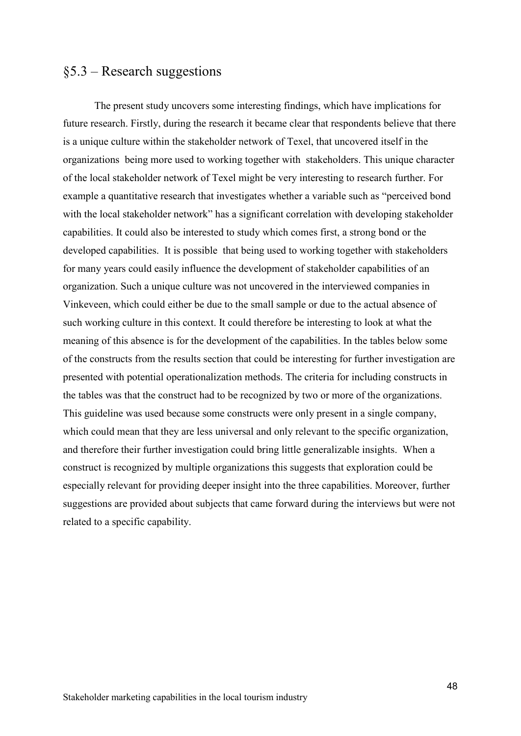### §5.3 – Research suggestions

The present study uncovers some interesting findings, which have implications for future research. Firstly, during the research it became clear that respondents believe that there is a unique culture within the stakeholder network of Texel, that uncovered itself in the organizations being more used to working together with stakeholders. This unique character of the local stakeholder network of Texel might be very interesting to research further. For example a quantitative research that investigates whether a variable such as "perceived bond with the local stakeholder network" has a significant correlation with developing stakeholder capabilities. It could also be interested to study which comes first, a strong bond or the developed capabilities. It is possible that being used to working together with stakeholders for many years could easily influence the development of stakeholder capabilities of an organization. Such a unique culture was not uncovered in the interviewed companies in Vinkeveen, which could either be due to the small sample or due to the actual absence of such working culture in this context. It could therefore be interesting to look at what the meaning of this absence is for the development of the capabilities. In the tables below some of the constructs from the results section that could be interesting for further investigation are presented with potential operationalization methods. The criteria for including constructs in the tables was that the construct had to be recognized by two or more of the organizations. This guideline was used because some constructs were only present in a single company, which could mean that they are less universal and only relevant to the specific organization, and therefore their further investigation could bring little generalizable insights. When a construct is recognized by multiple organizations this suggests that exploration could be especially relevant for providing deeper insight into the three capabilities. Moreover, further suggestions are provided about subjects that came forward during the interviews but were not related to a specific capability.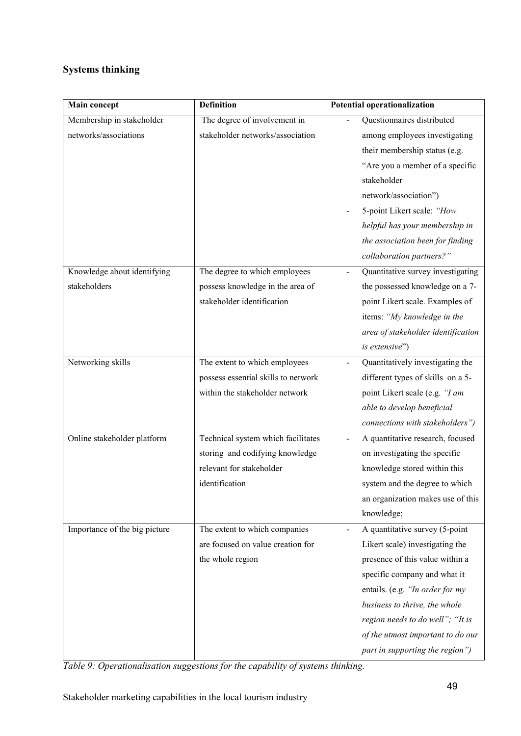# **Systems thinking**

| Main concept                                       | <b>Definition</b>                                                                                                   | <b>Potential operationalization</b>                                                                                                                                                                                                                                                                                                    |
|----------------------------------------------------|---------------------------------------------------------------------------------------------------------------------|----------------------------------------------------------------------------------------------------------------------------------------------------------------------------------------------------------------------------------------------------------------------------------------------------------------------------------------|
| Membership in stakeholder<br>networks/associations | The degree of involvement in<br>stakeholder networks/association                                                    | Questionnaires distributed<br>among employees investigating<br>their membership status (e.g.<br>"Are you a member of a specific<br>stakeholder<br>network/association")<br>5-point Likert scale: "How<br>helpful has your membership in<br>the association been for finding<br>collaboration partners?"                                |
| Knowledge about identifying<br>stakeholders        | The degree to which employees<br>possess knowledge in the area of<br>stakeholder identification                     | Quantitative survey investigating<br>the possessed knowledge on a 7-<br>point Likert scale. Examples of<br>items: "My knowledge in the<br>area of stakeholder identification<br>is extensive")                                                                                                                                         |
| Networking skills                                  | The extent to which employees<br>possess essential skills to network<br>within the stakeholder network              | Quantitatively investigating the<br>different types of skills on a 5-<br>point Likert scale (e.g. "I am<br>able to develop beneficial<br>connections with stakeholders")                                                                                                                                                               |
| Online stakeholder platform                        | Technical system which facilitates<br>storing and codifying knowledge<br>relevant for stakeholder<br>identification | A quantitative research, focused<br>on investigating the specific<br>knowledge stored within this<br>system and the degree to which<br>an organization makes use of this<br>knowledge;                                                                                                                                                 |
| Importance of the big picture                      | The extent to which companies<br>are focused on value creation for<br>the whole region                              | A quantitative survey (5-point<br>$\blacksquare$<br>Likert scale) investigating the<br>presence of this value within a<br>specific company and what it<br>entails. (e.g. "In order for my<br>business to thrive, the whole<br>region needs to do well"; "It is<br>of the utmost important to do our<br>part in supporting the region") |

*Table 9: Operationalisation suggestions for the capability of systems thinking.*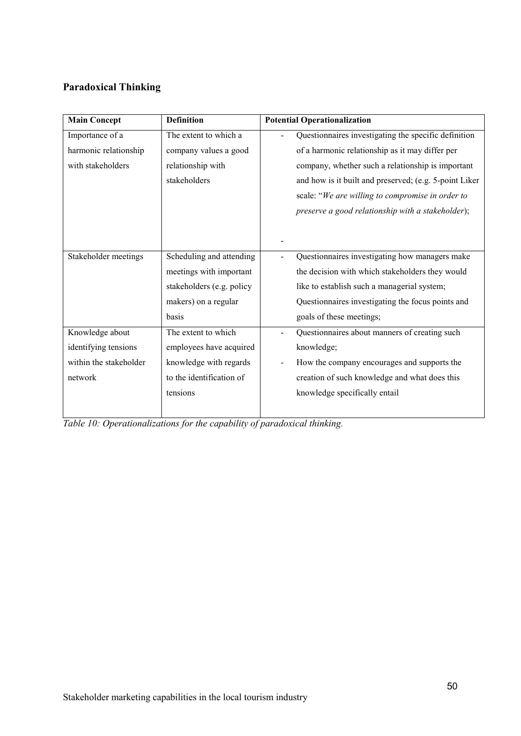# **Paradoxical Thinking**

| <b>Main Concept</b>    | <b>Definition</b>         | <b>Potential Operationalization</b>                    |
|------------------------|---------------------------|--------------------------------------------------------|
| Importance of a        | The extent to which a     | Questionnaires investigating the specific definition   |
| harmonic relationship  | company values a good     | of a harmonic relationship as it may differ per        |
| with stakeholders      | relationship with         | company, whether such a relationship is important      |
|                        | stakeholders              | and how is it built and preserved; (e.g. 5-point Liker |
|                        |                           | scale: "We are willing to compromise in order to       |
|                        |                           | preserve a good relationship with a stakeholder);      |
|                        |                           |                                                        |
|                        |                           |                                                        |
| Stakeholder meetings   | Scheduling and attending  | Questionnaires investigating how managers make         |
|                        | meetings with important   | the decision with which stakeholders they would        |
|                        | stakeholders (e.g. policy | like to establish such a managerial system;            |
|                        | makers) on a regular      | Questionnaires investigating the focus points and      |
|                        | basis                     | goals of these meetings;                               |
| Knowledge about        | The extent to which       | Questionnaires about manners of creating such          |
| identifying tensions   | employees have acquired   | knowledge;                                             |
| within the stakeholder | knowledge with regards    | How the company encourages and supports the            |
| network                | to the identification of  | creation of such knowledge and what does this          |
|                        | tensions                  | knowledge specifically entail                          |
|                        |                           |                                                        |

*Table 10: Operationalizations for the capability of paradoxical thinking.*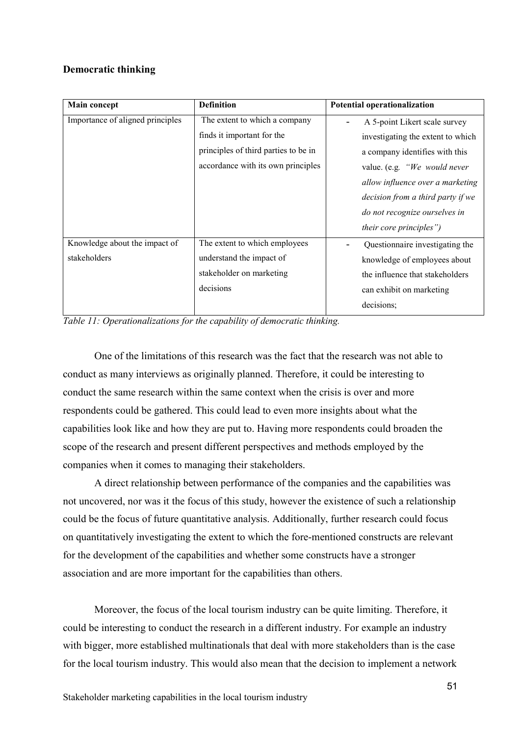### **Democratic thinking**

| <b>Main concept</b>              | <b>Definition</b>                    | Potential operationalization                              |
|----------------------------------|--------------------------------------|-----------------------------------------------------------|
| Importance of aligned principles | The extent to which a company        | A 5-point Likert scale survey<br>$\overline{\phantom{0}}$ |
|                                  | finds it important for the           | investigating the extent to which                         |
|                                  | principles of third parties to be in | a company identifies with this                            |
|                                  | accordance with its own principles   | value. (e.g. "We would never                              |
|                                  |                                      | allow influence over a marketing                          |
|                                  |                                      | decision from a third party if we                         |
|                                  |                                      | do not recognize ourselves in                             |
|                                  |                                      | their core principles")                                   |
| Knowledge about the impact of    | The extent to which employees        | Questionnaire investigating the                           |
| stakeholders                     | understand the impact of             | knowledge of employees about                              |
|                                  | stakeholder on marketing             | the influence that stakeholders                           |
|                                  | decisions                            | can exhibit on marketing                                  |
|                                  |                                      | decisions;                                                |

*Table 11: Operationalizations for the capability of democratic thinking.*

One of the limitations of this research was the fact that the research was not able to conduct as many interviews as originally planned. Therefore, it could be interesting to conduct the same research within the same context when the crisis is over and more respondents could be gathered. This could lead to even more insights about what the capabilities look like and how they are put to. Having more respondents could broaden the scope of the research and present different perspectives and methods employed by the companies when it comes to managing their stakeholders.

A direct relationship between performance of the companies and the capabilities was not uncovered, nor was it the focus of this study, however the existence of such a relationship could be the focus of future quantitative analysis. Additionally, further research could focus on quantitatively investigating the extent to which the fore-mentioned constructs are relevant for the development of the capabilities and whether some constructs have a stronger association and are more important for the capabilities than others.

Moreover, the focus of the local tourism industry can be quite limiting. Therefore, it could be interesting to conduct the research in a different industry. For example an industry with bigger, more established multinationals that deal with more stakeholders than is the case for the local tourism industry. This would also mean that the decision to implement a network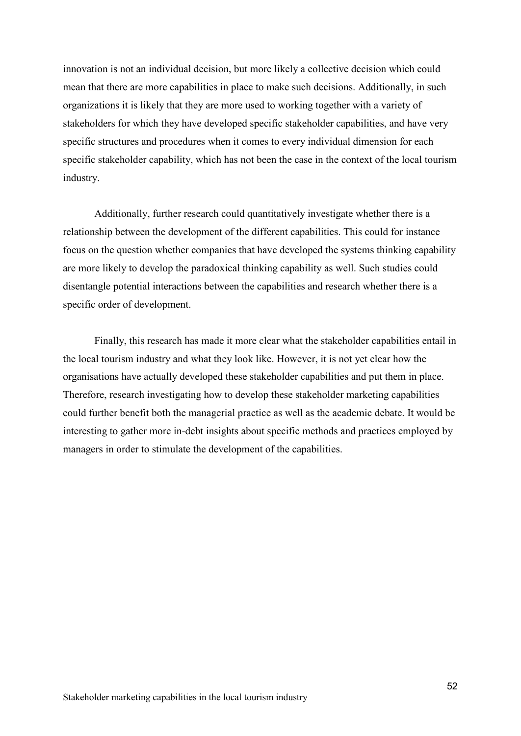innovation is not an individual decision, but more likely a collective decision which could mean that there are more capabilities in place to make such decisions. Additionally, in such organizations it is likely that they are more used to working together with a variety of stakeholders for which they have developed specific stakeholder capabilities, and have very specific structures and procedures when it comes to every individual dimension for each specific stakeholder capability, which has not been the case in the context of the local tourism industry.

Additionally, further research could quantitatively investigate whether there is a relationship between the development of the different capabilities. This could for instance focus on the question whether companies that have developed the systems thinking capability are more likely to develop the paradoxical thinking capability as well. Such studies could disentangle potential interactions between the capabilities and research whether there is a specific order of development.

Finally, this research has made it more clear what the stakeholder capabilities entail in the local tourism industry and what they look like. However, it is not yet clear how the organisations have actually developed these stakeholder capabilities and put them in place. Therefore, research investigating how to develop these stakeholder marketing capabilities could further benefit both the managerial practice as well as the academic debate. It would be interesting to gather more in-debt insights about specific methods and practices employed by managers in order to stimulate the development of the capabilities.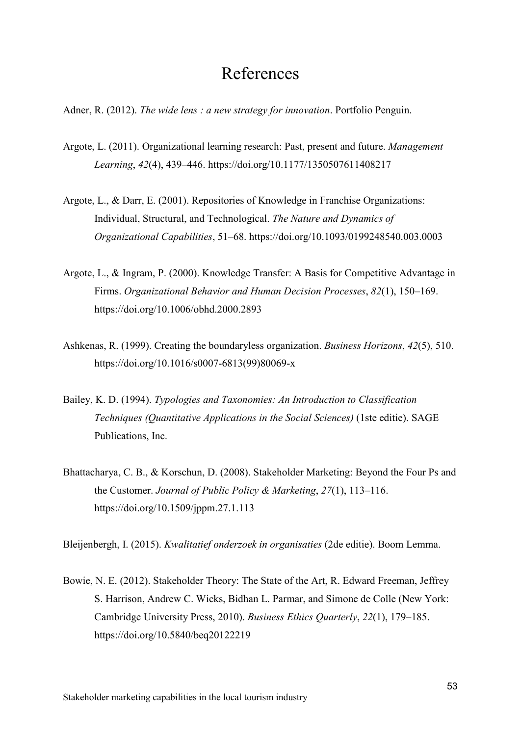# References

- Adner, R. (2012). *The wide lens : a new strategy for innovation*. Portfolio Penguin.
- Argote, L. (2011). Organizational learning research: Past, present and future. *Management Learning*, *42*(4), 439–446. https://doi.org/10.1177/1350507611408217
- Argote, L., & Darr, E. (2001). Repositories of Knowledge in Franchise Organizations: Individual, Structural, and Technological. *The Nature and Dynamics of Organizational Capabilities*, 51–68. https://doi.org/10.1093/0199248540.003.0003
- Argote, L., & Ingram, P. (2000). Knowledge Transfer: A Basis for Competitive Advantage in Firms. *Organizational Behavior and Human Decision Processes*, *82*(1), 150–169. https://doi.org/10.1006/obhd.2000.2893
- Ashkenas, R. (1999). Creating the boundaryless organization. *Business Horizons*, *42*(5), 510. https://doi.org/10.1016/s0007-6813(99)80069-x
- Bailey, K. D. (1994). *Typologies and Taxonomies: An Introduction to Classification Techniques (Quantitative Applications in the Social Sciences)* (1ste editie). SAGE Publications, Inc.
- Bhattacharya, C. B., & Korschun, D. (2008). Stakeholder Marketing: Beyond the Four Ps and the Customer. *Journal of Public Policy & Marketing*, *27*(1), 113–116. https://doi.org/10.1509/jppm.27.1.113

Bleijenbergh, I. (2015). *Kwalitatief onderzoek in organisaties* (2de editie). Boom Lemma.

Bowie, N. E. (2012). Stakeholder Theory: The State of the Art, R. Edward Freeman, Jeffrey S. Harrison, Andrew C. Wicks, Bidhan L. Parmar, and Simone de Colle (New York: Cambridge University Press, 2010). *Business Ethics Quarterly*, *22*(1), 179–185. https://doi.org/10.5840/beq20122219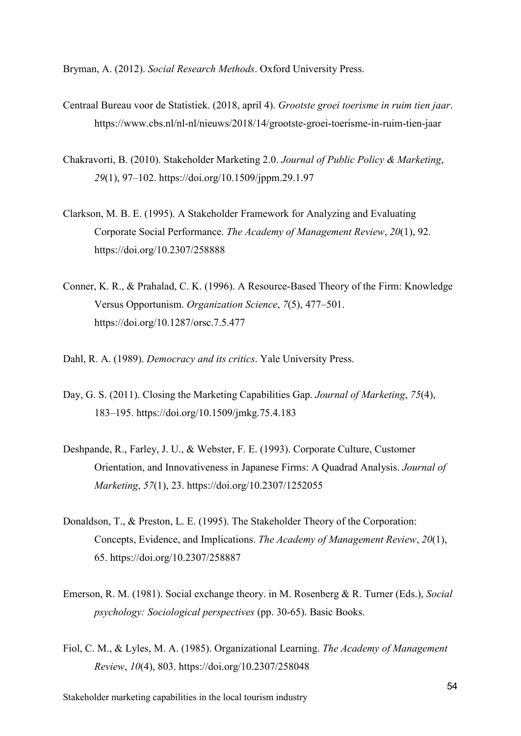Bryman, A. (2012). *Social Research Methods*. Oxford University Press.

- Centraal Bureau voor de Statistiek. (2018, april 4). *Grootste groei toerisme in ruim tien jaar*. https://www.cbs.nl/nl-nl/nieuws/2018/14/grootste-groei-toerisme-in-ruim-tien-jaar
- Chakravorti, B. (2010). Stakeholder Marketing 2.0. *Journal of Public Policy & Marketing*, *29*(1), 97–102. https://doi.org/10.1509/jppm.29.1.97
- Clarkson, M. B. E. (1995). A Stakeholder Framework for Analyzing and Evaluating Corporate Social Performance. *The Academy of Management Review*, *20*(1), 92. https://doi.org/10.2307/258888
- Conner, K. R., & Prahalad, C. K. (1996). A Resource-Based Theory of the Firm: Knowledge Versus Opportunism. *Organization Science*, *7*(5), 477–501. https://doi.org/10.1287/orsc.7.5.477

Dahl, R. A. (1989). *Democracy and its critics*. Yale University Press.

- Day, G. S. (2011). Closing the Marketing Capabilities Gap. *Journal of Marketing*, *75*(4), 183–195. https://doi.org/10.1509/jmkg.75.4.183
- Deshpande, R., Farley, J. U., & Webster, F. E. (1993). Corporate Culture, Customer Orientation, and Innovativeness in Japanese Firms: A Quadrad Analysis. *Journal of Marketing*, *57*(1), 23. https://doi.org/10.2307/1252055
- Donaldson, T., & Preston, L. E. (1995). The Stakeholder Theory of the Corporation: Concepts, Evidence, and Implications. *The Academy of Management Review*, *20*(1), 65. https://doi.org/10.2307/258887
- Emerson, R. M. (1981). Social exchange theory. in M. Rosenberg & R. Turner (Eds.), *Social psychology: Sociological perspectives* (pp. 30-65). Basic Books.
- Fiol, C. M., & Lyles, M. A. (1985). Organizational Learning. *The Academy of Management Review*, *10*(4), 803. https://doi.org/10.2307/258048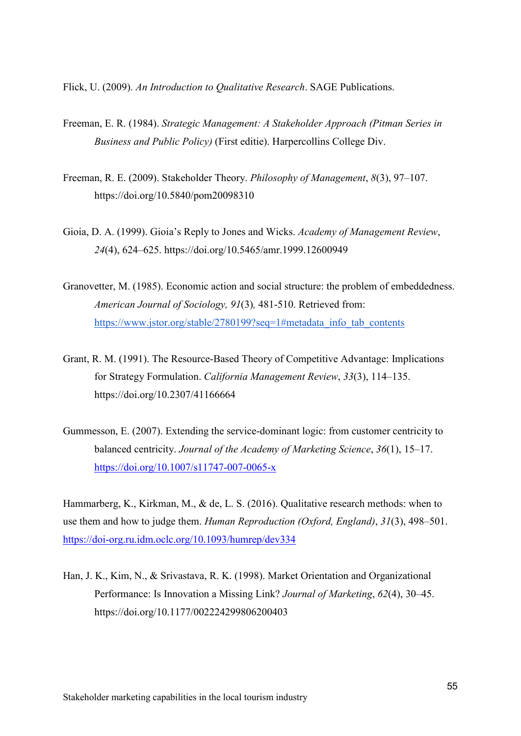Flick, U. (2009). *An Introduction to Qualitative Research*. SAGE Publications.

- Freeman, E. R. (1984). *Strategic Management: A Stakeholder Approach (Pitman Series in Business and Public Policy)* (First editie). Harpercollins College Div.
- Freeman, R. E. (2009). Stakeholder Theory. *Philosophy of Management*, *8*(3), 97–107. https://doi.org/10.5840/pom20098310
- Gioia, D. A. (1999). Gioia's Reply to Jones and Wicks. *Academy of Management Review*, *24*(4), 624–625. https://doi.org/10.5465/amr.1999.12600949
- Granovetter, M. (1985). Economic action and social structure: the problem of embeddedness. *American Journal of Sociology, 91*(3)*,* 481-510. Retrieved from: https://www.jstor.org/stable/2780199?seq=1#metadata\_info\_tab\_contents
- Grant, R. M. (1991). The Resource-Based Theory of Competitive Advantage: Implications for Strategy Formulation. *California Management Review*, *33*(3), 114–135. https://doi.org/10.2307/41166664
- Gummesson, E. (2007). Extending the service-dominant logic: from customer centricity to balanced centricity. *Journal of the Academy of Marketing Science*, *36*(1), 15–17. <https://doi.org/10.1007/s11747-007-0065-x>

Hammarberg, K., Kirkman, M., & de, L. S. (2016). Qualitative research methods: when to use them and how to judge them. *Human Reproduction (Oxford, England)*, *31*(3), 498–501. <https://doi-org.ru.idm.oclc.org/10.1093/humrep/dev334>

Han, J. K., Kim, N., & Srivastava, R. K. (1998). Market Orientation and Organizational Performance: Is Innovation a Missing Link? *Journal of Marketing*, *62*(4), 30–45. https://doi.org/10.1177/002224299806200403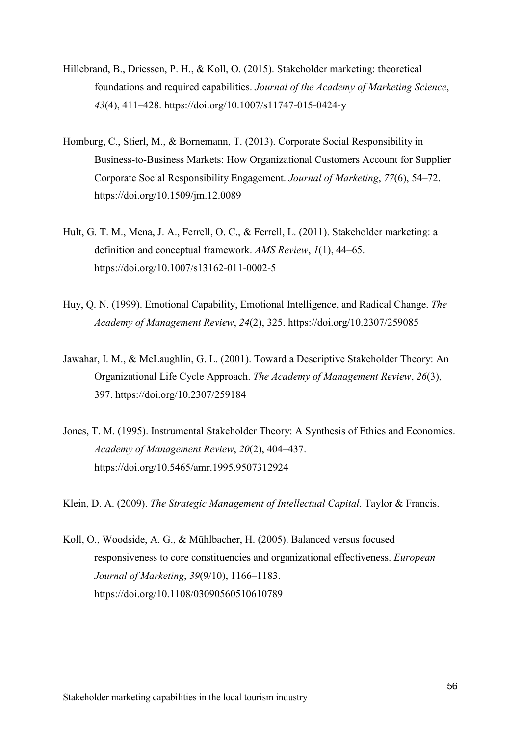- Hillebrand, B., Driessen, P. H., & Koll, O. (2015). Stakeholder marketing: theoretical foundations and required capabilities. *Journal of the Academy of Marketing Science*, *43*(4), 411–428. https://doi.org/10.1007/s11747-015-0424-y
- Homburg, C., Stierl, M., & Bornemann, T. (2013). Corporate Social Responsibility in Business-to-Business Markets: How Organizational Customers Account for Supplier Corporate Social Responsibility Engagement. *Journal of Marketing*, *77*(6), 54–72. https://doi.org/10.1509/jm.12.0089
- Hult, G. T. M., Mena, J. A., Ferrell, O. C., & Ferrell, L. (2011). Stakeholder marketing: a definition and conceptual framework. *AMS Review*, *1*(1), 44–65. https://doi.org/10.1007/s13162-011-0002-5
- Huy, Q. N. (1999). Emotional Capability, Emotional Intelligence, and Radical Change. *The Academy of Management Review*, *24*(2), 325. https://doi.org/10.2307/259085
- Jawahar, I. M., & McLaughlin, G. L. (2001). Toward a Descriptive Stakeholder Theory: An Organizational Life Cycle Approach. *The Academy of Management Review*, *26*(3), 397. https://doi.org/10.2307/259184
- Jones, T. M. (1995). Instrumental Stakeholder Theory: A Synthesis of Ethics and Economics. *Academy of Management Review*, *20*(2), 404–437. https://doi.org/10.5465/amr.1995.9507312924
- Klein, D. A. (2009). *The Strategic Management of Intellectual Capital*. Taylor & Francis.
- Koll, O., Woodside, A. G., & Mühlbacher, H. (2005). Balanced versus focused responsiveness to core constituencies and organizational effectiveness. *European Journal of Marketing*, *39*(9/10), 1166–1183. https://doi.org/10.1108/03090560510610789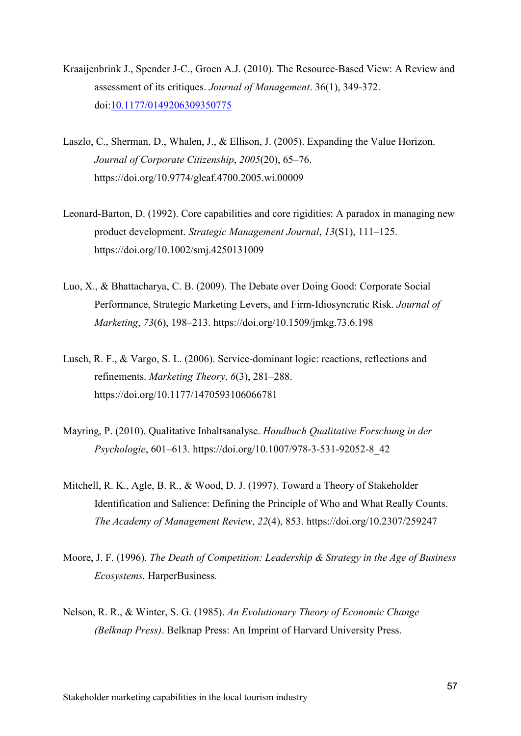- Kraaijenbrink J., Spender J-C., Groen A.J. (2010). The Resource-Based View: A Review and assessment of its critiques. *Journal of Management*. 36(1), 349-372. doi[:10.1177/0149206309350775](https://doi.org/10.1177/0149206309350775)
- Laszlo, C., Sherman, D., Whalen, J., & Ellison, J. (2005). Expanding the Value Horizon. *Journal of Corporate Citizenship*, *2005*(20), 65–76. https://doi.org/10.9774/gleaf.4700.2005.wi.00009
- Leonard-Barton, D. (1992). Core capabilities and core rigidities: A paradox in managing new product development. *Strategic Management Journal*, *13*(S1), 111–125. https://doi.org/10.1002/smj.4250131009
- Luo, X., & Bhattacharya, C. B. (2009). The Debate over Doing Good: Corporate Social Performance, Strategic Marketing Levers, and Firm-Idiosyncratic Risk. *Journal of Marketing*, *73*(6), 198–213. https://doi.org/10.1509/jmkg.73.6.198
- Lusch, R. F., & Vargo, S. L. (2006). Service-dominant logic: reactions, reflections and refinements. *Marketing Theory*, *6*(3), 281–288. https://doi.org/10.1177/1470593106066781
- Mayring, P. (2010). Qualitative Inhaltsanalyse. *Handbuch Qualitative Forschung in der Psychologie*, 601–613. https://doi.org/10.1007/978-3-531-92052-8\_42
- Mitchell, R. K., Agle, B. R., & Wood, D. J. (1997). Toward a Theory of Stakeholder Identification and Salience: Defining the Principle of Who and What Really Counts. *The Academy of Management Review*, *22*(4), 853. https://doi.org/10.2307/259247
- Moore, J. F. (1996). *The Death of Competition: Leadership & Strategy in the Age of Business Ecosystems.* HarperBusiness.
- Nelson, R. R., & Winter, S. G. (1985). *An Evolutionary Theory of Economic Change (Belknap Press)*. Belknap Press: An Imprint of Harvard University Press.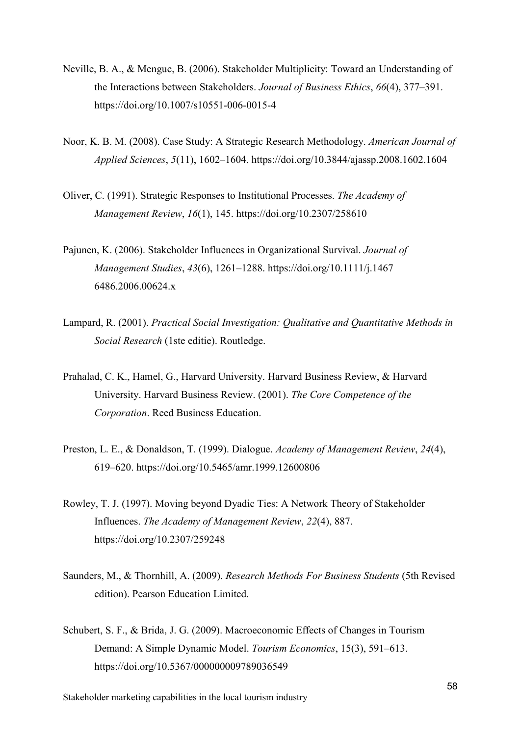- Neville, B. A., & Menguc, B. (2006). Stakeholder Multiplicity: Toward an Understanding of the Interactions between Stakeholders. *Journal of Business Ethics*, *66*(4), 377–391. https://doi.org/10.1007/s10551-006-0015-4
- Noor, K. B. M. (2008). Case Study: A Strategic Research Methodology. *American Journal of Applied Sciences*, *5*(11), 1602–1604. https://doi.org/10.3844/ajassp.2008.1602.1604
- Oliver, C. (1991). Strategic Responses to Institutional Processes. *The Academy of Management Review*, *16*(1), 145. https://doi.org/10.2307/258610
- Pajunen, K. (2006). Stakeholder Influences in Organizational Survival. *Journal of Management Studies*, *43*(6), 1261–1288. https://doi.org/10.1111/j.1467 6486.2006.00624.x
- Lampard, R. (2001). *Practical Social Investigation: Qualitative and Quantitative Methods in Social Research* (1ste editie). Routledge.
- Prahalad, C. K., Hamel, G., Harvard University. Harvard Business Review, & Harvard University. Harvard Business Review. (2001). *The Core Competence of the Corporation*. Reed Business Education.
- Preston, L. E., & Donaldson, T. (1999). Dialogue. *Academy of Management Review*, *24*(4), 619–620. https://doi.org/10.5465/amr.1999.12600806
- Rowley, T. J. (1997). Moving beyond Dyadic Ties: A Network Theory of Stakeholder Influences. *The Academy of Management Review*, *22*(4), 887. https://doi.org/10.2307/259248
- Saunders, M., & Thornhill, A. (2009). *Research Methods For Business Students* (5th Revised edition). Pearson Education Limited.
- Schubert, S. F., & Brida, J. G. (2009). Macroeconomic Effects of Changes in Tourism Demand: A Simple Dynamic Model. *Tourism Economics*, 15(3), 591–613. https://doi.org/10.5367/000000009789036549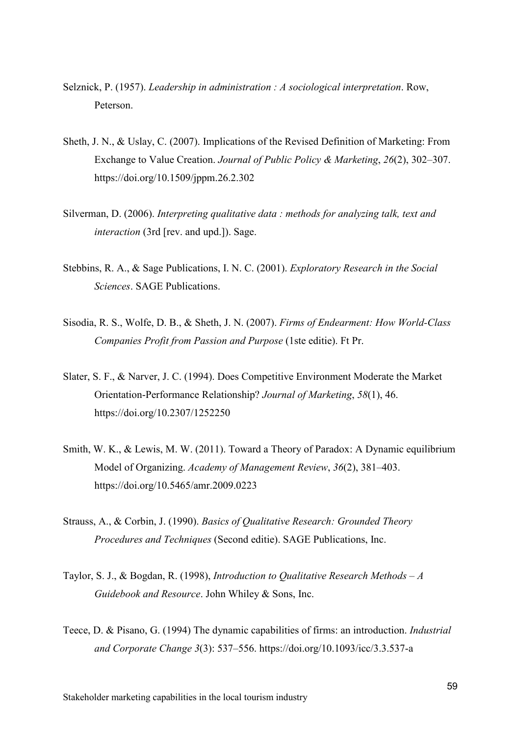- Selznick, P. (1957). *Leadership in administration : A sociological interpretation*. Row, Peterson.
- Sheth, J. N., & Uslay, C. (2007). Implications of the Revised Definition of Marketing: From Exchange to Value Creation. *Journal of Public Policy & Marketing*, *26*(2), 302–307. https://doi.org/10.1509/jppm.26.2.302
- Silverman, D. (2006). *Interpreting qualitative data : methods for analyzing talk, text and interaction* (3rd [rev. and upd.]). Sage.
- Stebbins, R. A., & Sage Publications, I. N. C. (2001). *Exploratory Research in the Social Sciences*. SAGE Publications.
- Sisodia, R. S., Wolfe, D. B., & Sheth, J. N. (2007). *Firms of Endearment: How World-Class Companies Profit from Passion and Purpose* (1ste editie). Ft Pr.
- Slater, S. F., & Narver, J. C. (1994). Does Competitive Environment Moderate the Market Orientation-Performance Relationship? *Journal of Marketing*, *58*(1), 46. https://doi.org/10.2307/1252250
- Smith, W. K., & Lewis, M. W. (2011). Toward a Theory of Paradox: A Dynamic equilibrium Model of Organizing. *Academy of Management Review*, *36*(2), 381–403. https://doi.org/10.5465/amr.2009.0223
- Strauss, A., & Corbin, J. (1990). *Basics of Qualitative Research: Grounded Theory Procedures and Techniques* (Second editie). SAGE Publications, Inc.
- Taylor, S. J., & Bogdan, R. (1998), *Introduction to Qualitative Research Methods – A Guidebook and Resource*. John Whiley & Sons, Inc.
- Teece, D. & Pisano, G. (1994) The dynamic capabilities of firms: an introduction. *Industrial and Corporate Change 3*(3): 537–556. https://doi.org/10.1093/icc/3.3.537-a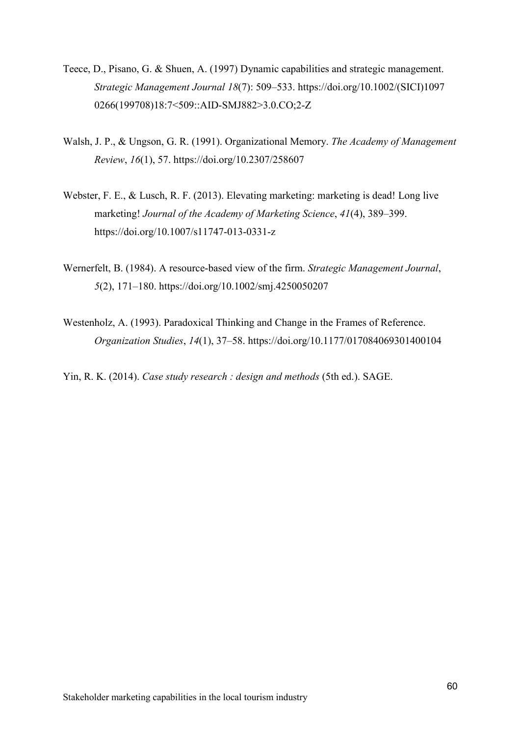- Teece, D., Pisano, G. & Shuen, A. (1997) Dynamic capabilities and strategic management. *Strategic Management Journal 18*(7): 509–533. https://doi.org/10.1002/(SICI)1097 0266(199708)18:7<509::AID-SMJ882>3.0.CO;2-Z
- Walsh, J. P., & Ungson, G. R. (1991). Organizational Memory. *The Academy of Management Review*, *16*(1), 57. https://doi.org/10.2307/258607
- Webster, F. E., & Lusch, R. F. (2013). Elevating marketing: marketing is dead! Long live marketing! *Journal of the Academy of Marketing Science*, *41*(4), 389–399. https://doi.org/10.1007/s11747-013-0331-z
- Wernerfelt, B. (1984). A resource-based view of the firm. *Strategic Management Journal*, *5*(2), 171–180. https://doi.org/10.1002/smj.4250050207
- Westenholz, A. (1993). Paradoxical Thinking and Change in the Frames of Reference. *Organization Studies*, *14*(1), 37–58. https://doi.org/10.1177/017084069301400104
- Yin, R. K. (2014). *Case study research : design and methods* (5th ed.). SAGE.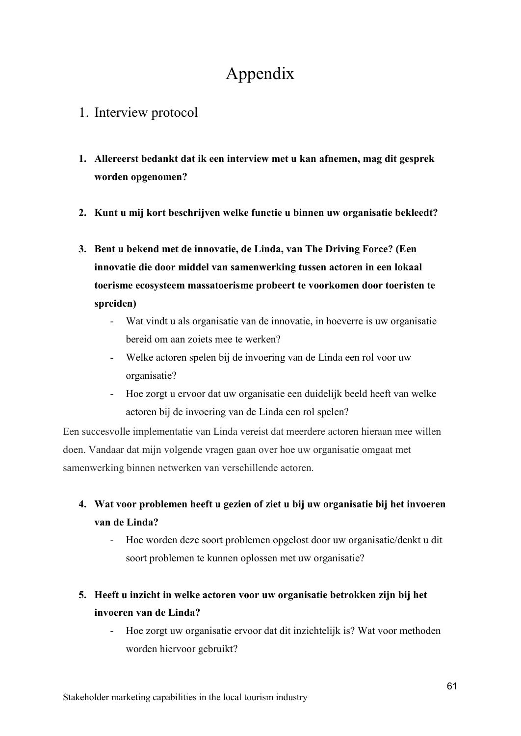# Appendix

### 1. Interview protocol

- **1. Allereerst bedankt dat ik een interview met u kan afnemen, mag dit gesprek worden opgenomen?**
- **2. Kunt u mij kort beschrijven welke functie u binnen uw organisatie bekleedt?**
- **3. Bent u bekend met de innovatie, de Linda, van The Driving Force? (Een innovatie die door middel van samenwerking tussen actoren in een lokaal toerisme ecosysteem massatoerisme probeert te voorkomen door toeristen te spreiden)**
	- Wat vindt u als organisatie van de innovatie, in hoeverre is uw organisatie bereid om aan zoiets mee te werken?
	- Welke actoren spelen bij de invoering van de Linda een rol voor uw organisatie?
	- Hoe zorgt u ervoor dat uw organisatie een duidelijk beeld heeft van welke actoren bij de invoering van de Linda een rol spelen?

Een succesvolle implementatie van Linda vereist dat meerdere actoren hieraan mee willen doen. Vandaar dat mijn volgende vragen gaan over hoe uw organisatie omgaat met samenwerking binnen netwerken van verschillende actoren.

- **4. Wat voor problemen heeft u gezien of ziet u bij uw organisatie bij het invoeren van de Linda?**
	- Hoe worden deze soort problemen opgelost door uw organisatie/denkt u dit soort problemen te kunnen oplossen met uw organisatie?

### **5. Heeft u inzicht in welke actoren voor uw organisatie betrokken zijn bij het invoeren van de Linda?**

Hoe zorgt uw organisatie ervoor dat dit inzichtelijk is? Wat voor methoden worden hiervoor gebruikt?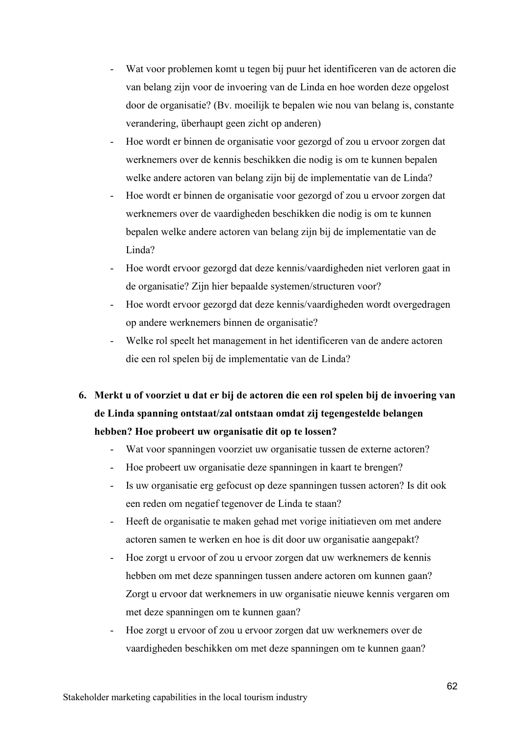- Wat voor problemen komt u tegen bij puur het identificeren van de actoren die van belang zijn voor de invoering van de Linda en hoe worden deze opgelost door de organisatie? (Bv. moeilijk te bepalen wie nou van belang is, constante verandering, überhaupt geen zicht op anderen)
- Hoe wordt er binnen de organisatie voor gezorgd of zou u ervoor zorgen dat werknemers over de kennis beschikken die nodig is om te kunnen bepalen welke andere actoren van belang zijn bij de implementatie van de Linda?
- Hoe wordt er binnen de organisatie voor gezorgd of zou u ervoor zorgen dat werknemers over de vaardigheden beschikken die nodig is om te kunnen bepalen welke andere actoren van belang zijn bij de implementatie van de Linda?
- Hoe wordt ervoor gezorgd dat deze kennis/vaardigheden niet verloren gaat in de organisatie? Zijn hier bepaalde systemen/structuren voor?
- Hoe wordt ervoor gezorgd dat deze kennis/vaardigheden wordt overgedragen op andere werknemers binnen de organisatie?
- Welke rol speelt het management in het identificeren van de andere actoren die een rol spelen bij de implementatie van de Linda?
- **6. Merkt u of voorziet u dat er bij de actoren die een rol spelen bij de invoering van de Linda spanning ontstaat/zal ontstaan omdat zij tegengestelde belangen hebben? Hoe probeert uw organisatie dit op te lossen?**
	- Wat voor spanningen voorziet uw organisatie tussen de externe actoren?
	- Hoe probeert uw organisatie deze spanningen in kaart te brengen?
	- Is uw organisatie erg gefocust op deze spanningen tussen actoren? Is dit ook een reden om negatief tegenover de Linda te staan?
	- Heeft de organisatie te maken gehad met vorige initiatieven om met andere actoren samen te werken en hoe is dit door uw organisatie aangepakt?
	- Hoe zorgt u ervoor of zou u ervoor zorgen dat uw werknemers de kennis hebben om met deze spanningen tussen andere actoren om kunnen gaan? Zorgt u ervoor dat werknemers in uw organisatie nieuwe kennis vergaren om met deze spanningen om te kunnen gaan?
	- Hoe zorgt u ervoor of zou u ervoor zorgen dat uw werknemers over de vaardigheden beschikken om met deze spanningen om te kunnen gaan?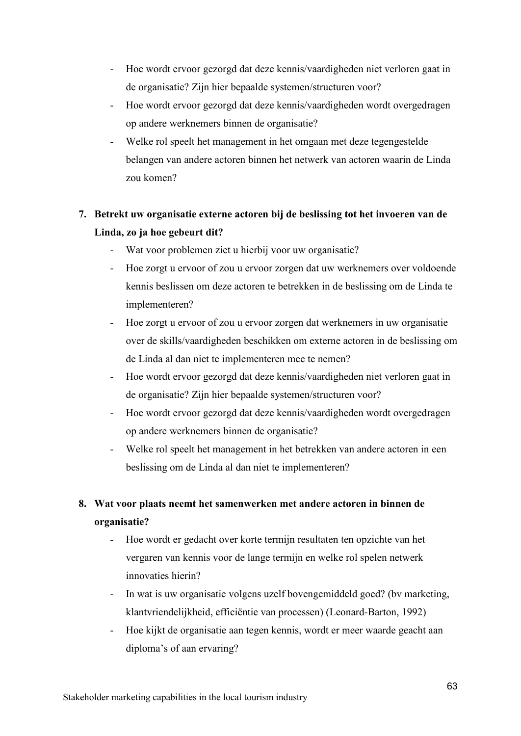- Hoe wordt ervoor gezorgd dat deze kennis/vaardigheden niet verloren gaat in de organisatie? Zijn hier bepaalde systemen/structuren voor?
- Hoe wordt ervoor gezorgd dat deze kennis/vaardigheden wordt overgedragen op andere werknemers binnen de organisatie?
- Welke rol speelt het management in het omgaan met deze tegengestelde belangen van andere actoren binnen het netwerk van actoren waarin de Linda zou komen?

### **7. Betrekt uw organisatie externe actoren bij de beslissing tot het invoeren van de Linda, zo ja hoe gebeurt dit?**

- Wat voor problemen ziet u hierbij voor uw organisatie?
- Hoe zorgt u ervoor of zou u ervoor zorgen dat uw werknemers over voldoende kennis beslissen om deze actoren te betrekken in de beslissing om de Linda te implementeren?
- Hoe zorgt u ervoor of zou u ervoor zorgen dat werknemers in uw organisatie over de skills/vaardigheden beschikken om externe actoren in de beslissing om de Linda al dan niet te implementeren mee te nemen?
- Hoe wordt ervoor gezorgd dat deze kennis/vaardigheden niet verloren gaat in de organisatie? Zijn hier bepaalde systemen/structuren voor?
- Hoe wordt ervoor gezorgd dat deze kennis/vaardigheden wordt overgedragen op andere werknemers binnen de organisatie?
- Welke rol speelt het management in het betrekken van andere actoren in een beslissing om de Linda al dan niet te implementeren?

### **8. Wat voor plaats neemt het samenwerken met andere actoren in binnen de organisatie?**

- Hoe wordt er gedacht over korte termijn resultaten ten opzichte van het vergaren van kennis voor de lange termijn en welke rol spelen netwerk innovaties hierin?
- In wat is uw organisatie volgens uzelf bovengemiddeld goed? (bv marketing, klantvriendelijkheid, efficiëntie van processen) (Leonard-Barton, 1992)
- Hoe kijkt de organisatie aan tegen kennis, wordt er meer waarde geacht aan diploma's of aan ervaring?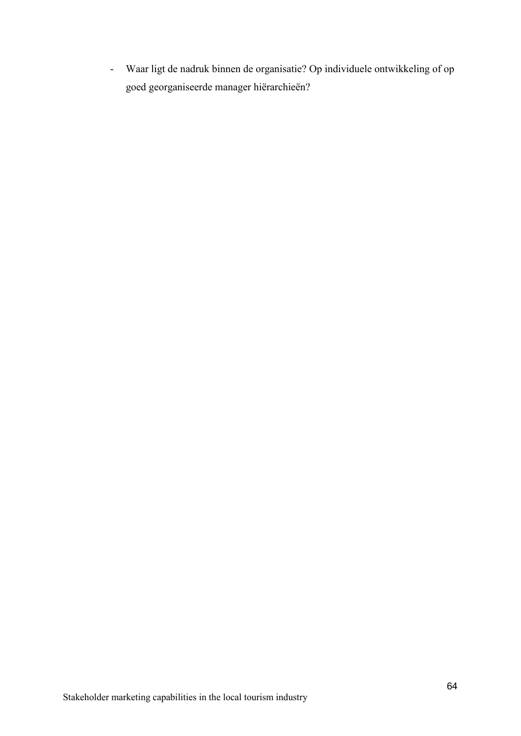- Waar ligt de nadruk binnen de organisatie? Op individuele ontwikkeling of op goed georganiseerde manager hiërarchieën?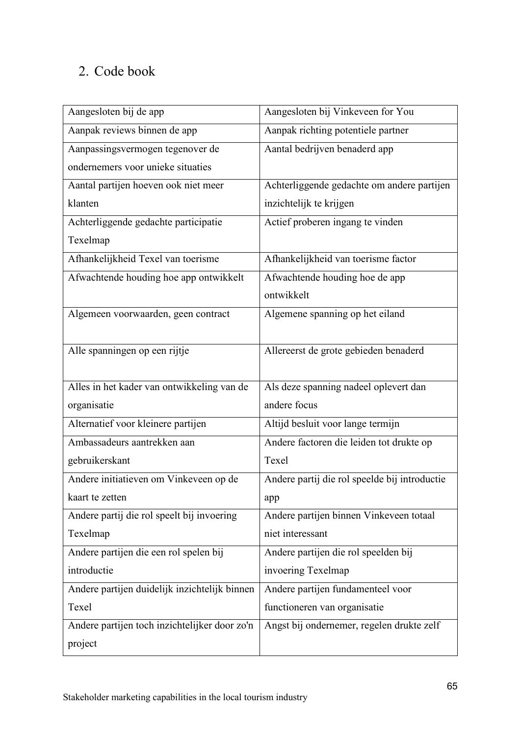# 2. Code book

| Aangesloten bij de app                        | Aangesloten bij Vinkeveen for You             |
|-----------------------------------------------|-----------------------------------------------|
| Aanpak reviews binnen de app                  | Aanpak richting potentiele partner            |
| Aanpassingsvermogen tegenover de              | Aantal bedrijven benaderd app                 |
| ondernemers voor unieke situaties             |                                               |
| Aantal partijen hoeven ook niet meer          | Achterliggende gedachte om andere partijen    |
| klanten                                       | inzichtelijk te krijgen                       |
| Achterliggende gedachte participatie          | Actief proberen ingang te vinden              |
| Texelmap                                      |                                               |
| Afhankelijkheid Texel van toerisme            | Afhankelijkheid van toerisme factor           |
| Afwachtende houding hoe app ontwikkelt        | Afwachtende houding hoe de app                |
|                                               | ontwikkelt                                    |
| Algemeen voorwaarden, geen contract           | Algemene spanning op het eiland               |
|                                               |                                               |
| Alle spanningen op een rijtje                 | Allereerst de grote gebieden benaderd         |
|                                               |                                               |
| Alles in het kader van ontwikkeling van de    | Als deze spanning nadeel oplevert dan         |
| organisatie                                   | andere focus                                  |
| Alternatief voor kleinere partijen            | Altijd besluit voor lange termijn             |
| Ambassadeurs aantrekken aan                   | Andere factoren die leiden tot drukte op      |
| gebruikerskant                                | Texel                                         |
| Andere initiatieven om Vinkeveen op de        | Andere partij die rol speelde bij introductie |
| kaart te zetten                               | app                                           |
| Andere partij die rol speelt bij invoering    | Andere partijen binnen Vinkeveen totaal       |
| Texelmap                                      | niet interessant                              |
| Andere partijen die een rol spelen bij        | Andere partijen die rol speelden bij          |
| introductie                                   | invoering Texelmap                            |
| Andere partijen duidelijk inzichtelijk binnen | Andere partijen fundamenteel voor             |
| Texel                                         | functioneren van organisatie                  |
| Andere partijen toch inzichtelijker door zo'n | Angst bij ondernemer, regelen drukte zelf     |
| project                                       |                                               |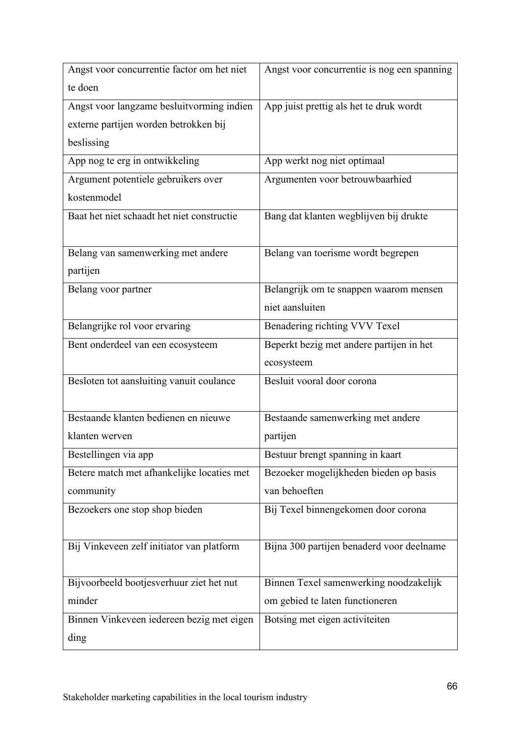| Angst voor concurrentie factor om het niet | Angst voor concurrentie is nog een spanning |
|--------------------------------------------|---------------------------------------------|
| te doen                                    |                                             |
| Angst voor langzame besluitvorming indien  | App juist prettig als het te druk wordt     |
| externe partijen worden betrokken bij      |                                             |
| beslissing                                 |                                             |
| App nog te erg in ontwikkeling             | App werkt nog niet optimaal                 |
| Argument potentiele gebruikers over        | Argumenten voor betrouwbaarhied             |
| kostenmodel                                |                                             |
| Baat het niet schaadt het niet constructie | Bang dat klanten wegblijven bij drukte      |
|                                            |                                             |
| Belang van samenwerking met andere         | Belang van toerisme wordt begrepen          |
| partijen                                   |                                             |
| Belang voor partner                        | Belangrijk om te snappen waarom mensen      |
|                                            | niet aansluiten                             |
| Belangrijke rol voor ervaring              | Benadering richting VVV Texel               |
| Bent onderdeel van een ecosysteem          | Beperkt bezig met andere partijen in het    |
|                                            | ecosysteem                                  |
| Besloten tot aansluiting vanuit coulance   | Besluit vooral door corona                  |
|                                            |                                             |
| Bestaande klanten bedienen en nieuwe       | Bestaande samenwerking met andere           |
| klanten werven                             | partijen                                    |
| Bestellingen via app                       | Bestuur brengt spanning in kaart            |
| Betere match met afhankelijke locaties met | Bezoeker mogelijkheden bieden op basis      |
| community                                  | van behoeften                               |
| Bezoekers one stop shop bieden             | Bij Texel binnengekomen door corona         |
|                                            |                                             |
| Bij Vinkeveen zelf initiator van platform  | Bijna 300 partijen benaderd voor deelname   |
|                                            |                                             |
| Bijvoorbeeld bootjesverhuur ziet het nut   | Binnen Texel samenwerking noodzakelijk      |
| minder                                     | om gebied te laten functioneren             |
| Binnen Vinkeveen iedereen bezig met eigen  | Botsing met eigen activiteiten              |
| ding                                       |                                             |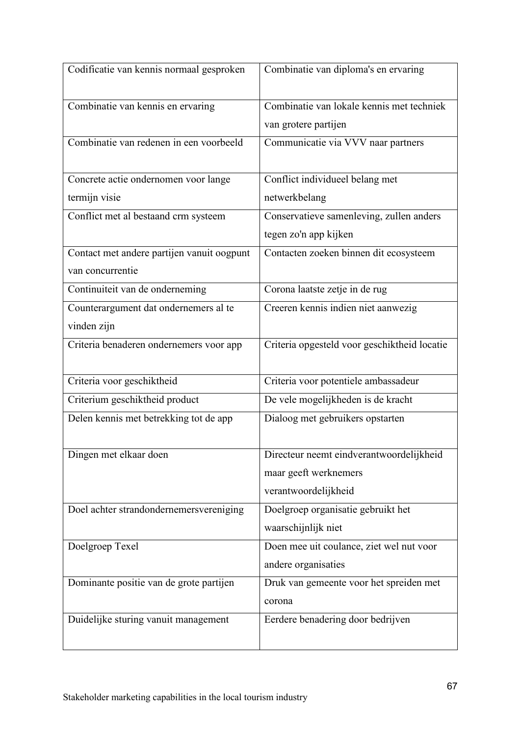| Codificatie van kennis normaal gesproken   | Combinatie van diploma's en ervaring         |
|--------------------------------------------|----------------------------------------------|
| Combinatie van kennis en ervaring          | Combinatie van lokale kennis met techniek    |
|                                            | van grotere partijen                         |
| Combinatie van redenen in een voorbeeld    | Communicatie via VVV naar partners           |
| Concrete actie ondernomen voor lange       | Conflict individueel belang met              |
| termijn visie                              | netwerkbelang                                |
| Conflict met al bestaand crm systeem       | Conservatieve samenleving, zullen anders     |
|                                            | tegen zo'n app kijken                        |
| Contact met andere partijen vanuit oogpunt | Contacten zoeken binnen dit ecosysteem       |
| van concurrentie                           |                                              |
| Continuiteit van de onderneming            | Corona laatste zetje in de rug               |
| Counterargument dat ondernemers al te      | Creeren kennis indien niet aanwezig          |
| vinden zijn                                |                                              |
| Criteria benaderen ondernemers voor app    | Criteria opgesteld voor geschiktheid locatie |
| Criteria voor geschiktheid                 | Criteria voor potentiele ambassadeur         |
| Criterium geschiktheid product             | De vele mogelijkheden is de kracht           |
| Delen kennis met betrekking tot de app     | Dialoog met gebruikers opstarten             |
| Dingen met elkaar doen                     | Directeur neemt eindverantwoordelijkheid     |
|                                            | maar geeft werknemers                        |
|                                            | verantwoordelijkheid                         |
| Doel achter strandondernemersvereniging    | Doelgroep organisatie gebruikt het           |
|                                            | waarschijnlijk niet                          |
| Doelgroep Texel                            | Doen mee uit coulance, ziet wel nut voor     |
|                                            | andere organisaties                          |
| Dominante positie van de grote partijen    | Druk van gemeente voor het spreiden met      |
|                                            | corona                                       |
| Duidelijke sturing vanuit management       | Eerdere benadering door bedrijven            |
|                                            |                                              |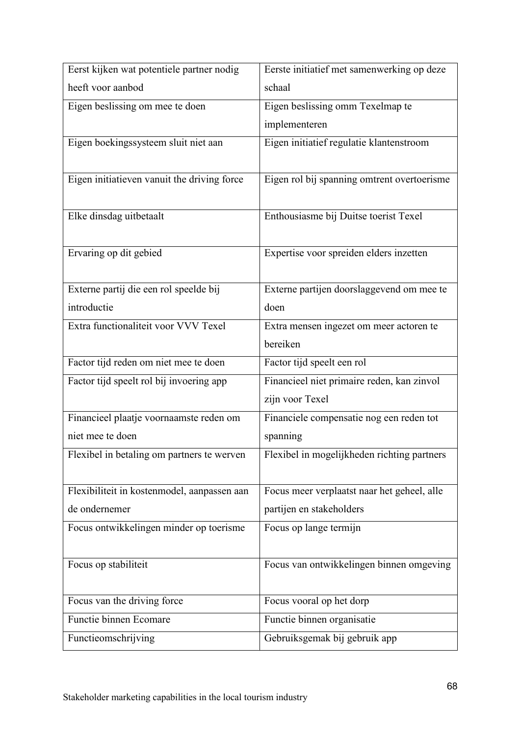| Eerst kijken wat potentiele partner nodig   | Eerste initiatief met samenwerking op deze  |
|---------------------------------------------|---------------------------------------------|
| heeft voor aanbod                           | schaal                                      |
| Eigen beslissing om mee te doen             | Eigen beslissing omm Texelmap te            |
|                                             | implementeren                               |
| Eigen boekingssysteem sluit niet aan        | Eigen initiatief regulatie klantenstroom    |
|                                             |                                             |
| Eigen initiatieven vanuit the driving force | Eigen rol bij spanning omtrent overtoerisme |
|                                             |                                             |
| Elke dinsdag uitbetaalt                     | Enthousiasme bij Duitse toerist Texel       |
|                                             |                                             |
| Ervaring op dit gebied                      | Expertise voor spreiden elders inzetten     |
|                                             |                                             |
| Externe partij die een rol speelde bij      | Externe partijen doorslaggevend om mee te   |
| introductie                                 | doen                                        |
| Extra functionaliteit voor VVV Texel        | Extra mensen ingezet om meer actoren te     |
|                                             | bereiken                                    |
| Factor tijd reden om niet mee te doen       | Factor tijd speelt een rol                  |
| Factor tijd speelt rol bij invoering app    | Financieel niet primaire reden, kan zinvol  |
|                                             | zijn voor Texel                             |
| Financieel plaatje voornaamste reden om     | Financiele compensatie nog een reden tot    |
| niet mee te doen                            | spanning                                    |
| Flexibel in betaling om partners te werven  | Flexibel in mogelijkheden richting partners |
|                                             |                                             |
| Flexibiliteit in kostenmodel, aanpassen aan | Focus meer verplaatst naar het geheel, alle |
| de ondernemer                               | partijen en stakeholders                    |
| Focus ontwikkelingen minder op toerisme     | Focus op lange termijn                      |
|                                             |                                             |
| Focus op stabiliteit                        | Focus van ontwikkelingen binnen omgeving    |
|                                             |                                             |
| Focus van the driving force                 | Focus vooral op het dorp                    |
| Functie binnen Ecomare                      | Functie binnen organisatie                  |
| Functieomschrijving                         | Gebruiksgemak bij gebruik app               |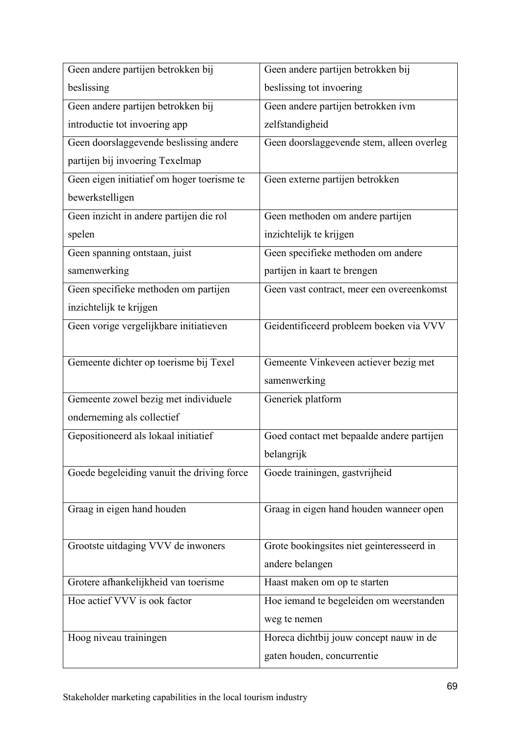| Geen andere partijen betrokken bij         | Geen andere partijen betrokken bij        |
|--------------------------------------------|-------------------------------------------|
| beslissing                                 | beslissing tot invoering                  |
| Geen andere partijen betrokken bij         | Geen andere partijen betrokken ivm        |
| introductie tot invoering app              | zelfstandigheid                           |
| Geen doorslaggevende beslissing andere     | Geen doorslaggevende stem, alleen overleg |
| partijen bij invoering Texelmap            |                                           |
| Geen eigen initiatief om hoger toerisme te | Geen externe partijen betrokken           |
| bewerkstelligen                            |                                           |
| Geen inzicht in andere partijen die rol    | Geen methoden om andere partijen          |
| spelen                                     | inzichtelijk te krijgen                   |
| Geen spanning ontstaan, juist              | Geen specifieke methoden om andere        |
| samenwerking                               | partijen in kaart te brengen              |
| Geen specifieke methoden om partijen       | Geen vast contract, meer een overeenkomst |
| inzichtelijk te krijgen                    |                                           |
| Geen vorige vergelijkbare initiatieven     | Geidentificeerd probleem boeken via VVV   |
|                                            |                                           |
| Gemeente dichter op toerisme bij Texel     | Gemeente Vinkeveen actiever bezig met     |
|                                            | samenwerking                              |
| Gemeente zowel bezig met individuele       | Generiek platform                         |
| onderneming als collectief                 |                                           |
| Gepositioneerd als lokaal initiatief       | Goed contact met bepaalde andere partijen |
|                                            | belangrijk                                |
| Goede begeleiding vanuit the driving force | Goede trainingen, gastvrijheid            |
|                                            |                                           |
| Graag in eigen hand houden                 | Graag in eigen hand houden wanneer open   |
|                                            |                                           |
| Grootste uitdaging VVV de inwoners         | Grote bookingsites niet geinteresseerd in |
|                                            | andere belangen                           |
| Grotere afhankelijkheid van toerisme       | Haast maken om op te starten              |
| Hoe actief VVV is ook factor               | Hoe iemand te begeleiden om weerstanden   |
|                                            | weg te nemen                              |
| Hoog niveau trainingen                     | Horeca dichtbij jouw concept nauw in de   |
|                                            | gaten houden, concurrentie                |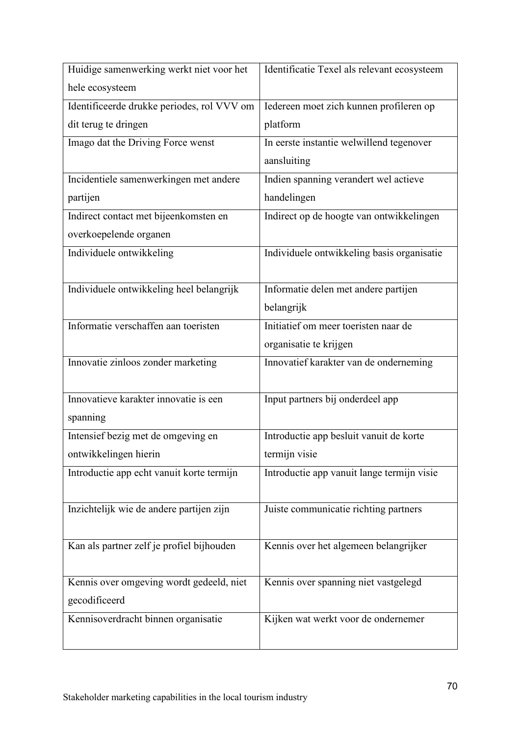| Huidige samenwerking werkt niet voor het   | Identificatie Texel als relevant ecosysteem |
|--------------------------------------------|---------------------------------------------|
| hele ecosysteem                            |                                             |
| Identificeerde drukke periodes, rol VVV om | Iedereen moet zich kunnen profileren op     |
| dit terug te dringen                       | platform                                    |
| Imago dat the Driving Force wenst          | In eerste instantie welwillend tegenover    |
|                                            | aansluiting                                 |
| Incidentiele samenwerkingen met andere     | Indien spanning verandert wel actieve       |
| partijen                                   | handelingen                                 |
| Indirect contact met bijeenkomsten en      | Indirect op de hoogte van ontwikkelingen    |
| overkoepelende organen                     |                                             |
| Individuele ontwikkeling                   | Individuele ontwikkeling basis organisatie  |
|                                            |                                             |
| Individuele ontwikkeling heel belangrijk   | Informatie delen met andere partijen        |
|                                            | belangrijk                                  |
| Informatie verschaffen aan toeristen       | Initiatief om meer toeristen naar de        |
|                                            | organisatie te krijgen                      |
| Innovatie zinloos zonder marketing         | Innovatief karakter van de onderneming      |
|                                            |                                             |
| Innovatieve karakter innovatie is een      | Input partners bij onderdeel app            |
| spanning                                   |                                             |
| Intensief bezig met de omgeving en         | Introductie app besluit vanuit de korte     |
| ontwikkelingen hierin                      | termijn visie                               |
| Introductie app echt vanuit korte termijn  | Introductie app vanuit lange termijn visie  |
|                                            |                                             |
| Inzichtelijk wie de andere partijen zijn   | Juiste communicatie richting partners       |
|                                            |                                             |
| Kan als partner zelf je profiel bijhouden  | Kennis over het algemeen belangrijker       |
|                                            |                                             |
| Kennis over omgeving wordt gedeeld, niet   | Kennis over spanning niet vastgelegd        |
| gecodificeerd                              |                                             |
| Kennisoverdracht binnen organisatie        | Kijken wat werkt voor de ondernemer         |
|                                            |                                             |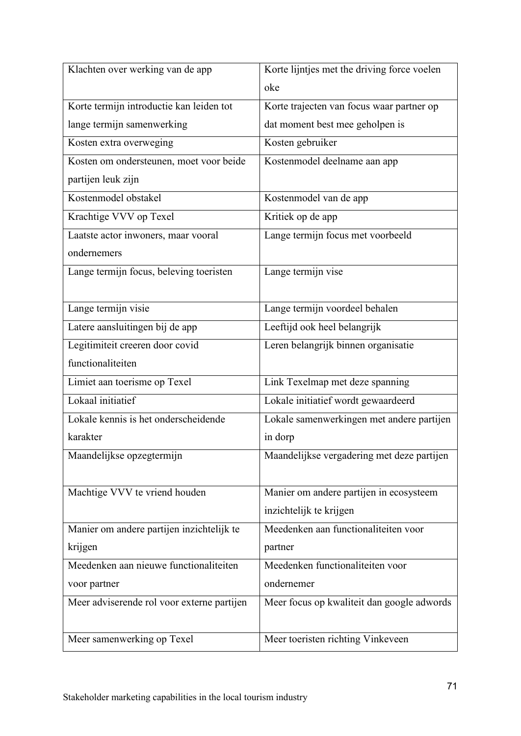| Klachten over werking van de app           | Korte lijntjes met the driving force voelen |
|--------------------------------------------|---------------------------------------------|
|                                            | oke                                         |
| Korte termijn introductie kan leiden tot   | Korte trajecten van focus waar partner op   |
| lange termijn samenwerking                 | dat moment best mee geholpen is             |
| Kosten extra overweging                    | Kosten gebruiker                            |
| Kosten om ondersteunen, moet voor beide    | Kostenmodel deelname aan app                |
| partijen leuk zijn                         |                                             |
| Kostenmodel obstakel                       | Kostenmodel van de app                      |
| Krachtige VVV op Texel                     | Kritiek op de app                           |
| Laatste actor inwoners, maar vooral        | Lange termijn focus met voorbeeld           |
| ondernemers                                |                                             |
| Lange termijn focus, beleving toeristen    | Lange termijn vise                          |
|                                            |                                             |
| Lange termijn visie                        | Lange termijn voordeel behalen              |
| Latere aansluitingen bij de app            | Leeftijd ook heel belangrijk                |
| Legitimiteit creeren door covid            | Leren belangrijk binnen organisatie         |
| functionaliteiten                          |                                             |
| Limiet aan toerisme op Texel               | Link Texelmap met deze spanning             |
| Lokaal initiatief                          | Lokale initiatief wordt gewaardeerd         |
| Lokale kennis is het onderscheidende       | Lokale samenwerkingen met andere partijen   |
| karakter                                   | in dorp                                     |
| Maandelijkse opzegtermijn                  | Maandelijkse vergadering met deze partijen  |
|                                            |                                             |
| Machtige VVV te vriend houden              | Manier om andere partijen in ecosysteem     |
|                                            | inzichtelijk te krijgen                     |
| Manier om andere partijen inzichtelijk te  | Meedenken aan functionaliteiten voor        |
| krijgen                                    | partner                                     |
| Meedenken aan nieuwe functionaliteiten     | Meedenken functionaliteiten voor            |
| voor partner                               | ondernemer                                  |
| Meer adviserende rol voor externe partijen | Meer focus op kwaliteit dan google adwords  |
|                                            |                                             |
| Meer samenwerking op Texel                 | Meer toeristen richting Vinkeveen           |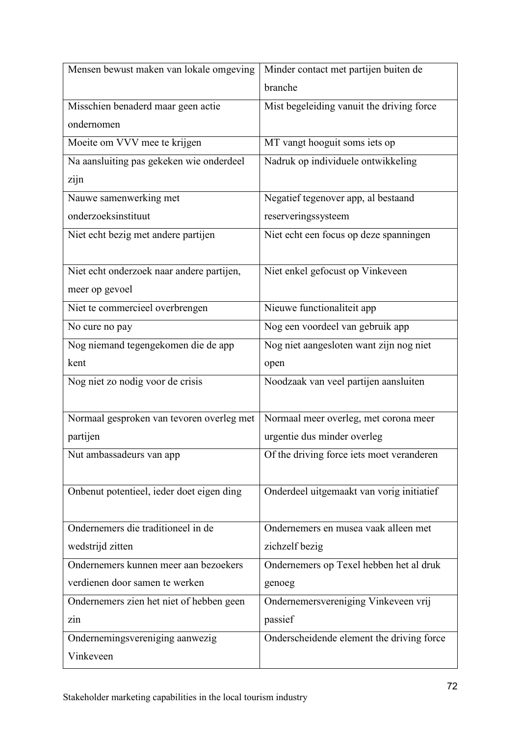| Mensen bewust maken van lokale omgeving   | Minder contact met partijen buiten de     |
|-------------------------------------------|-------------------------------------------|
|                                           | branche                                   |
| Misschien benaderd maar geen actie        | Mist begeleiding vanuit the driving force |
| ondernomen                                |                                           |
| Moeite om VVV mee te krijgen              | MT vangt hooguit soms iets op             |
| Na aansluiting pas gekeken wie onderdeel  | Nadruk op individuele ontwikkeling        |
| zijn                                      |                                           |
| Nauwe samenwerking met                    | Negatief tegenover app, al bestaand       |
| onderzoeksinstituut                       | reserveringssysteem                       |
| Niet echt bezig met andere partijen       | Niet echt een focus op deze spanningen    |
|                                           |                                           |
| Niet echt onderzoek naar andere partijen, | Niet enkel gefocust op Vinkeveen          |
| meer op gevoel                            |                                           |
| Niet te commercieel overbrengen           | Nieuwe functionaliteit app                |
| No cure no pay                            | Nog een voordeel van gebruik app          |
| Nog niemand tegengekomen die de app       | Nog niet aangesloten want zijn nog niet   |
| kent                                      | open                                      |
| Nog niet zo nodig voor de crisis          | Noodzaak van veel partijen aansluiten     |
|                                           |                                           |
| Normaal gesproken van tevoren overleg met | Normaal meer overleg, met corona meer     |
| partijen                                  | urgentie dus minder overleg               |
| Nut ambassadeurs van app                  | Of the driving force iets moet veranderen |
|                                           |                                           |
| Onbenut potentieel, ieder doet eigen ding | Onderdeel uitgemaakt van vorig initiatief |
|                                           |                                           |
| Ondernemers die traditioneel in de        | Ondernemers en musea vaak alleen met      |
| wedstrijd zitten                          | zichzelf bezig                            |
| Ondernemers kunnen meer aan bezoekers     | Ondernemers op Texel hebben het al druk   |
| verdienen door samen te werken            | genoeg                                    |
| Ondernemers zien het niet of hebben geen  | Ondernemersvereniging Vinkeveen vrij      |
| zin                                       | passief                                   |
| Ondernemingsvereniging aanwezig           | Onderscheidende element the driving force |
| Vinkeveen                                 |                                           |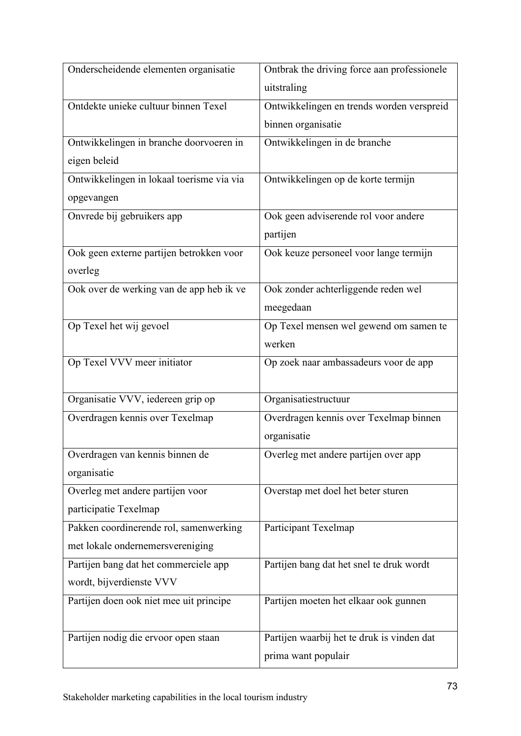| Onderscheidende elementen organisatie     | Ontbrak the driving force aan professionele |
|-------------------------------------------|---------------------------------------------|
|                                           | uitstraling                                 |
| Ontdekte unieke cultuur binnen Texel      | Ontwikkelingen en trends worden verspreid   |
|                                           | binnen organisatie                          |
| Ontwikkelingen in branche doorvoeren in   | Ontwikkelingen in de branche                |
| eigen beleid                              |                                             |
| Ontwikkelingen in lokaal toerisme via via | Ontwikkelingen op de korte termijn          |
| opgevangen                                |                                             |
| Onvrede bij gebruikers app                | Ook geen adviserende rol voor andere        |
|                                           | partijen                                    |
| Ook geen externe partijen betrokken voor  | Ook keuze personeel voor lange termijn      |
| overleg                                   |                                             |
| Ook over de werking van de app heb ik ve  | Ook zonder achterliggende reden wel         |
|                                           | meegedaan                                   |
| Op Texel het wij gevoel                   | Op Texel mensen wel gewend om samen te      |
|                                           | werken                                      |
| Op Texel VVV meer initiator               | Op zoek naar ambassadeurs voor de app       |
|                                           |                                             |
| Organisatie VVV, iedereen grip op         | Organisatiestructuur                        |
| Overdragen kennis over Texelmap           | Overdragen kennis over Texelmap binnen      |
|                                           | organisatie                                 |
| Overdragen van kennis binnen de           | Overleg met andere partijen over app        |
| organisatie                               |                                             |
| Overleg met andere partijen voor          | Overstap met doel het beter sturen          |
| participatie Texelmap                     |                                             |
| Pakken coordinerende rol, samenwerking    | Participant Texelmap                        |
| met lokale ondernemersvereniging          |                                             |
| Partijen bang dat het commerciele app     | Partijen bang dat het snel te druk wordt    |
| wordt, bijverdienste VVV                  |                                             |
| Partijen doen ook niet mee uit principe   | Partijen moeten het elkaar ook gunnen       |
|                                           |                                             |
| Partijen nodig die ervoor open staan      | Partijen waarbij het te druk is vinden dat  |
|                                           | prima want populair                         |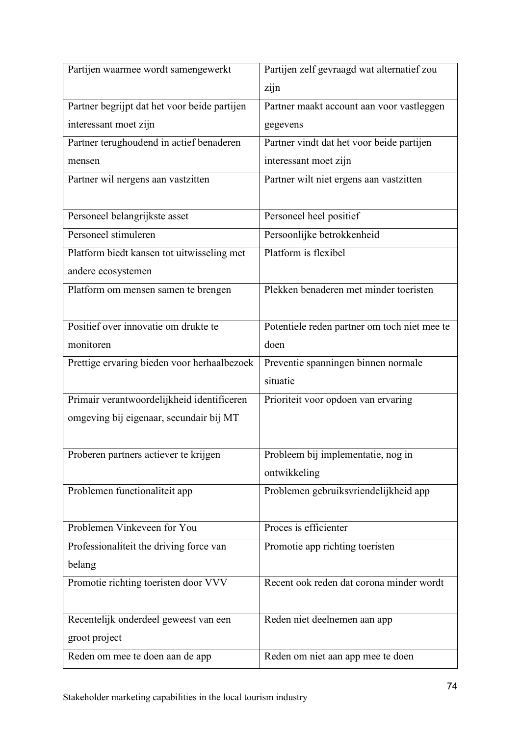| Partijen waarmee wordt samengewerkt          | Partijen zelf gevraagd wat alternatief zou   |
|----------------------------------------------|----------------------------------------------|
|                                              | zijn                                         |
| Partner begrijpt dat het voor beide partijen | Partner maakt account aan voor vastleggen    |
| interessant moet zijn                        | gegevens                                     |
| Partner terughoudend in actief benaderen     | Partner vindt dat het voor beide partijen    |
| mensen                                       | interessant moet zijn                        |
| Partner wil nergens aan vastzitten           | Partner wilt niet ergens aan vastzitten      |
|                                              |                                              |
| Personeel belangrijkste asset                | Personeel heel positief                      |
| Personeel stimuleren                         | Persoonlijke betrokkenheid                   |
| Platform biedt kansen tot uitwisseling met   | Platform is flexibel                         |
| andere ecosystemen                           |                                              |
| Platform om mensen samen te brengen          | Plekken benaderen met minder toeristen       |
|                                              |                                              |
| Positief over innovatie om drukte te         | Potentiele reden partner om toch niet mee te |
| monitoren                                    | doen                                         |
| Prettige ervaring bieden voor herhaalbezoek  | Preventie spanningen binnen normale          |
|                                              | situatie                                     |
| Primair verantwoordelijkheid identificeren   | Prioriteit voor opdoen van ervaring          |
| omgeving bij eigenaar, secundair bij MT      |                                              |
|                                              |                                              |
| Proberen partners actiever te krijgen        | Probleem bij implementatie, nog in           |
|                                              | ontwikkeling                                 |
| Problemen functionaliteit app                | Problemen gebruiksvriendelijkheid app        |
|                                              |                                              |
| Problemen Vinkeveen for You                  | Proces is efficienter                        |
| Professionaliteit the driving force van      | Promotie app richting toeristen              |
| belang                                       |                                              |
| Promotie richting toeristen door VVV         | Recent ook reden dat corona minder wordt     |
|                                              |                                              |
| Recentelijk onderdeel geweest van een        | Reden niet deelnemen aan app                 |
| groot project                                |                                              |
| Reden om mee te doen aan de app              | Reden om niet aan app mee te doen            |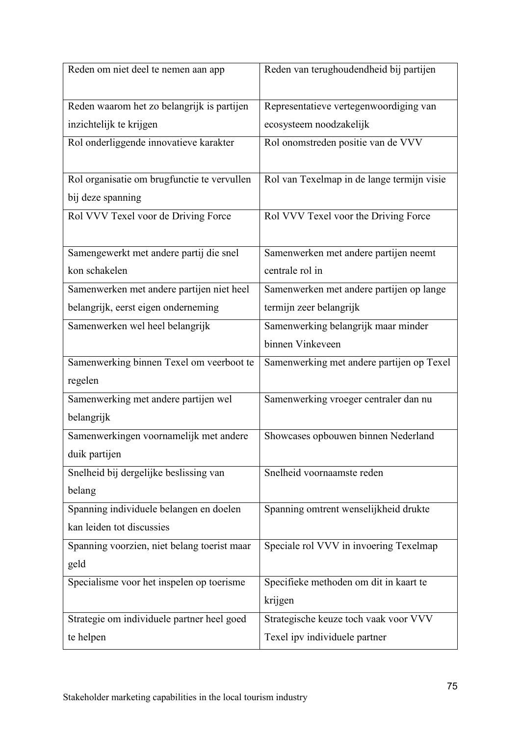| Reden om niet deel te nemen aan app         | Reden van terughoudendheid bij partijen    |
|---------------------------------------------|--------------------------------------------|
| Reden waarom het zo belangrijk is partijen  | Representatieve vertegenwoordiging van     |
| inzichtelijk te krijgen                     | ecosysteem noodzakelijk                    |
| Rol onderliggende innovatieve karakter      | Rol onomstreden positie van de VVV         |
|                                             |                                            |
| Rol organisatie om brugfunctie te vervullen | Rol van Texelmap in de lange termijn visie |
| bij deze spanning                           |                                            |
| Rol VVV Texel voor de Driving Force         | Rol VVV Texel voor the Driving Force       |
|                                             |                                            |
| Samengewerkt met andere partij die snel     | Samenwerken met andere partijen neemt      |
| kon schakelen                               | centrale rol in                            |
| Samenwerken met andere partijen niet heel   | Samenwerken met andere partijen op lange   |
| belangrijk, eerst eigen onderneming         | termijn zeer belangrijk                    |
| Samenwerken wel heel belangrijk             | Samenwerking belangrijk maar minder        |
|                                             | binnen Vinkeveen                           |
| Samenwerking binnen Texel om veerboot te    | Samenwerking met andere partijen op Texel  |
| regelen                                     |                                            |
| Samenwerking met andere partijen wel        | Samenwerking vroeger centraler dan nu      |
| belangrijk                                  |                                            |
| Samenwerkingen voornamelijk met andere      | Showcases opbouwen binnen Nederland        |
| duik partijen                               |                                            |
| Snelheid bij dergelijke beslissing van      | Snelheid voornaamste reden                 |
| belang                                      |                                            |
|                                             |                                            |
| Spanning individuele belangen en doelen     | Spanning omtrent wenselijkheid drukte      |
| kan leiden tot discussies                   |                                            |
| Spanning voorzien, niet belang toerist maar | Speciale rol VVV in invoering Texelmap     |
| geld                                        |                                            |
| Specialisme voor het inspelen op toerisme   | Specifieke methoden om dit in kaart te     |
|                                             | krijgen                                    |
| Strategie om individuele partner heel goed  | Strategische keuze toch vaak voor VVV      |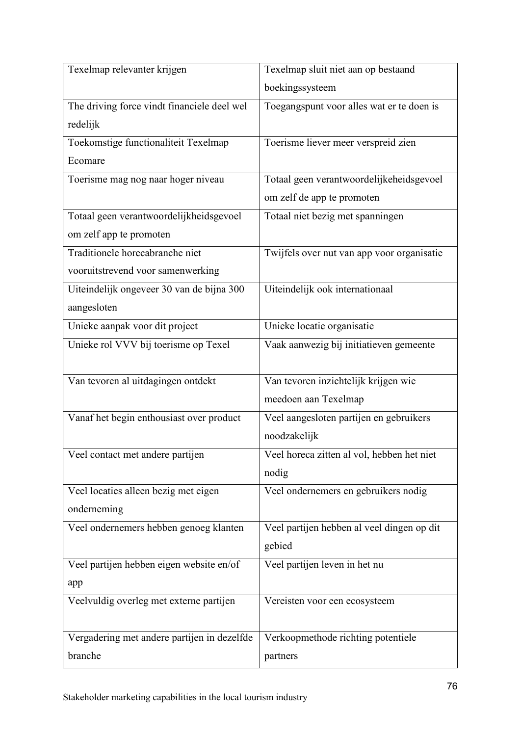| Texelmap relevanter krijgen                 | Texelmap sluit niet aan op bestaand        |
|---------------------------------------------|--------------------------------------------|
|                                             | boekingssysteem                            |
| The driving force vindt financiele deel wel | Toegangspunt voor alles wat er te doen is  |
| redelijk                                    |                                            |
| Toekomstige functionaliteit Texelmap        | Toerisme liever meer verspreid zien        |
| Ecomare                                     |                                            |
| Toerisme mag nog naar hoger niveau          | Totaal geen verantwoordelijkeheidsgevoel   |
|                                             | om zelf de app te promoten                 |
| Totaal geen verantwoordelijkheidsgevoel     | Totaal niet bezig met spanningen           |
| om zelf app te promoten                     |                                            |
| Traditionele horecabranche niet             | Twijfels over nut van app voor organisatie |
| vooruitstrevend voor samenwerking           |                                            |
| Uiteindelijk ongeveer 30 van de bijna 300   | Uiteindelijk ook internationaal            |
| aangesloten                                 |                                            |
| Unieke aanpak voor dit project              | Unieke locatie organisatie                 |
| Unieke rol VVV bij toerisme op Texel        | Vaak aanwezig bij initiatieven gemeente    |
|                                             |                                            |
| Van tevoren al uitdagingen ontdekt          | Van tevoren inzichtelijk krijgen wie       |
|                                             | meedoen aan Texelmap                       |
| Vanaf het begin enthousiast over product    | Veel aangesloten partijen en gebruikers    |
|                                             | noodzakelijk                               |
| Veel contact met andere partijen            | Veel horeca zitten al vol, hebben het niet |
|                                             | nodig                                      |
| Veel locaties alleen bezig met eigen        | Veel ondernemers en gebruikers nodig       |
| onderneming                                 |                                            |
| Veel ondernemers hebben genoeg klanten      | Veel partijen hebben al veel dingen op dit |
|                                             | gebied                                     |
| Veel partijen hebben eigen website en/of    | Veel partijen leven in het nu              |
| app                                         |                                            |
| Veelvuldig overleg met externe partijen     | Vereisten voor een ecosysteem              |
|                                             |                                            |
| Vergadering met andere partijen in dezelfde | Verkoopmethode richting potentiele         |
| branche                                     | partners                                   |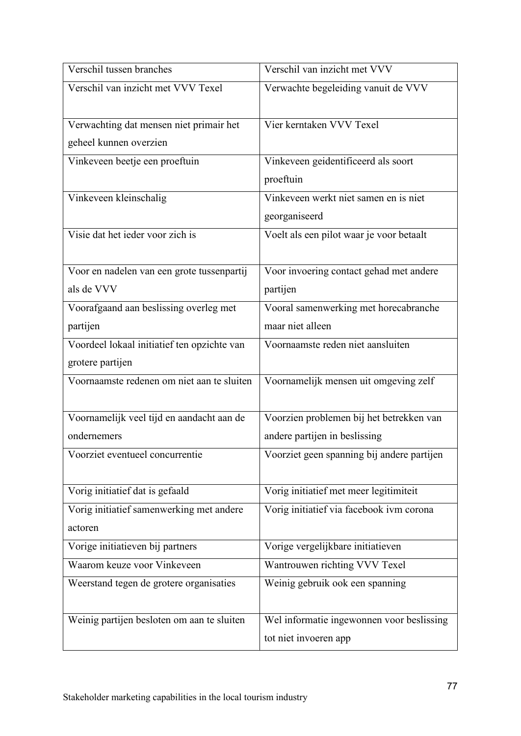| Verschil tussen branches                    | Verschil van inzicht met VVV               |
|---------------------------------------------|--------------------------------------------|
| Verschil van inzicht met VVV Texel          | Verwachte begeleiding vanuit de VVV        |
| Verwachting dat mensen niet primair het     | Vier kerntaken VVV Texel                   |
| geheel kunnen overzien                      |                                            |
| Vinkeveen beetje een proeftuin              | Vinkeveen geidentificeerd als soort        |
|                                             | proeftuin                                  |
| Vinkeveen kleinschalig                      | Vinkeveen werkt niet samen en is niet      |
|                                             | georganiseerd                              |
| Visie dat het ieder voor zich is            | Voelt als een pilot waar je voor betaalt   |
|                                             |                                            |
| Voor en nadelen van een grote tussenpartij  | Voor invoering contact gehad met andere    |
| als de VVV                                  | partijen                                   |
| Voorafgaand aan beslissing overleg met      | Vooral samenwerking met horecabranche      |
| partijen                                    | maar niet alleen                           |
| Voordeel lokaal initiatief ten opzichte van | Voornaamste reden niet aansluiten          |
| grotere partijen                            |                                            |
| Voornaamste redenen om niet aan te sluiten  | Voornamelijk mensen uit omgeving zelf      |
| Voornamelijk veel tijd en aandacht aan de   | Voorzien problemen bij het betrekken van   |
| ondernemers                                 | andere partijen in beslissing              |
| Voorziet eventueel concurrentie             | Voorziet geen spanning bij andere partijen |
| Vorig initiatief dat is gefaald             | Vorig initiatief met meer legitimiteit     |
| Vorig initiatief samenwerking met andere    | Vorig initiatief via facebook ivm corona   |
| actoren                                     |                                            |
| Vorige initiatieven bij partners            | Vorige vergelijkbare initiatieven          |
| Waarom keuze voor Vinkeveen                 | Wantrouwen richting VVV Texel              |
| Weerstand tegen de grotere organisaties     | Weinig gebruik ook een spanning            |
| Weinig partijen besloten om aan te sluiten  | Wel informatie ingewonnen voor beslissing  |
|                                             | tot niet invoeren app                      |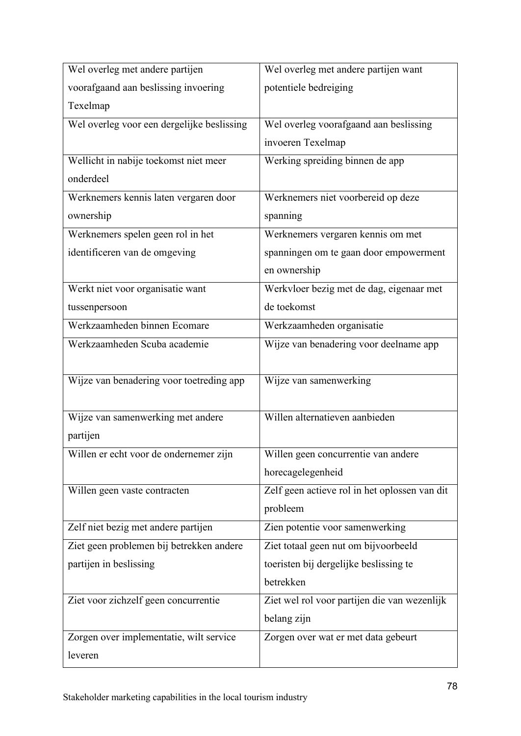| Wel overleg met andere partijen            | Wel overleg met andere partijen want          |
|--------------------------------------------|-----------------------------------------------|
| voorafgaand aan beslissing invoering       | potentiele bedreiging                         |
| Texelmap                                   |                                               |
| Wel overleg voor een dergelijke beslissing | Wel overleg voorafgaand aan beslissing        |
|                                            | invoeren Texelmap                             |
| Wellicht in nabije toekomst niet meer      | Werking spreiding binnen de app               |
| onderdeel                                  |                                               |
| Werknemers kennis laten vergaren door      | Werknemers niet voorbereid op deze            |
| ownership                                  | spanning                                      |
| Werknemers spelen geen rol in het          | Werknemers vergaren kennis om met             |
| identificeren van de omgeving              | spanningen om te gaan door empowerment        |
|                                            | en ownership                                  |
| Werkt niet voor organisatie want           | Werkvloer bezig met de dag, eigenaar met      |
| tussenpersoon                              | de toekomst                                   |
| Werkzaamheden binnen Ecomare               | Werkzaamheden organisatie                     |
| Werkzaamheden Scuba academie               | Wijze van benadering voor deelname app        |
|                                            |                                               |
| Wijze van benadering voor toetreding app   | Wijze van samenwerking                        |
|                                            |                                               |
| Wijze van samenwerking met andere          | Willen alternatieven aanbieden                |
| partijen                                   |                                               |
| Willen er echt voor de ondernemer zijn     | Willen geen concurrentie van andere           |
|                                            | horecagelegenheid                             |
| Willen geen vaste contracten               | Zelf geen actieve rol in het oplossen van dit |
|                                            | probleem                                      |
| Zelf niet bezig met andere partijen        | Zien potentie voor samenwerking               |
| Ziet geen problemen bij betrekken andere   | Ziet totaal geen nut om bijvoorbeeld          |
| partijen in beslissing                     | toeristen bij dergelijke beslissing te        |
|                                            | betrekken                                     |
| Ziet voor zichzelf geen concurrentie       | Ziet wel rol voor partijen die van wezenlijk  |
|                                            | belang zijn                                   |
| Zorgen over implementatie, wilt service    | Zorgen over wat er met data gebeurt           |
| leveren                                    |                                               |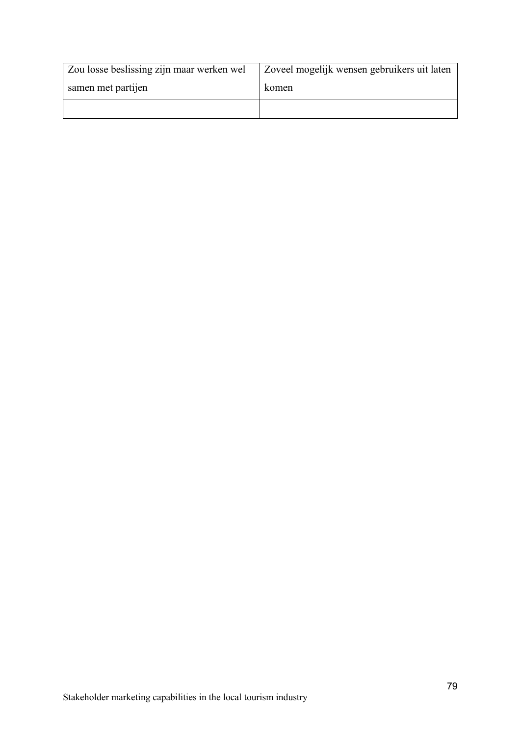| Zou losse beslissing zijn maar werken wel | Zoveel mogelijk wensen gebruikers uit laten |
|-------------------------------------------|---------------------------------------------|
| samen met partijen                        | komen                                       |
|                                           |                                             |